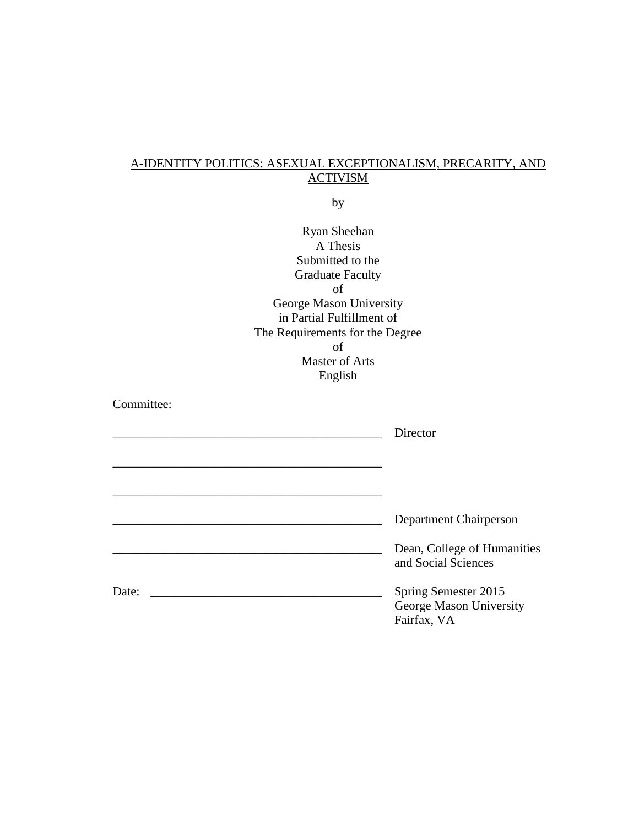## A-IDENTITY POLITICS: ASEXUAL EXCEPTIONALISM, PRECARITY, AND **ACTIVISM**

by

| <b>Ryan Sheehan</b>             |                                                    |
|---------------------------------|----------------------------------------------------|
| A Thesis                        |                                                    |
| Submitted to the                |                                                    |
| <b>Graduate Faculty</b>         |                                                    |
| of                              |                                                    |
| George Mason University         |                                                    |
| in Partial Fulfillment of       |                                                    |
| The Requirements for the Degree |                                                    |
| of                              |                                                    |
| <b>Master of Arts</b>           |                                                    |
| English                         |                                                    |
|                                 |                                                    |
| Committee:                      |                                                    |
|                                 | Director                                           |
|                                 |                                                    |
|                                 |                                                    |
|                                 |                                                    |
|                                 |                                                    |
|                                 |                                                    |
|                                 | Department Chairperson                             |
|                                 | Dean, College of Humanities<br>and Social Sciences |
| Date:                           | Spring Semester 2015                               |
|                                 | George Mason University<br>Fairfax, VA             |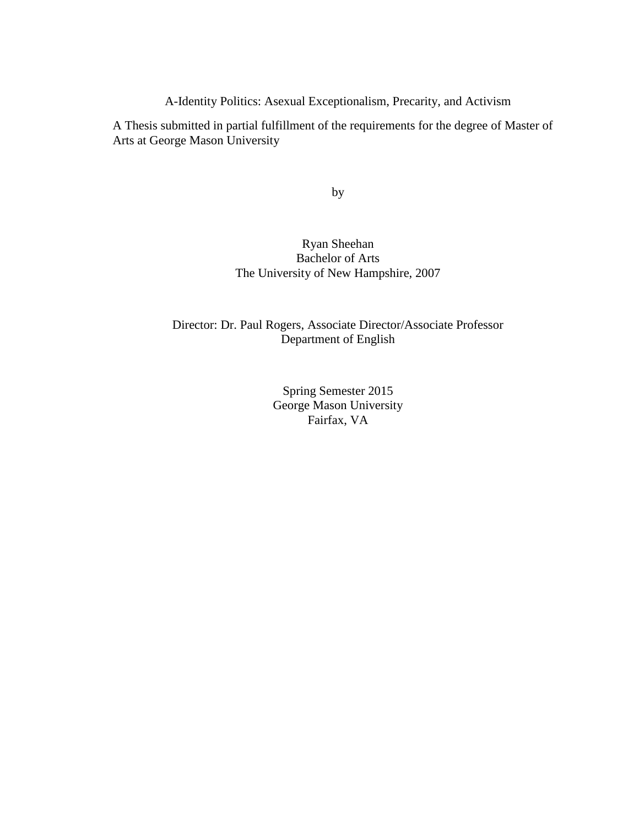A-Identity Politics: Asexual Exceptionalism, Precarity, and Activism

A Thesis submitted in partial fulfillment of the requirements for the degree of Master of Arts at George Mason University

by

## Ryan Sheehan Bachelor of Arts The University of New Hampshire, 2007

### Director: Dr. Paul Rogers, Associate Director/Associate Professor Department of English

Spring Semester 2015 George Mason University Fairfax, VA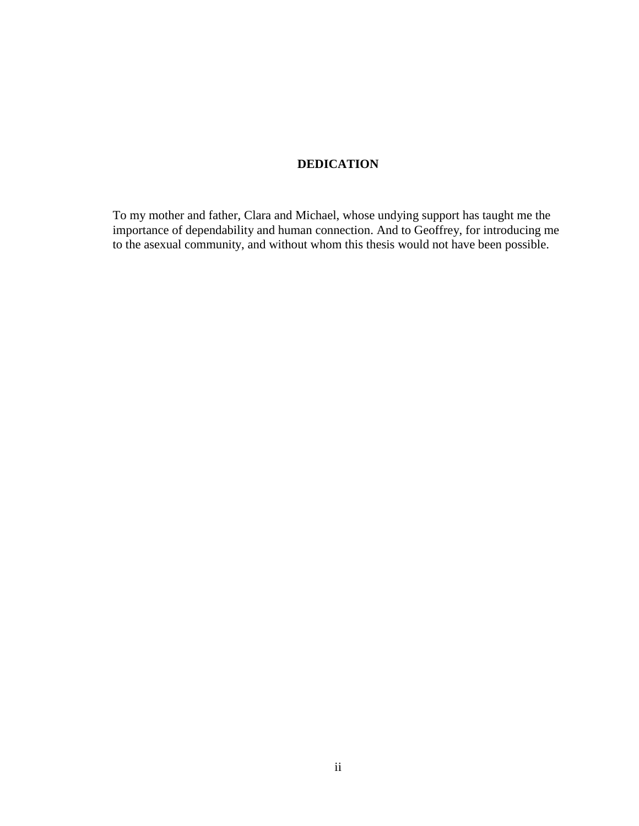### **DEDICATION**

To my mother and father, Clara and Michael, whose undying support has taught me the importance of dependability and human connection. And to Geoffrey, for introducing me to the asexual community, and without whom this thesis would not have been possible.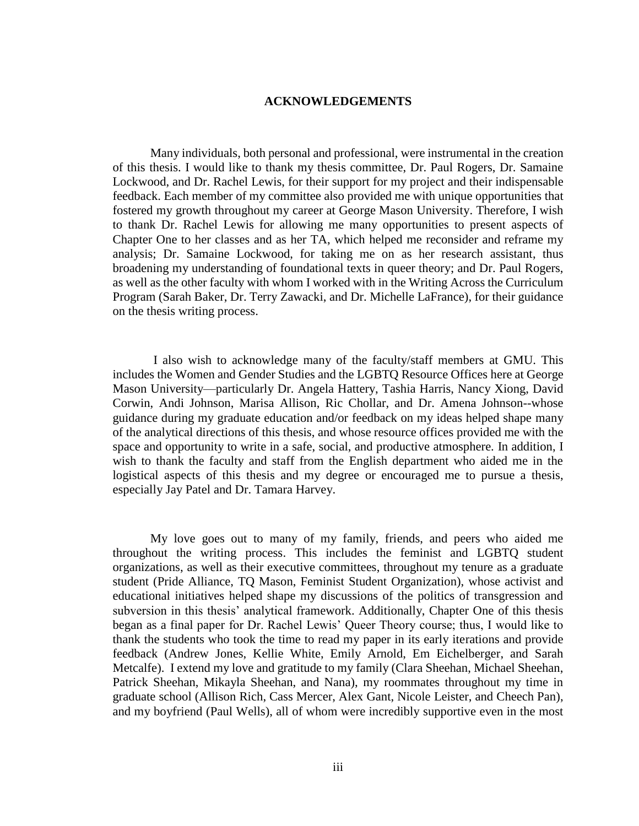#### **ACKNOWLEDGEMENTS**

Many individuals, both personal and professional, were instrumental in the creation of this thesis. I would like to thank my thesis committee, Dr. Paul Rogers, Dr. Samaine Lockwood, and Dr. Rachel Lewis, for their support for my project and their indispensable feedback. Each member of my committee also provided me with unique opportunities that fostered my growth throughout my career at George Mason University. Therefore, I wish to thank Dr. Rachel Lewis for allowing me many opportunities to present aspects of Chapter One to her classes and as her TA, which helped me reconsider and reframe my analysis; Dr. Samaine Lockwood, for taking me on as her research assistant, thus broadening my understanding of foundational texts in queer theory; and Dr. Paul Rogers, as well as the other faculty with whom I worked with in the Writing Across the Curriculum Program (Sarah Baker, Dr. Terry Zawacki, and Dr. Michelle LaFrance), for their guidance on the thesis writing process.

I also wish to acknowledge many of the faculty/staff members at GMU. This includes the Women and Gender Studies and the LGBTQ Resource Offices here at George Mason University—particularly Dr. Angela Hattery, Tashia Harris, Nancy Xiong, David Corwin, Andi Johnson, Marisa Allison, Ric Chollar, and Dr. Amena Johnson--whose guidance during my graduate education and/or feedback on my ideas helped shape many of the analytical directions of this thesis, and whose resource offices provided me with the space and opportunity to write in a safe, social, and productive atmosphere. In addition, I wish to thank the faculty and staff from the English department who aided me in the logistical aspects of this thesis and my degree or encouraged me to pursue a thesis, especially Jay Patel and Dr. Tamara Harvey.

My love goes out to many of my family, friends, and peers who aided me throughout the writing process. This includes the feminist and LGBTQ student organizations, as well as their executive committees, throughout my tenure as a graduate student (Pride Alliance, TQ Mason, Feminist Student Organization), whose activist and educational initiatives helped shape my discussions of the politics of transgression and subversion in this thesis' analytical framework. Additionally, Chapter One of this thesis began as a final paper for Dr. Rachel Lewis' Queer Theory course; thus, I would like to thank the students who took the time to read my paper in its early iterations and provide feedback (Andrew Jones, Kellie White, Emily Arnold, Em Eichelberger, and Sarah Metcalfe). I extend my love and gratitude to my family (Clara Sheehan, Michael Sheehan, Patrick Sheehan, Mikayla Sheehan, and Nana), my roommates throughout my time in graduate school (Allison Rich, Cass Mercer, Alex Gant, Nicole Leister, and Cheech Pan), and my boyfriend (Paul Wells), all of whom were incredibly supportive even in the most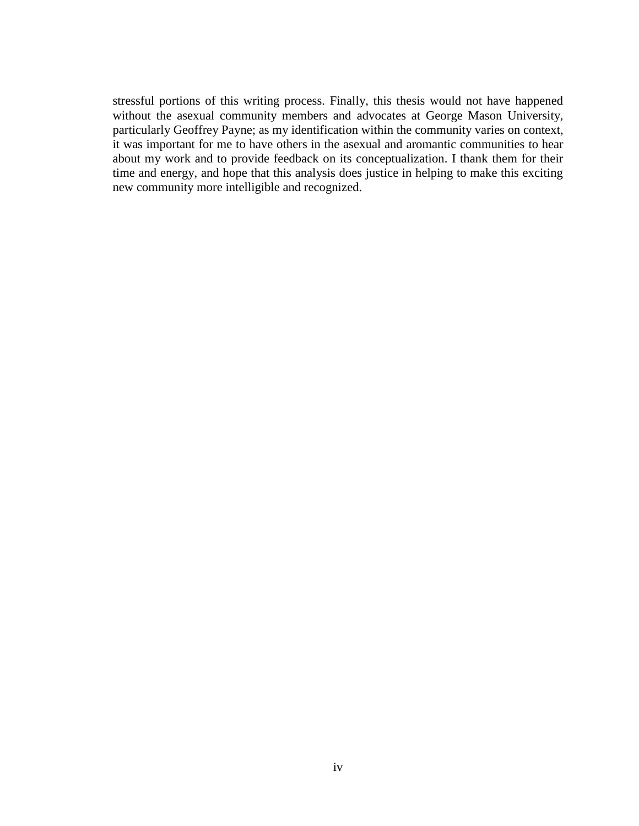stressful portions of this writing process. Finally, this thesis would not have happened without the asexual community members and advocates at George Mason University, particularly Geoffrey Payne; as my identification within the community varies on context, it was important for me to have others in the asexual and aromantic communities to hear about my work and to provide feedback on its conceptualization. I thank them for their time and energy, and hope that this analysis does justice in helping to make this exciting new community more intelligible and recognized.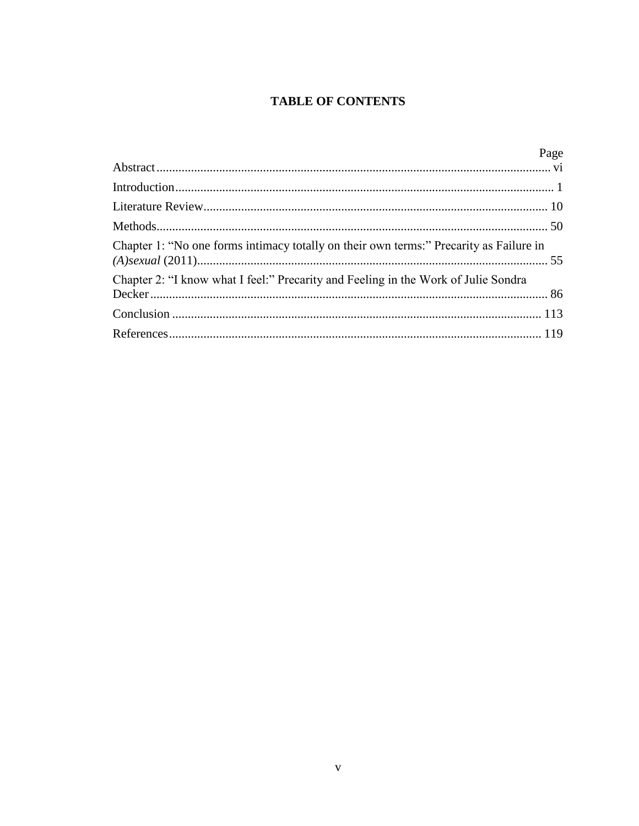# **TABLE OF CONTENTS**

|                                                                                        | Page |
|----------------------------------------------------------------------------------------|------|
|                                                                                        |      |
|                                                                                        |      |
|                                                                                        |      |
|                                                                                        |      |
| Chapter 1: "No one forms intimacy totally on their own terms:" Precarity as Failure in |      |
| Chapter 2: "I know what I feel:" Precarity and Feeling in the Work of Julie Sondra     |      |
|                                                                                        |      |
|                                                                                        |      |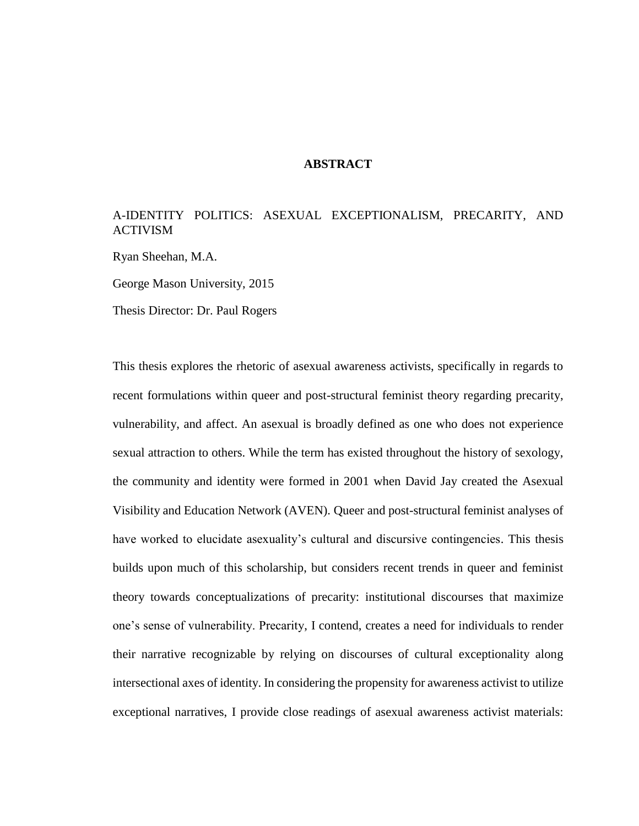### **ABSTRACT**

### <span id="page-6-0"></span>A-IDENTITY POLITICS: ASEXUAL EXCEPTIONALISM, PRECARITY, AND ACTIVISM

Ryan Sheehan, M.A.

George Mason University, 2015

Thesis Director: Dr. Paul Rogers

This thesis explores the rhetoric of asexual awareness activists, specifically in regards to recent formulations within queer and post-structural feminist theory regarding precarity, vulnerability, and affect. An asexual is broadly defined as one who does not experience sexual attraction to others. While the term has existed throughout the history of sexology, the community and identity were formed in 2001 when David Jay created the Asexual Visibility and Education Network (AVEN). Queer and post-structural feminist analyses of have worked to elucidate asexuality's cultural and discursive contingencies. This thesis builds upon much of this scholarship, but considers recent trends in queer and feminist theory towards conceptualizations of precarity: institutional discourses that maximize one's sense of vulnerability. Precarity, I contend, creates a need for individuals to render their narrative recognizable by relying on discourses of cultural exceptionality along intersectional axes of identity. In considering the propensity for awareness activist to utilize exceptional narratives, I provide close readings of asexual awareness activist materials: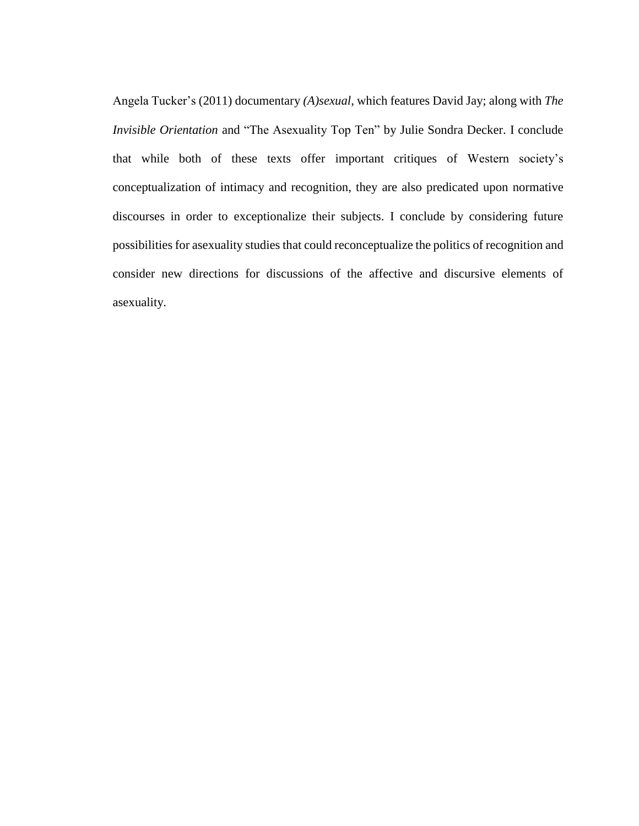Angela Tucker's (2011) documentary *(A)sexual*, which features David Jay; along with *The Invisible Orientation* and "The Asexuality Top Ten" by Julie Sondra Decker. I conclude that while both of these texts offer important critiques of Western society's conceptualization of intimacy and recognition, they are also predicated upon normative discourses in order to exceptionalize their subjects. I conclude by considering future possibilities for asexuality studies that could reconceptualize the politics of recognition and consider new directions for discussions of the affective and discursive elements of asexuality.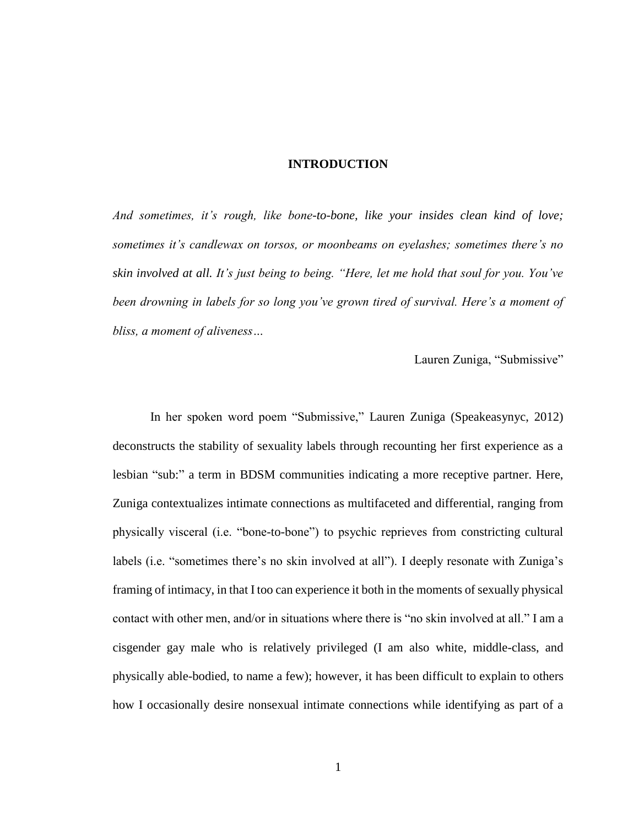### **INTRODUCTION**

<span id="page-8-0"></span>*And sometimes, it's rough, like bone-to-bone, like your insides clean kind of love; sometimes it's candlewax on torsos, or moonbeams on eyelashes; sometimes there's no skin involved at all. It's just being to being. "Here, let me hold that soul for you. You've been drowning in labels for so long you've grown tired of survival. Here's a moment of bliss, a moment of aliveness…*

Lauren Zuniga, "Submissive"

In her spoken word poem "Submissive," Lauren Zuniga (Speakeasynyc, 2012) deconstructs the stability of sexuality labels through recounting her first experience as a lesbian "sub:" a term in BDSM communities indicating a more receptive partner. Here, Zuniga contextualizes intimate connections as multifaceted and differential, ranging from physically visceral (i.e. "bone-to-bone") to psychic reprieves from constricting cultural labels (i.e. "sometimes there's no skin involved at all"). I deeply resonate with Zuniga's framing of intimacy, in that I too can experience it both in the moments of sexually physical contact with other men, and/or in situations where there is "no skin involved at all." I am a cisgender gay male who is relatively privileged (I am also white, middle-class, and physically able-bodied, to name a few); however, it has been difficult to explain to others how I occasionally desire nonsexual intimate connections while identifying as part of a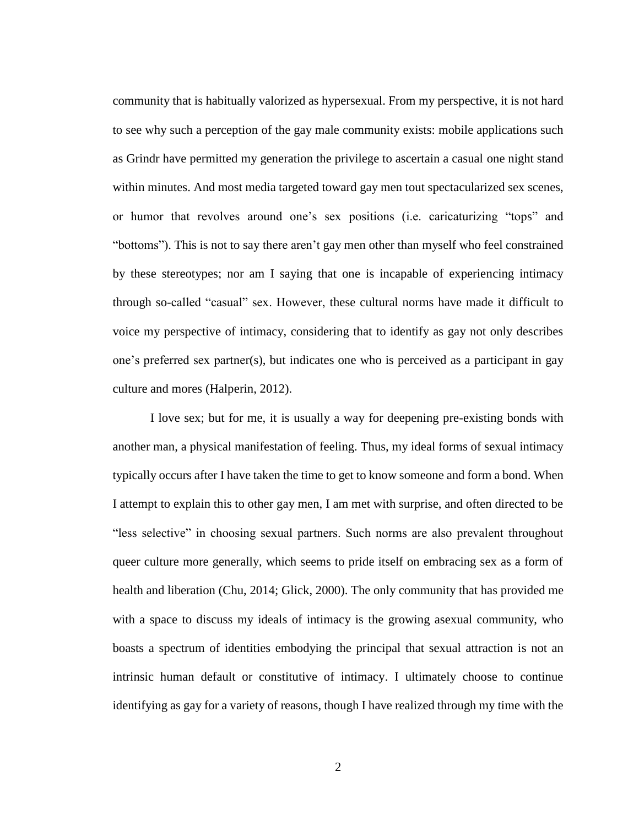community that is habitually valorized as hypersexual. From my perspective, it is not hard to see why such a perception of the gay male community exists: mobile applications such as Grindr have permitted my generation the privilege to ascertain a casual one night stand within minutes. And most media targeted toward gay men tout spectacularized sex scenes, or humor that revolves around one's sex positions (i.e. caricaturizing "tops" and "bottoms"). This is not to say there aren't gay men other than myself who feel constrained by these stereotypes; nor am I saying that one is incapable of experiencing intimacy through so-called "casual" sex. However, these cultural norms have made it difficult to voice my perspective of intimacy, considering that to identify as gay not only describes one's preferred sex partner(s), but indicates one who is perceived as a participant in gay culture and mores (Halperin, 2012).

I love sex; but for me, it is usually a way for deepening pre-existing bonds with another man, a physical manifestation of feeling. Thus, my ideal forms of sexual intimacy typically occurs after I have taken the time to get to know someone and form a bond. When I attempt to explain this to other gay men, I am met with surprise, and often directed to be "less selective" in choosing sexual partners. Such norms are also prevalent throughout queer culture more generally, which seems to pride itself on embracing sex as a form of health and liberation (Chu, 2014; Glick, 2000). The only community that has provided me with a space to discuss my ideals of intimacy is the growing asexual community, who boasts a spectrum of identities embodying the principal that sexual attraction is not an intrinsic human default or constitutive of intimacy. I ultimately choose to continue identifying as gay for a variety of reasons, though I have realized through my time with the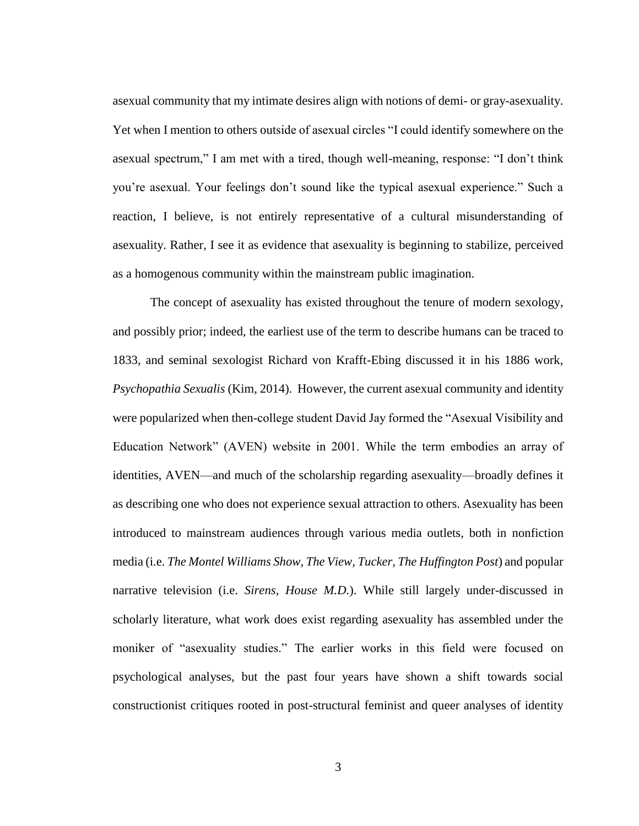asexual community that my intimate desires align with notions of demi- or gray-asexuality. Yet when I mention to others outside of asexual circles "I could identify somewhere on the asexual spectrum," I am met with a tired, though well-meaning, response: "I don't think you're asexual. Your feelings don't sound like the typical asexual experience." Such a reaction, I believe, is not entirely representative of a cultural misunderstanding of asexuality. Rather, I see it as evidence that asexuality is beginning to stabilize, perceived as a homogenous community within the mainstream public imagination.

The concept of asexuality has existed throughout the tenure of modern sexology, and possibly prior; indeed, the earliest use of the term to describe humans can be traced to 1833, and seminal sexologist Richard von Krafft-Ebing discussed it in his 1886 work, *Psychopathia Sexualis* (Kim, 2014). However, the current asexual community and identity were popularized when then-college student David Jay formed the "Asexual Visibility and Education Network" (AVEN) website in 2001. While the term embodies an array of identities, AVEN—and much of the scholarship regarding asexuality—broadly defines it as describing one who does not experience sexual attraction to others. Asexuality has been introduced to mainstream audiences through various media outlets, both in nonfiction media (i.e. *The Montel Williams Show, The View, Tucker, The Huffington Post*) and popular narrative television (i.e. *Sirens, House M.D.*). While still largely under-discussed in scholarly literature, what work does exist regarding asexuality has assembled under the moniker of "asexuality studies." The earlier works in this field were focused on psychological analyses, but the past four years have shown a shift towards social constructionist critiques rooted in post-structural feminist and queer analyses of identity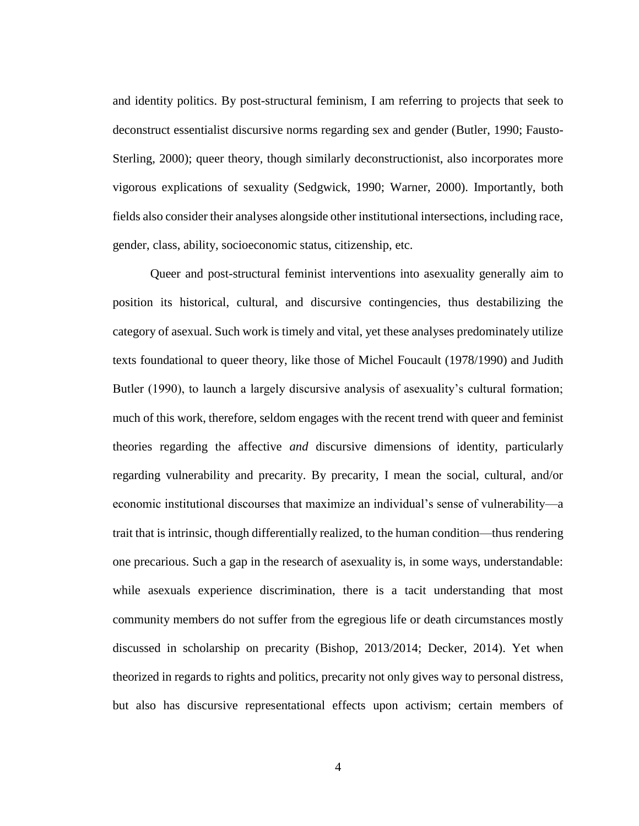and identity politics. By post-structural feminism, I am referring to projects that seek to deconstruct essentialist discursive norms regarding sex and gender (Butler, 1990; Fausto-Sterling, 2000); queer theory, though similarly deconstructionist, also incorporates more vigorous explications of sexuality (Sedgwick, 1990; Warner, 2000). Importantly, both fields also consider their analyses alongside other institutional intersections, including race, gender, class, ability, socioeconomic status, citizenship, etc.

Queer and post-structural feminist interventions into asexuality generally aim to position its historical, cultural, and discursive contingencies, thus destabilizing the category of asexual. Such work is timely and vital, yet these analyses predominately utilize texts foundational to queer theory, like those of Michel Foucault (1978/1990) and Judith Butler (1990), to launch a largely discursive analysis of asexuality's cultural formation; much of this work, therefore, seldom engages with the recent trend with queer and feminist theories regarding the affective *and* discursive dimensions of identity, particularly regarding vulnerability and precarity. By precarity, I mean the social, cultural, and/or economic institutional discourses that maximize an individual's sense of vulnerability—a trait that is intrinsic, though differentially realized, to the human condition—thus rendering one precarious. Such a gap in the research of asexuality is, in some ways, understandable: while asexuals experience discrimination, there is a tacit understanding that most community members do not suffer from the egregious life or death circumstances mostly discussed in scholarship on precarity (Bishop, 2013/2014; Decker, 2014). Yet when theorized in regards to rights and politics, precarity not only gives way to personal distress, but also has discursive representational effects upon activism; certain members of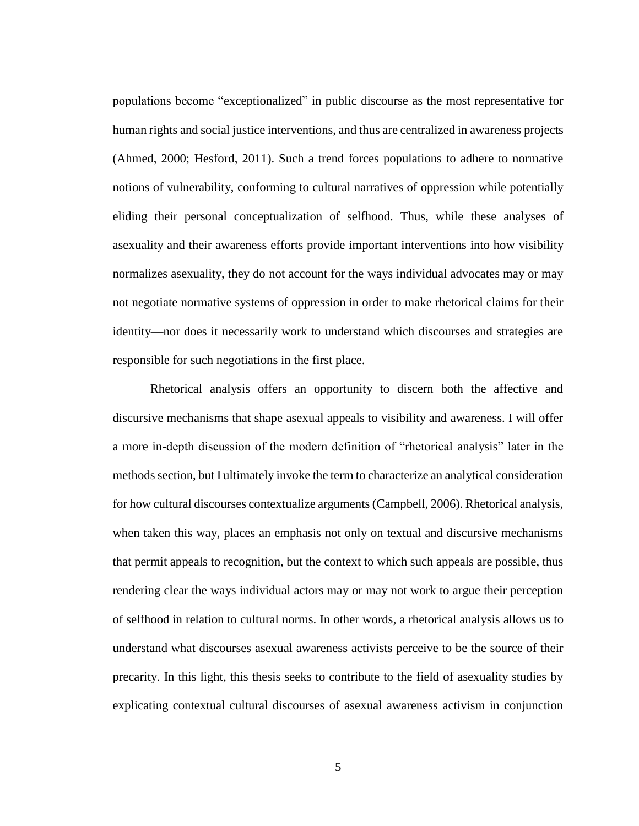populations become "exceptionalized" in public discourse as the most representative for human rights and social justice interventions, and thus are centralized in awareness projects (Ahmed, 2000; Hesford, 2011). Such a trend forces populations to adhere to normative notions of vulnerability, conforming to cultural narratives of oppression while potentially eliding their personal conceptualization of selfhood. Thus, while these analyses of asexuality and their awareness efforts provide important interventions into how visibility normalizes asexuality, they do not account for the ways individual advocates may or may not negotiate normative systems of oppression in order to make rhetorical claims for their identity—nor does it necessarily work to understand which discourses and strategies are responsible for such negotiations in the first place.

Rhetorical analysis offers an opportunity to discern both the affective and discursive mechanisms that shape asexual appeals to visibility and awareness. I will offer a more in-depth discussion of the modern definition of "rhetorical analysis" later in the methods section, but I ultimately invoke the term to characterize an analytical consideration for how cultural discourses contextualize arguments (Campbell, 2006). Rhetorical analysis, when taken this way, places an emphasis not only on textual and discursive mechanisms that permit appeals to recognition, but the context to which such appeals are possible, thus rendering clear the ways individual actors may or may not work to argue their perception of selfhood in relation to cultural norms. In other words, a rhetorical analysis allows us to understand what discourses asexual awareness activists perceive to be the source of their precarity. In this light, this thesis seeks to contribute to the field of asexuality studies by explicating contextual cultural discourses of asexual awareness activism in conjunction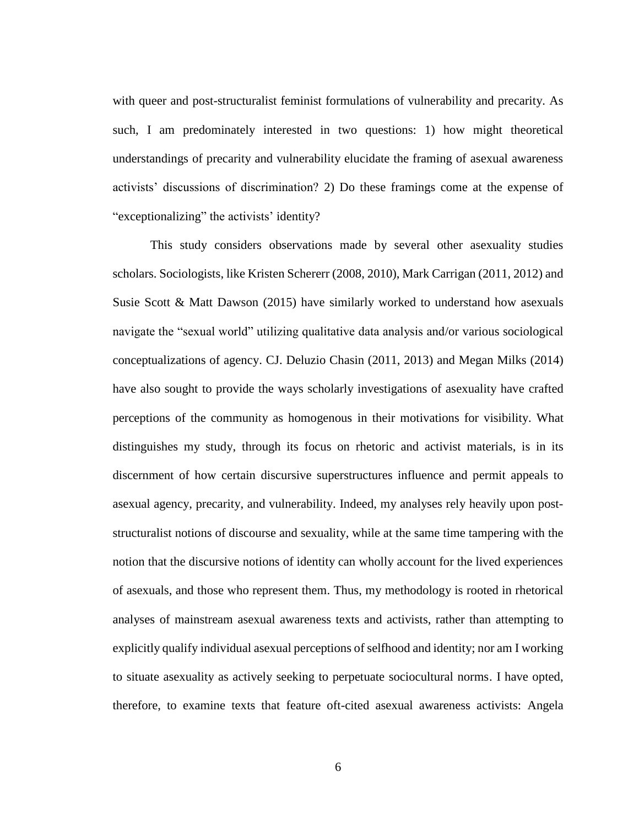with queer and post-structuralist feminist formulations of vulnerability and precarity. As such, I am predominately interested in two questions: 1) how might theoretical understandings of precarity and vulnerability elucidate the framing of asexual awareness activists' discussions of discrimination? 2) Do these framings come at the expense of "exceptionalizing" the activists' identity?

This study considers observations made by several other asexuality studies scholars. Sociologists, like Kristen Schererr (2008, 2010), Mark Carrigan (2011, 2012) and Susie Scott & Matt Dawson (2015) have similarly worked to understand how asexuals navigate the "sexual world" utilizing qualitative data analysis and/or various sociological conceptualizations of agency. CJ. Deluzio Chasin (2011, 2013) and Megan Milks (2014) have also sought to provide the ways scholarly investigations of asexuality have crafted perceptions of the community as homogenous in their motivations for visibility. What distinguishes my study, through its focus on rhetoric and activist materials, is in its discernment of how certain discursive superstructures influence and permit appeals to asexual agency, precarity, and vulnerability. Indeed, my analyses rely heavily upon poststructuralist notions of discourse and sexuality, while at the same time tampering with the notion that the discursive notions of identity can wholly account for the lived experiences of asexuals, and those who represent them. Thus, my methodology is rooted in rhetorical analyses of mainstream asexual awareness texts and activists, rather than attempting to explicitly qualify individual asexual perceptions of selfhood and identity; nor am I working to situate asexuality as actively seeking to perpetuate sociocultural norms. I have opted, therefore, to examine texts that feature oft-cited asexual awareness activists: Angela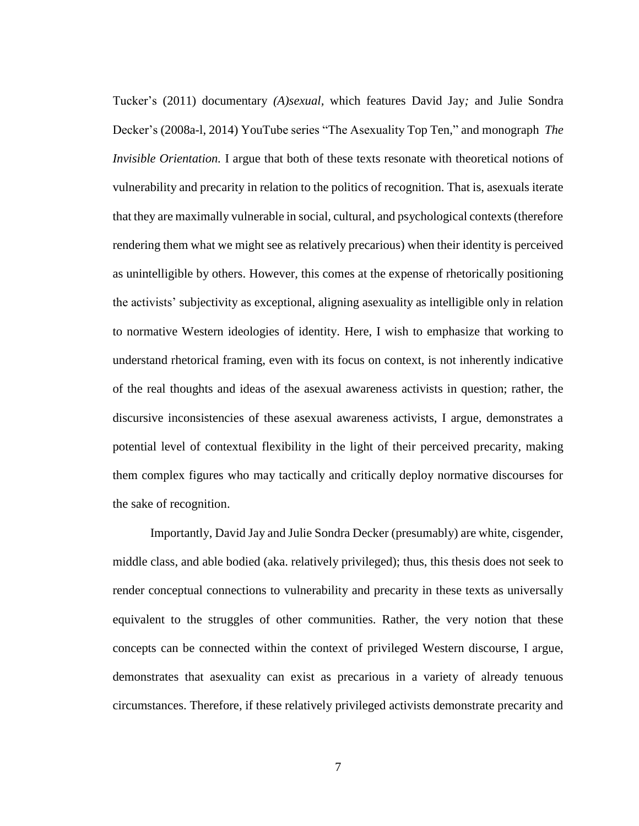Tucker's (2011) documentary *(A)sexual,* which features David Jay*;* and Julie Sondra Decker's (2008a-l, 2014) YouTube series "The Asexuality Top Ten," and monograph *The Invisible Orientation.* I argue that both of these texts resonate with theoretical notions of vulnerability and precarity in relation to the politics of recognition. That is, asexuals iterate that they are maximally vulnerable in social, cultural, and psychological contexts (therefore rendering them what we might see as relatively precarious) when their identity is perceived as unintelligible by others. However, this comes at the expense of rhetorically positioning the activists' subjectivity as exceptional, aligning asexuality as intelligible only in relation to normative Western ideologies of identity. Here, I wish to emphasize that working to understand rhetorical framing, even with its focus on context, is not inherently indicative of the real thoughts and ideas of the asexual awareness activists in question; rather, the discursive inconsistencies of these asexual awareness activists, I argue, demonstrates a potential level of contextual flexibility in the light of their perceived precarity, making them complex figures who may tactically and critically deploy normative discourses for the sake of recognition.

Importantly, David Jay and Julie Sondra Decker (presumably) are white, cisgender, middle class, and able bodied (aka. relatively privileged); thus, this thesis does not seek to render conceptual connections to vulnerability and precarity in these texts as universally equivalent to the struggles of other communities. Rather, the very notion that these concepts can be connected within the context of privileged Western discourse, I argue, demonstrates that asexuality can exist as precarious in a variety of already tenuous circumstances. Therefore, if these relatively privileged activists demonstrate precarity and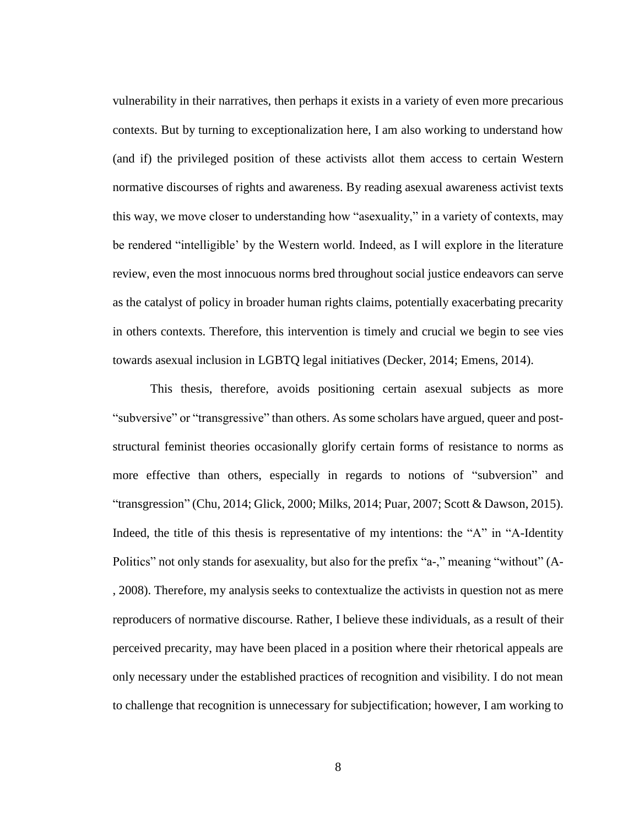vulnerability in their narratives, then perhaps it exists in a variety of even more precarious contexts. But by turning to exceptionalization here, I am also working to understand how (and if) the privileged position of these activists allot them access to certain Western normative discourses of rights and awareness. By reading asexual awareness activist texts this way, we move closer to understanding how "asexuality," in a variety of contexts, may be rendered "intelligible' by the Western world. Indeed, as I will explore in the literature review, even the most innocuous norms bred throughout social justice endeavors can serve as the catalyst of policy in broader human rights claims, potentially exacerbating precarity in others contexts. Therefore, this intervention is timely and crucial we begin to see vies towards asexual inclusion in LGBTQ legal initiatives (Decker, 2014; Emens, 2014).

This thesis, therefore, avoids positioning certain asexual subjects as more "subversive" or "transgressive" than others. As some scholars have argued, queer and poststructural feminist theories occasionally glorify certain forms of resistance to norms as more effective than others, especially in regards to notions of "subversion" and "transgression" (Chu, 2014; Glick, 2000; Milks, 2014; Puar, 2007; Scott & Dawson, 2015). Indeed, the title of this thesis is representative of my intentions: the "A" in "A-Identity Politics" not only stands for asexuality, but also for the prefix "a-," meaning "without" (A- , 2008). Therefore, my analysis seeks to contextualize the activists in question not as mere reproducers of normative discourse. Rather, I believe these individuals, as a result of their perceived precarity, may have been placed in a position where their rhetorical appeals are only necessary under the established practices of recognition and visibility. I do not mean to challenge that recognition is unnecessary for subjectification; however, I am working to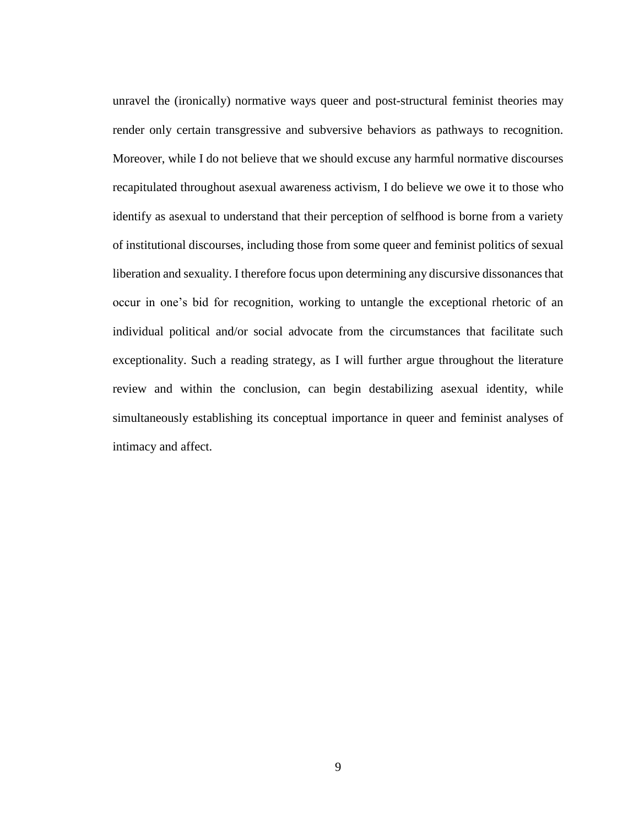unravel the (ironically) normative ways queer and post-structural feminist theories may render only certain transgressive and subversive behaviors as pathways to recognition. Moreover, while I do not believe that we should excuse any harmful normative discourses recapitulated throughout asexual awareness activism, I do believe we owe it to those who identify as asexual to understand that their perception of selfhood is borne from a variety of institutional discourses, including those from some queer and feminist politics of sexual liberation and sexuality. I therefore focus upon determining any discursive dissonances that occur in one's bid for recognition, working to untangle the exceptional rhetoric of an individual political and/or social advocate from the circumstances that facilitate such exceptionality. Such a reading strategy, as I will further argue throughout the literature review and within the conclusion, can begin destabilizing asexual identity, while simultaneously establishing its conceptual importance in queer and feminist analyses of intimacy and affect.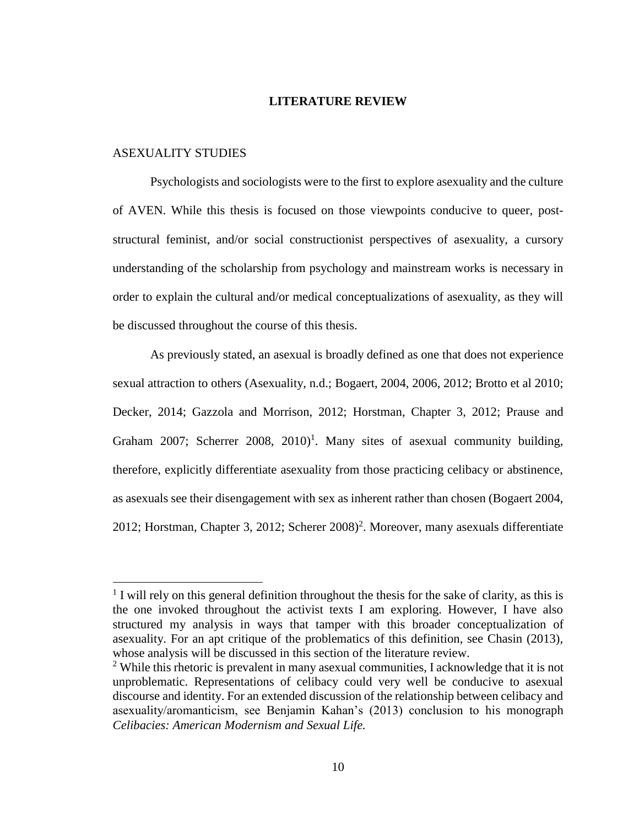#### **LITERATURE REVIEW**

### <span id="page-17-0"></span>ASEXUALITY STUDIES

 $\overline{a}$ 

Psychologists and sociologists were to the first to explore asexuality and the culture of AVEN. While this thesis is focused on those viewpoints conducive to queer, poststructural feminist, and/or social constructionist perspectives of asexuality, a cursory understanding of the scholarship from psychology and mainstream works is necessary in order to explain the cultural and/or medical conceptualizations of asexuality, as they will be discussed throughout the course of this thesis.

As previously stated, an asexual is broadly defined as one that does not experience sexual attraction to others (Asexuality, n.d.; Bogaert, 2004, 2006, 2012; Brotto et al 2010; Decker, 2014; Gazzola and Morrison, 2012; Horstman, Chapter 3, 2012; Prause and Graham 2007; Scherrer 2008,  $2010$ <sup>1</sup>. Many sites of asexual community building, therefore, explicitly differentiate asexuality from those practicing celibacy or abstinence, as asexuals see their disengagement with sex as inherent rather than chosen (Bogaert 2004, 2012; Horstman, Chapter 3, 2012; Scherer  $2008$ <sup>2</sup>. Moreover, many asexuals differentiate

<sup>&</sup>lt;sup>1</sup> I will rely on this general definition throughout the thesis for the sake of clarity, as this is the one invoked throughout the activist texts I am exploring. However, I have also structured my analysis in ways that tamper with this broader conceptualization of asexuality. For an apt critique of the problematics of this definition, see Chasin (2013), whose analysis will be discussed in this section of the literature review.

<sup>&</sup>lt;sup>2</sup> While this rhetoric is prevalent in many asexual communities, I acknowledge that it is not unproblematic. Representations of celibacy could very well be conducive to asexual discourse and identity. For an extended discussion of the relationship between celibacy and asexuality/aromanticism, see Benjamin Kahan's (2013) conclusion to his monograph *Celibacies: American Modernism and Sexual Life.*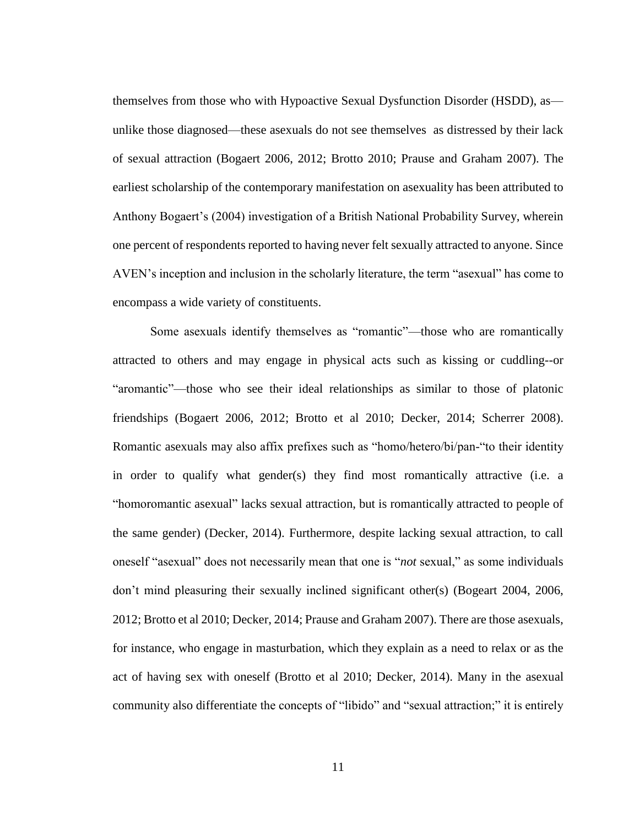themselves from those who with Hypoactive Sexual Dysfunction Disorder (HSDD), as unlike those diagnosed—these asexuals do not see themselves as distressed by their lack of sexual attraction (Bogaert 2006, 2012; Brotto 2010; Prause and Graham 2007). The earliest scholarship of the contemporary manifestation on asexuality has been attributed to Anthony Bogaert's (2004) investigation of a British National Probability Survey, wherein one percent of respondents reported to having never felt sexually attracted to anyone. Since AVEN's inception and inclusion in the scholarly literature, the term "asexual" has come to encompass a wide variety of constituents.

Some asexuals identify themselves as "romantic"—those who are romantically attracted to others and may engage in physical acts such as kissing or cuddling--or "aromantic"—those who see their ideal relationships as similar to those of platonic friendships (Bogaert 2006, 2012; Brotto et al 2010; Decker, 2014; Scherrer 2008). Romantic asexuals may also affix prefixes such as "homo/hetero/bi/pan-"to their identity in order to qualify what gender(s) they find most romantically attractive (i.e. a "homoromantic asexual" lacks sexual attraction, but is romantically attracted to people of the same gender) (Decker, 2014). Furthermore, despite lacking sexual attraction, to call oneself "asexual" does not necessarily mean that one is "*not* sexual," as some individuals don't mind pleasuring their sexually inclined significant other(s) (Bogeart 2004, 2006, 2012; Brotto et al 2010; Decker, 2014; Prause and Graham 2007). There are those asexuals, for instance, who engage in masturbation, which they explain as a need to relax or as the act of having sex with oneself (Brotto et al 2010; Decker, 2014). Many in the asexual community also differentiate the concepts of "libido" and "sexual attraction;" it is entirely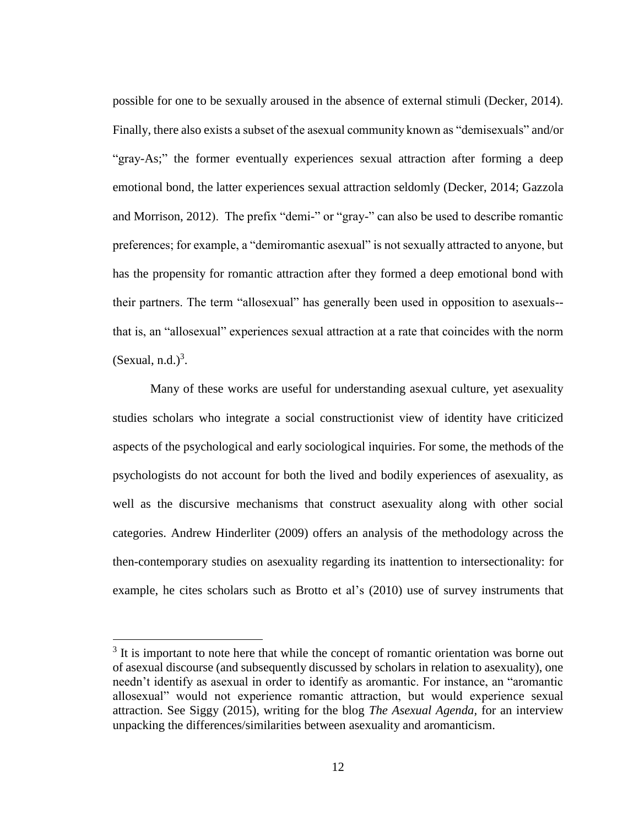possible for one to be sexually aroused in the absence of external stimuli (Decker, 2014). Finally, there also exists a subset of the asexual community known as "demisexuals" and/or "gray-As;" the former eventually experiences sexual attraction after forming a deep emotional bond, the latter experiences sexual attraction seldomly (Decker, 2014; Gazzola and Morrison, 2012). The prefix "demi-" or "gray-" can also be used to describe romantic preferences; for example, a "demiromantic asexual" is not sexually attracted to anyone, but has the propensity for romantic attraction after they formed a deep emotional bond with their partners. The term "allosexual" has generally been used in opposition to asexuals- that is, an "allosexual" experiences sexual attraction at a rate that coincides with the norm  $(Sexual, n.d.)<sup>3</sup>$ .

Many of these works are useful for understanding asexual culture, yet asexuality studies scholars who integrate a social constructionist view of identity have criticized aspects of the psychological and early sociological inquiries. For some, the methods of the psychologists do not account for both the lived and bodily experiences of asexuality, as well as the discursive mechanisms that construct asexuality along with other social categories. Andrew Hinderliter (2009) offers an analysis of the methodology across the then-contemporary studies on asexuality regarding its inattention to intersectionality: for example, he cites scholars such as Brotto et al's (2010) use of survey instruments that

 $\overline{a}$ 

<sup>&</sup>lt;sup>3</sup> It is important to note here that while the concept of romantic orientation was borne out of asexual discourse (and subsequently discussed by scholars in relation to asexuality), one needn't identify as asexual in order to identify as aromantic. For instance, an "aromantic allosexual" would not experience romantic attraction, but would experience sexual attraction. See Siggy (2015), writing for the blog *The Asexual Agenda,* for an interview unpacking the differences/similarities between asexuality and aromanticism.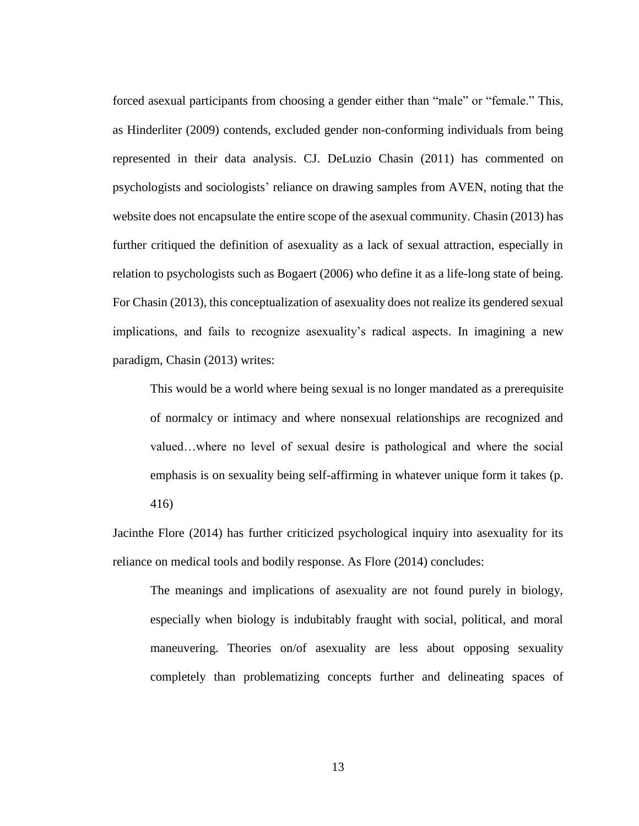forced asexual participants from choosing a gender either than "male" or "female." This, as Hinderliter (2009) contends, excluded gender non-conforming individuals from being represented in their data analysis. CJ. DeLuzio Chasin (2011) has commented on psychologists and sociologists' reliance on drawing samples from AVEN, noting that the website does not encapsulate the entire scope of the asexual community. Chasin (2013) has further critiqued the definition of asexuality as a lack of sexual attraction, especially in relation to psychologists such as Bogaert (2006) who define it as a life-long state of being. For Chasin (2013), this conceptualization of asexuality does not realize its gendered sexual implications, and fails to recognize asexuality's radical aspects. In imagining a new paradigm, Chasin (2013) writes:

This would be a world where being sexual is no longer mandated as a prerequisite of normalcy or intimacy and where nonsexual relationships are recognized and valued…where no level of sexual desire is pathological and where the social emphasis is on sexuality being self-affirming in whatever unique form it takes (p. 416)

Jacinthe Flore (2014) has further criticized psychological inquiry into asexuality for its reliance on medical tools and bodily response. As Flore (2014) concludes:

The meanings and implications of asexuality are not found purely in biology, especially when biology is indubitably fraught with social, political, and moral maneuvering. Theories on/of asexuality are less about opposing sexuality completely than problematizing concepts further and delineating spaces of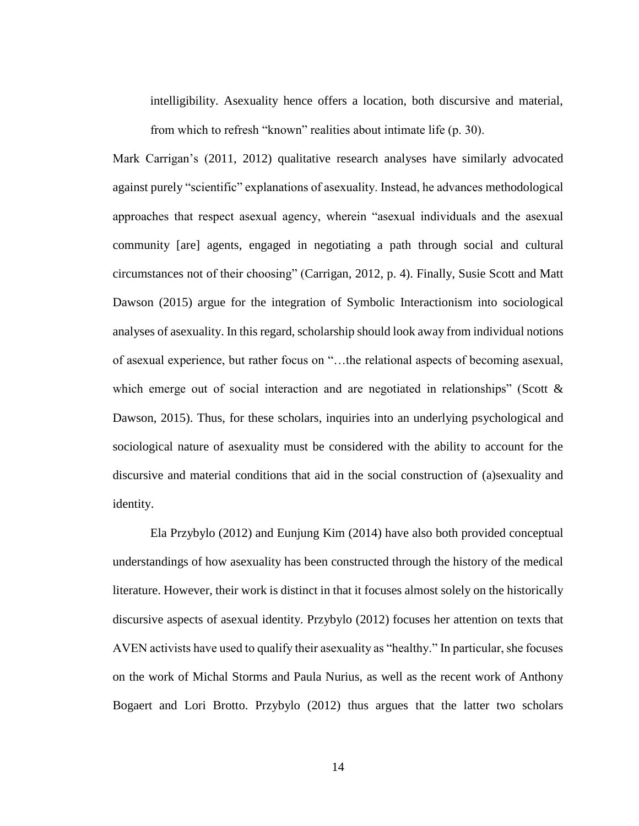intelligibility. Asexuality hence offers a location, both discursive and material, from which to refresh "known" realities about intimate life (p. 30).

Mark Carrigan's (2011, 2012) qualitative research analyses have similarly advocated against purely "scientific" explanations of asexuality. Instead, he advances methodological approaches that respect asexual agency, wherein "asexual individuals and the asexual community [are] agents, engaged in negotiating a path through social and cultural circumstances not of their choosing" (Carrigan, 2012, p. 4). Finally, Susie Scott and Matt Dawson (2015) argue for the integration of Symbolic Interactionism into sociological analyses of asexuality. In this regard, scholarship should look away from individual notions of asexual experience, but rather focus on "…the relational aspects of becoming asexual, which emerge out of social interaction and are negotiated in relationships" (Scott  $\&$ Dawson, 2015). Thus, for these scholars, inquiries into an underlying psychological and sociological nature of asexuality must be considered with the ability to account for the discursive and material conditions that aid in the social construction of (a)sexuality and identity.

Ela Przybylo (2012) and Eunjung Kim (2014) have also both provided conceptual understandings of how asexuality has been constructed through the history of the medical literature. However, their work is distinct in that it focuses almost solely on the historically discursive aspects of asexual identity. Przybylo (2012) focuses her attention on texts that AVEN activists have used to qualify their asexuality as "healthy." In particular, she focuses on the work of Michal Storms and Paula Nurius, as well as the recent work of Anthony Bogaert and Lori Brotto. Przybylo (2012) thus argues that the latter two scholars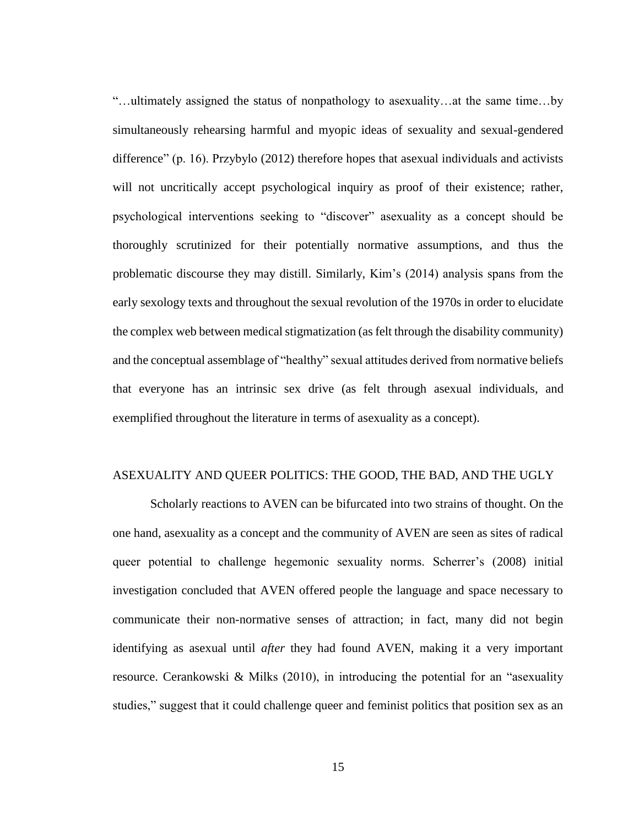"…ultimately assigned the status of nonpathology to asexuality…at the same time…by simultaneously rehearsing harmful and myopic ideas of sexuality and sexual-gendered difference" (p. 16). Przybylo (2012) therefore hopes that asexual individuals and activists will not uncritically accept psychological inquiry as proof of their existence; rather, psychological interventions seeking to "discover" asexuality as a concept should be thoroughly scrutinized for their potentially normative assumptions, and thus the problematic discourse they may distill. Similarly, Kim's (2014) analysis spans from the early sexology texts and throughout the sexual revolution of the 1970s in order to elucidate the complex web between medical stigmatization (as felt through the disability community) and the conceptual assemblage of "healthy" sexual attitudes derived from normative beliefs that everyone has an intrinsic sex drive (as felt through asexual individuals, and exemplified throughout the literature in terms of asexuality as a concept).

### ASEXUALITY AND QUEER POLITICS: THE GOOD, THE BAD, AND THE UGLY

Scholarly reactions to AVEN can be bifurcated into two strains of thought. On the one hand, asexuality as a concept and the community of AVEN are seen as sites of radical queer potential to challenge hegemonic sexuality norms. Scherrer's (2008) initial investigation concluded that AVEN offered people the language and space necessary to communicate their non-normative senses of attraction; in fact, many did not begin identifying as asexual until *after* they had found AVEN, making it a very important resource. Cerankowski & Milks (2010), in introducing the potential for an "asexuality studies," suggest that it could challenge queer and feminist politics that position sex as an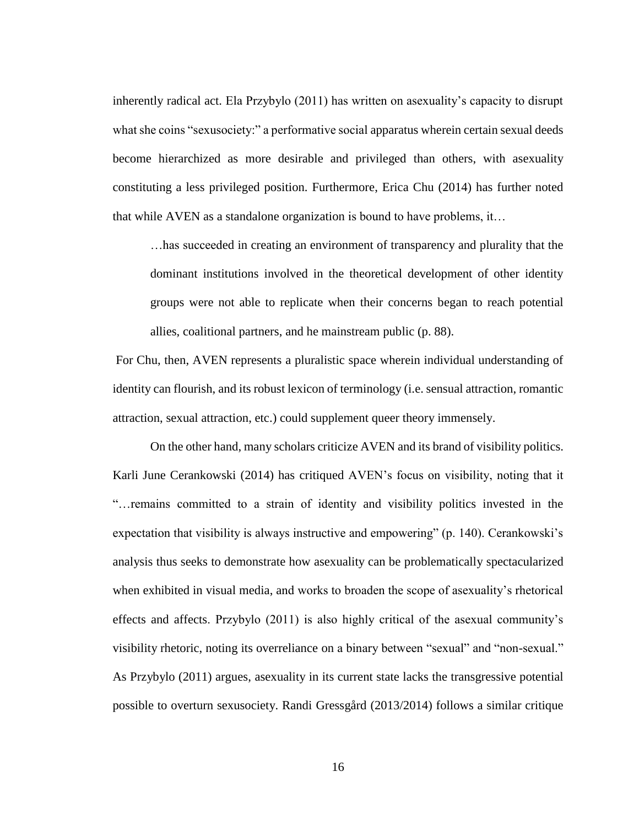inherently radical act. Ela Przybylo (2011) has written on asexuality's capacity to disrupt what she coins "sexusociety:" a performative social apparatus wherein certain sexual deeds become hierarchized as more desirable and privileged than others, with asexuality constituting a less privileged position. Furthermore, Erica Chu (2014) has further noted that while AVEN as a standalone organization is bound to have problems, it…

…has succeeded in creating an environment of transparency and plurality that the dominant institutions involved in the theoretical development of other identity groups were not able to replicate when their concerns began to reach potential allies, coalitional partners, and he mainstream public (p. 88).

For Chu, then, AVEN represents a pluralistic space wherein individual understanding of identity can flourish, and its robust lexicon of terminology (i.e. sensual attraction, romantic attraction, sexual attraction, etc.) could supplement queer theory immensely.

On the other hand, many scholars criticize AVEN and its brand of visibility politics. Karli June Cerankowski (2014) has critiqued AVEN's focus on visibility, noting that it "…remains committed to a strain of identity and visibility politics invested in the expectation that visibility is always instructive and empowering" (p. 140). Cerankowski's analysis thus seeks to demonstrate how asexuality can be problematically spectacularized when exhibited in visual media, and works to broaden the scope of asexuality's rhetorical effects and affects. Przybylo (2011) is also highly critical of the asexual community's visibility rhetoric, noting its overreliance on a binary between "sexual" and "non-sexual." As Przybylo (2011) argues, asexuality in its current state lacks the transgressive potential possible to overturn sexusociety. Randi Gressgård (2013/2014) follows a similar critique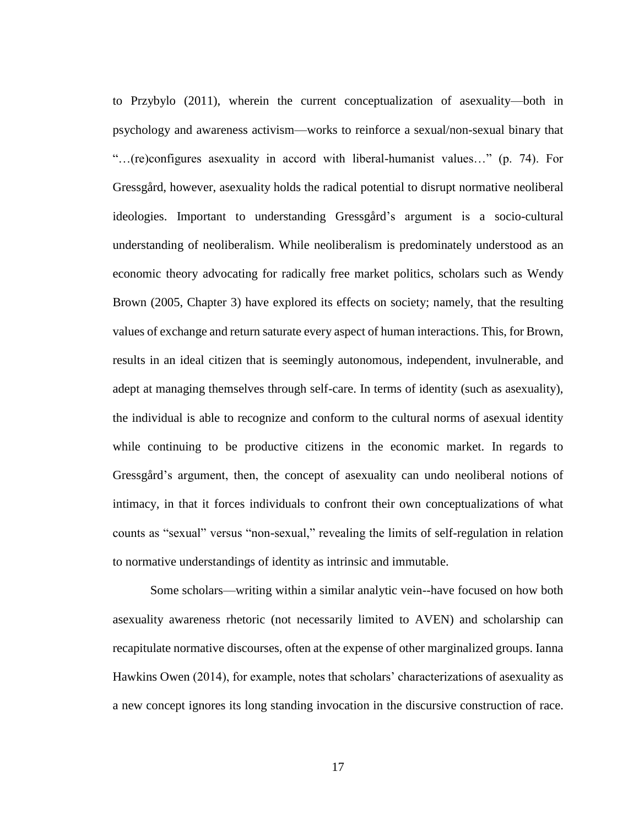to Przybylo (2011), wherein the current conceptualization of asexuality—both in psychology and awareness activism—works to reinforce a sexual/non-sexual binary that "…(re)configures asexuality in accord with liberal-humanist values…" (p. 74). For Gressgård, however, asexuality holds the radical potential to disrupt normative neoliberal ideologies. Important to understanding Gressgård's argument is a socio-cultural understanding of neoliberalism. While neoliberalism is predominately understood as an economic theory advocating for radically free market politics, scholars such as Wendy Brown (2005, Chapter 3) have explored its effects on society; namely, that the resulting values of exchange and return saturate every aspect of human interactions. This, for Brown, results in an ideal citizen that is seemingly autonomous, independent, invulnerable, and adept at managing themselves through self-care. In terms of identity (such as asexuality), the individual is able to recognize and conform to the cultural norms of asexual identity while continuing to be productive citizens in the economic market. In regards to Gressgård's argument, then, the concept of asexuality can undo neoliberal notions of intimacy, in that it forces individuals to confront their own conceptualizations of what counts as "sexual" versus "non-sexual," revealing the limits of self-regulation in relation to normative understandings of identity as intrinsic and immutable.

Some scholars—writing within a similar analytic vein--have focused on how both asexuality awareness rhetoric (not necessarily limited to AVEN) and scholarship can recapitulate normative discourses, often at the expense of other marginalized groups. Ianna Hawkins Owen (2014), for example, notes that scholars' characterizations of asexuality as a new concept ignores its long standing invocation in the discursive construction of race.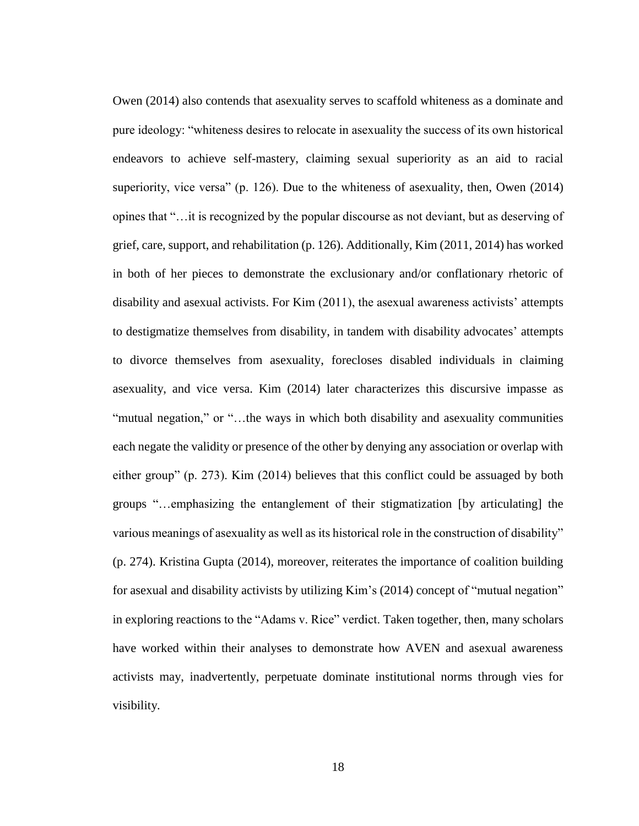Owen (2014) also contends that asexuality serves to scaffold whiteness as a dominate and pure ideology: "whiteness desires to relocate in asexuality the success of its own historical endeavors to achieve self-mastery, claiming sexual superiority as an aid to racial superiority, vice versa" (p. 126). Due to the whiteness of asexuality, then, Owen (2014) opines that "…it is recognized by the popular discourse as not deviant, but as deserving of grief, care, support, and rehabilitation (p. 126). Additionally, Kim (2011, 2014) has worked in both of her pieces to demonstrate the exclusionary and/or conflationary rhetoric of disability and asexual activists. For Kim (2011), the asexual awareness activists' attempts to destigmatize themselves from disability, in tandem with disability advocates' attempts to divorce themselves from asexuality, forecloses disabled individuals in claiming asexuality, and vice versa. Kim (2014) later characterizes this discursive impasse as "mutual negation," or "…the ways in which both disability and asexuality communities each negate the validity or presence of the other by denying any association or overlap with either group" (p. 273). Kim (2014) believes that this conflict could be assuaged by both groups "…emphasizing the entanglement of their stigmatization [by articulating] the various meanings of asexuality as well as its historical role in the construction of disability" (p. 274). Kristina Gupta (2014), moreover, reiterates the importance of coalition building for asexual and disability activists by utilizing Kim's (2014) concept of "mutual negation" in exploring reactions to the "Adams v. Rice" verdict. Taken together, then, many scholars have worked within their analyses to demonstrate how AVEN and asexual awareness activists may, inadvertently, perpetuate dominate institutional norms through vies for visibility.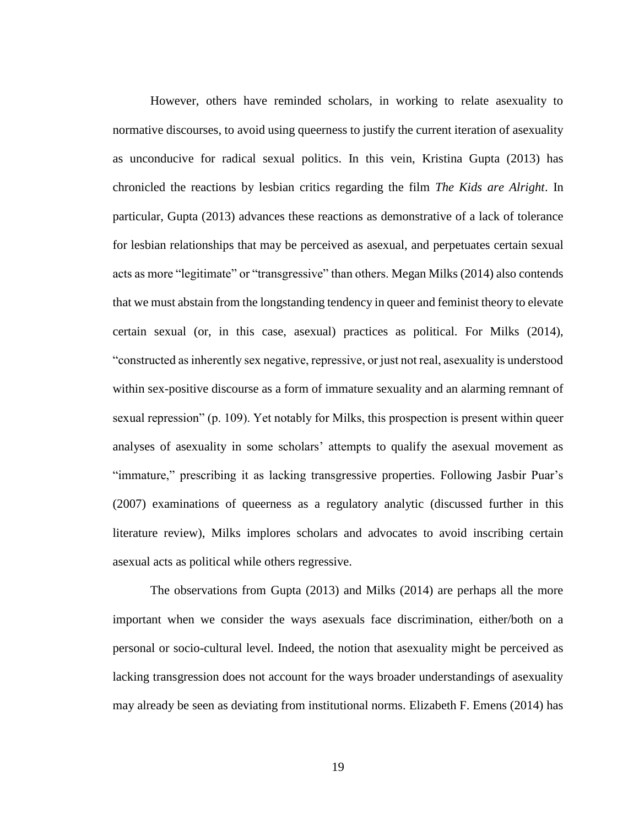However, others have reminded scholars, in working to relate asexuality to normative discourses, to avoid using queerness to justify the current iteration of asexuality as unconducive for radical sexual politics. In this vein, Kristina Gupta (2013) has chronicled the reactions by lesbian critics regarding the film *The Kids are Alright*. In particular, Gupta (2013) advances these reactions as demonstrative of a lack of tolerance for lesbian relationships that may be perceived as asexual, and perpetuates certain sexual acts as more "legitimate" or "transgressive" than others. Megan Milks (2014) also contends that we must abstain from the longstanding tendency in queer and feminist theory to elevate certain sexual (or, in this case, asexual) practices as political. For Milks (2014), "constructed as inherently sex negative, repressive, or just not real, asexuality is understood within sex-positive discourse as a form of immature sexuality and an alarming remnant of sexual repression" (p. 109). Yet notably for Milks, this prospection is present within queer analyses of asexuality in some scholars' attempts to qualify the asexual movement as "immature," prescribing it as lacking transgressive properties. Following Jasbir Puar's (2007) examinations of queerness as a regulatory analytic (discussed further in this literature review), Milks implores scholars and advocates to avoid inscribing certain asexual acts as political while others regressive.

The observations from Gupta (2013) and Milks (2014) are perhaps all the more important when we consider the ways asexuals face discrimination, either/both on a personal or socio-cultural level. Indeed, the notion that asexuality might be perceived as lacking transgression does not account for the ways broader understandings of asexuality may already be seen as deviating from institutional norms. Elizabeth F. Emens (2014) has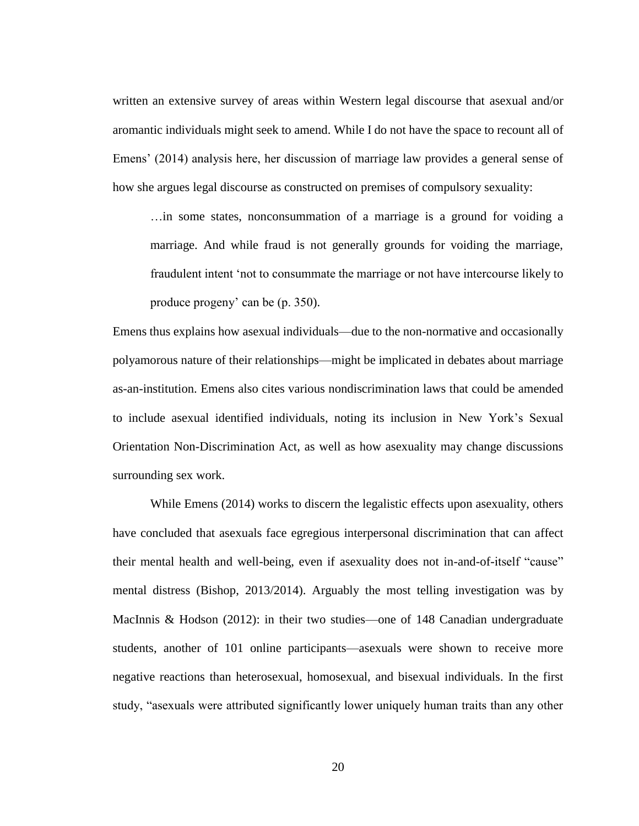written an extensive survey of areas within Western legal discourse that asexual and/or aromantic individuals might seek to amend. While I do not have the space to recount all of Emens' (2014) analysis here, her discussion of marriage law provides a general sense of how she argues legal discourse as constructed on premises of compulsory sexuality:

…in some states, nonconsummation of a marriage is a ground for voiding a marriage. And while fraud is not generally grounds for voiding the marriage, fraudulent intent 'not to consummate the marriage or not have intercourse likely to produce progeny' can be (p. 350).

Emens thus explains how asexual individuals—due to the non-normative and occasionally polyamorous nature of their relationships—might be implicated in debates about marriage as-an-institution. Emens also cites various nondiscrimination laws that could be amended to include asexual identified individuals, noting its inclusion in New York's Sexual Orientation Non-Discrimination Act, as well as how asexuality may change discussions surrounding sex work.

While Emens (2014) works to discern the legalistic effects upon asexuality, others have concluded that asexuals face egregious interpersonal discrimination that can affect their mental health and well-being, even if asexuality does not in-and-of-itself "cause" mental distress (Bishop, 2013/2014). Arguably the most telling investigation was by MacInnis & Hodson (2012): in their two studies—one of 148 Canadian undergraduate students, another of 101 online participants—asexuals were shown to receive more negative reactions than heterosexual, homosexual, and bisexual individuals. In the first study, "asexuals were attributed significantly lower uniquely human traits than any other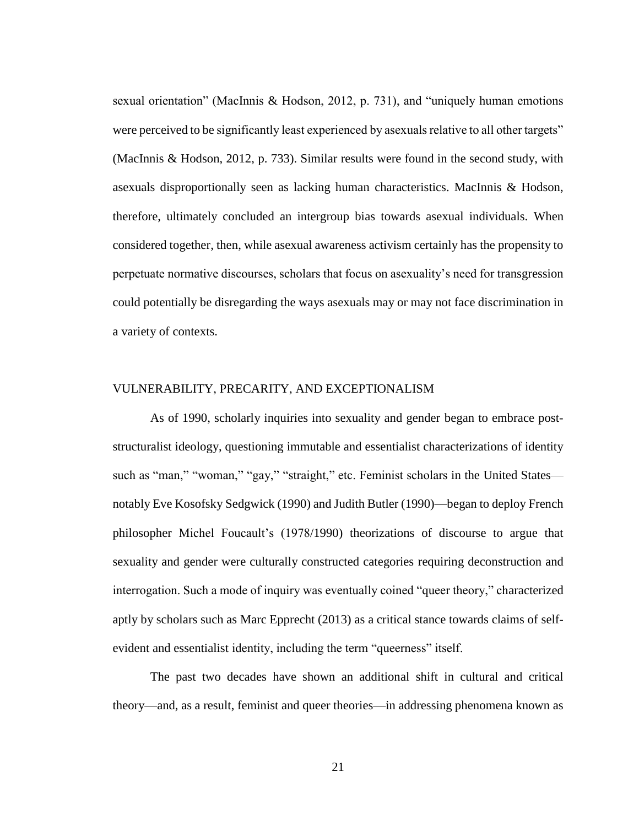sexual orientation" (MacInnis & Hodson, 2012, p. 731), and "uniquely human emotions were perceived to be significantly least experienced by asexuals relative to all other targets" (MacInnis & Hodson, 2012, p. 733). Similar results were found in the second study, with asexuals disproportionally seen as lacking human characteristics. MacInnis & Hodson, therefore, ultimately concluded an intergroup bias towards asexual individuals. When considered together, then, while asexual awareness activism certainly has the propensity to perpetuate normative discourses, scholars that focus on asexuality's need for transgression could potentially be disregarding the ways asexuals may or may not face discrimination in a variety of contexts.

#### VULNERABILITY, PRECARITY, AND EXCEPTIONALISM

As of 1990, scholarly inquiries into sexuality and gender began to embrace poststructuralist ideology, questioning immutable and essentialist characterizations of identity such as "man," "woman," "gay," "straight," etc. Feminist scholars in the United States notably Eve Kosofsky Sedgwick (1990) and Judith Butler (1990)—began to deploy French philosopher Michel Foucault's (1978/1990) theorizations of discourse to argue that sexuality and gender were culturally constructed categories requiring deconstruction and interrogation. Such a mode of inquiry was eventually coined "queer theory," characterized aptly by scholars such as Marc Epprecht (2013) as a critical stance towards claims of selfevident and essentialist identity, including the term "queerness" itself.

The past two decades have shown an additional shift in cultural and critical theory—and, as a result, feminist and queer theories—in addressing phenomena known as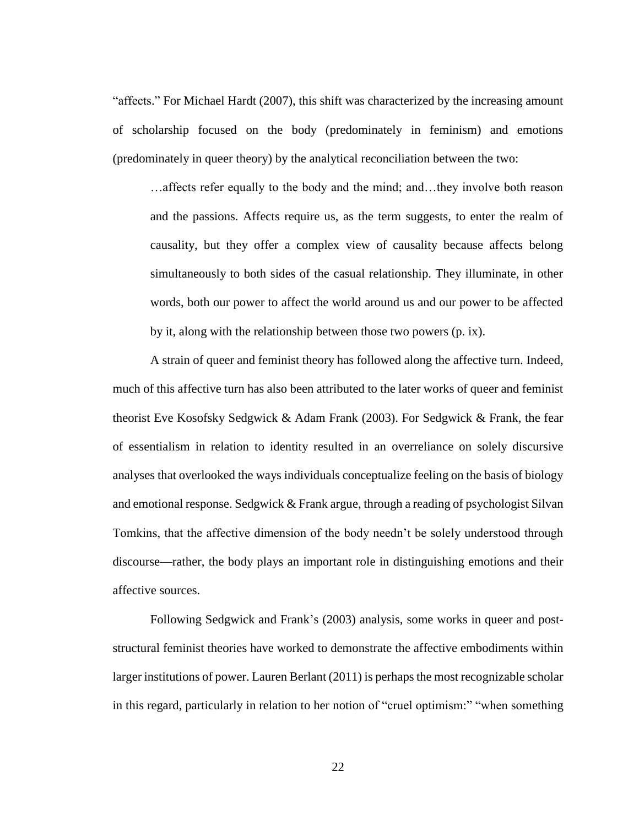"affects." For Michael Hardt (2007), this shift was characterized by the increasing amount of scholarship focused on the body (predominately in feminism) and emotions (predominately in queer theory) by the analytical reconciliation between the two:

…affects refer equally to the body and the mind; and…they involve both reason and the passions. Affects require us, as the term suggests, to enter the realm of causality, but they offer a complex view of causality because affects belong simultaneously to both sides of the casual relationship. They illuminate, in other words, both our power to affect the world around us and our power to be affected by it, along with the relationship between those two powers (p. ix).

A strain of queer and feminist theory has followed along the affective turn. Indeed, much of this affective turn has also been attributed to the later works of queer and feminist theorist Eve Kosofsky Sedgwick & Adam Frank (2003). For Sedgwick & Frank, the fear of essentialism in relation to identity resulted in an overreliance on solely discursive analyses that overlooked the ways individuals conceptualize feeling on the basis of biology and emotional response. Sedgwick & Frank argue, through a reading of psychologist Silvan Tomkins, that the affective dimension of the body needn't be solely understood through discourse—rather, the body plays an important role in distinguishing emotions and their affective sources.

Following Sedgwick and Frank's (2003) analysis, some works in queer and poststructural feminist theories have worked to demonstrate the affective embodiments within larger institutions of power. Lauren Berlant (2011) is perhaps the most recognizable scholar in this regard, particularly in relation to her notion of "cruel optimism:" "when something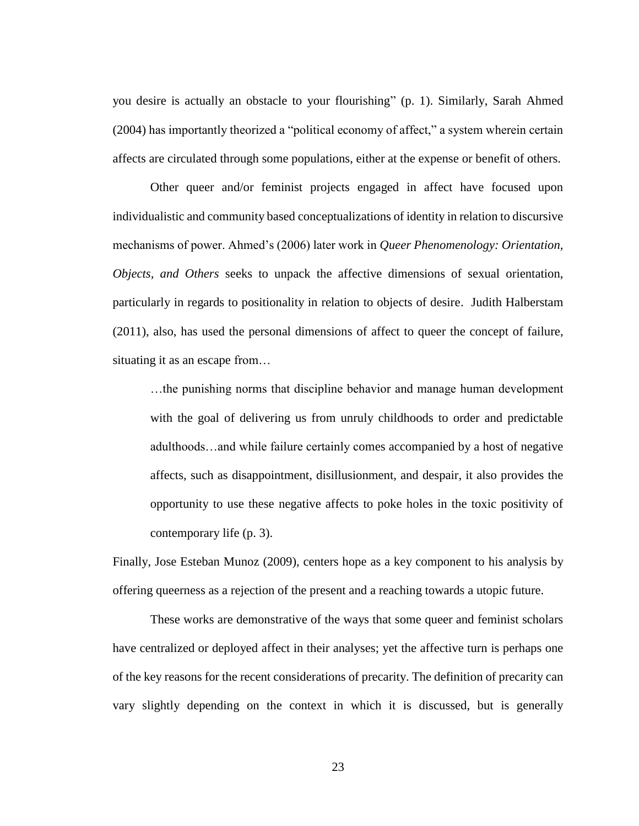you desire is actually an obstacle to your flourishing" (p. 1). Similarly, Sarah Ahmed (2004) has importantly theorized a "political economy of affect," a system wherein certain affects are circulated through some populations, either at the expense or benefit of others.

Other queer and/or feminist projects engaged in affect have focused upon individualistic and community based conceptualizations of identity in relation to discursive mechanisms of power. Ahmed's (2006) later work in *Queer Phenomenology: Orientation, Objects, and Others* seeks to unpack the affective dimensions of sexual orientation, particularly in regards to positionality in relation to objects of desire. Judith Halberstam (2011), also, has used the personal dimensions of affect to queer the concept of failure, situating it as an escape from…

…the punishing norms that discipline behavior and manage human development with the goal of delivering us from unruly childhoods to order and predictable adulthoods…and while failure certainly comes accompanied by a host of negative affects, such as disappointment, disillusionment, and despair, it also provides the opportunity to use these negative affects to poke holes in the toxic positivity of contemporary life (p. 3).

Finally, Jose Esteban Munoz (2009), centers hope as a key component to his analysis by offering queerness as a rejection of the present and a reaching towards a utopic future.

These works are demonstrative of the ways that some queer and feminist scholars have centralized or deployed affect in their analyses; yet the affective turn is perhaps one of the key reasons for the recent considerations of precarity. The definition of precarity can vary slightly depending on the context in which it is discussed, but is generally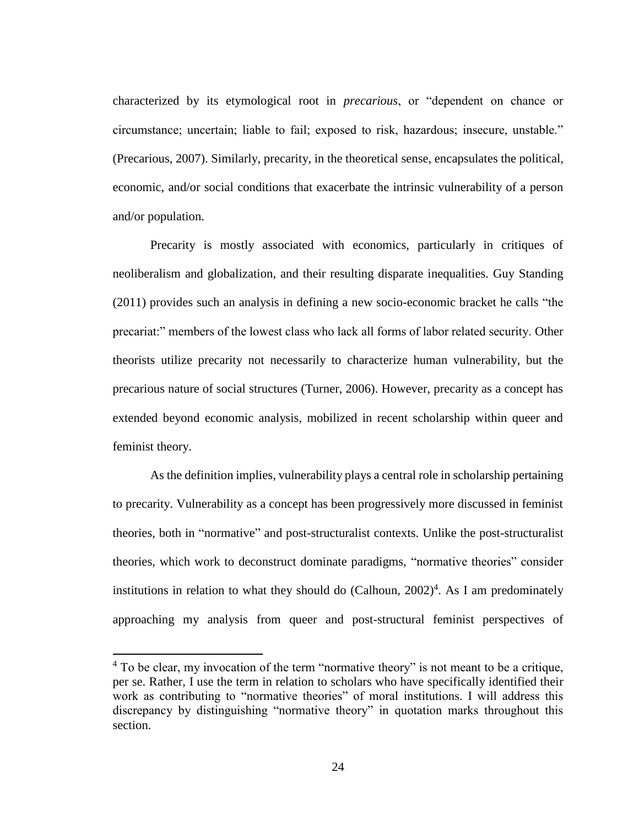characterized by its etymological root in *precarious*, or "dependent on chance or circumstance; uncertain; liable to fail; exposed to risk, hazardous; insecure, unstable." (Precarious*,* 2007). Similarly, precarity, in the theoretical sense, encapsulates the political, economic, and/or social conditions that exacerbate the intrinsic vulnerability of a person and/or population.

Precarity is mostly associated with economics, particularly in critiques of neoliberalism and globalization, and their resulting disparate inequalities. Guy Standing (2011) provides such an analysis in defining a new socio-economic bracket he calls "the precariat:" members of the lowest class who lack all forms of labor related security. Other theorists utilize precarity not necessarily to characterize human vulnerability, but the precarious nature of social structures (Turner, 2006). However, precarity as a concept has extended beyond economic analysis, mobilized in recent scholarship within queer and feminist theory.

As the definition implies, vulnerability plays a central role in scholarship pertaining to precarity. Vulnerability as a concept has been progressively more discussed in feminist theories, both in "normative" and post-structuralist contexts. Unlike the post-structuralist theories, which work to deconstruct dominate paradigms, "normative theories" consider institutions in relation to what they should do (Calhoun, 2002) 4 . As I am predominately approaching my analysis from queer and post-structural feminist perspectives of

 $\overline{a}$ 

<sup>&</sup>lt;sup>4</sup> To be clear, my invocation of the term "normative theory" is not meant to be a critique, per se. Rather, I use the term in relation to scholars who have specifically identified their work as contributing to "normative theories" of moral institutions. I will address this discrepancy by distinguishing "normative theory" in quotation marks throughout this section.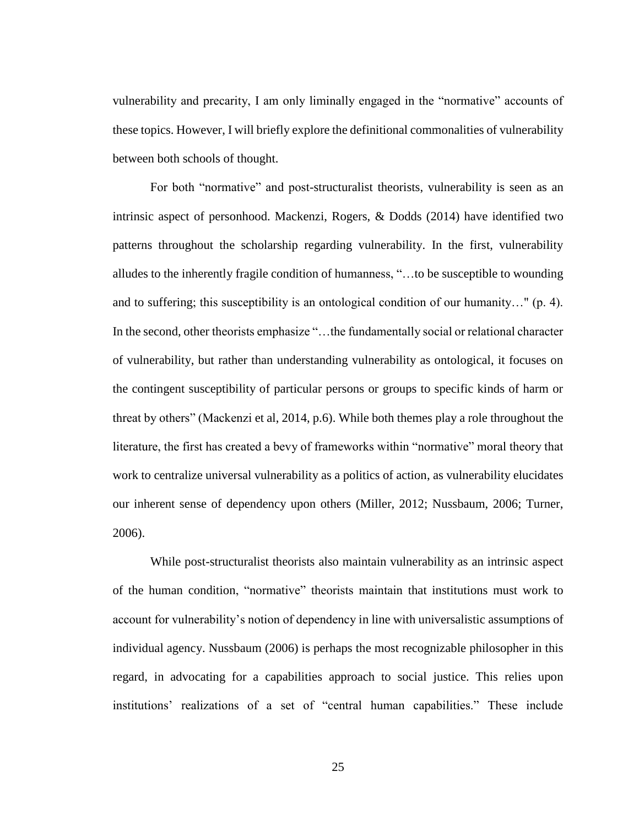vulnerability and precarity, I am only liminally engaged in the "normative" accounts of these topics. However, I will briefly explore the definitional commonalities of vulnerability between both schools of thought.

For both "normative" and post-structuralist theorists, vulnerability is seen as an intrinsic aspect of personhood. Mackenzi, Rogers, & Dodds (2014) have identified two patterns throughout the scholarship regarding vulnerability. In the first, vulnerability alludes to the inherently fragile condition of humanness, "…to be susceptible to wounding and to suffering; this susceptibility is an ontological condition of our humanity…" (p. 4). In the second, other theorists emphasize "…the fundamentally social or relational character of vulnerability, but rather than understanding vulnerability as ontological, it focuses on the contingent susceptibility of particular persons or groups to specific kinds of harm or threat by others" (Mackenzi et al, 2014, p.6). While both themes play a role throughout the literature, the first has created a bevy of frameworks within "normative" moral theory that work to centralize universal vulnerability as a politics of action, as vulnerability elucidates our inherent sense of dependency upon others (Miller, 2012; Nussbaum, 2006; Turner, 2006).

While post-structuralist theorists also maintain vulnerability as an intrinsic aspect of the human condition, "normative" theorists maintain that institutions must work to account for vulnerability's notion of dependency in line with universalistic assumptions of individual agency. Nussbaum (2006) is perhaps the most recognizable philosopher in this regard, in advocating for a capabilities approach to social justice. This relies upon institutions' realizations of a set of "central human capabilities." These include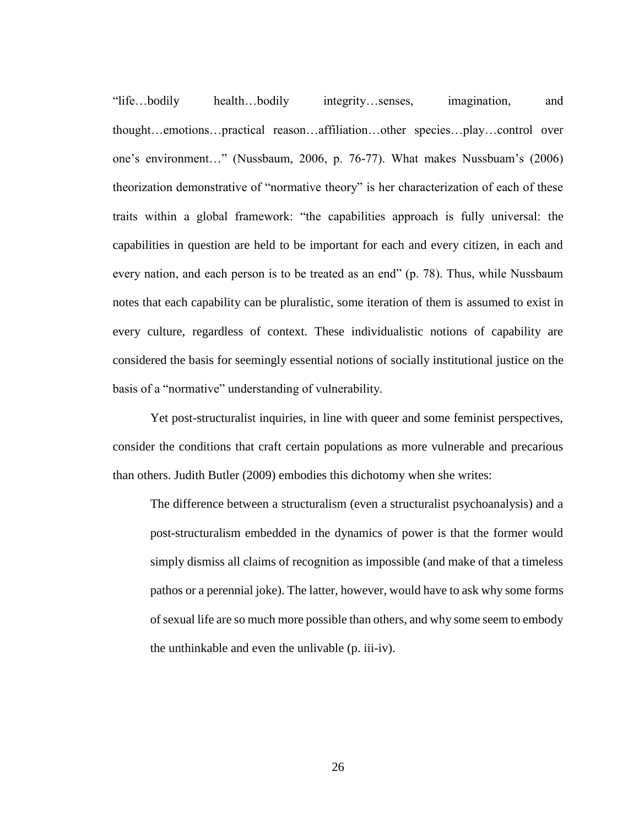"life…bodily health…bodily integrity…senses, imagination, and thought…emotions…practical reason…affiliation…other species…play…control over one's environment…" (Nussbaum, 2006, p. 76-77). What makes Nussbuam's (2006) theorization demonstrative of "normative theory" is her characterization of each of these traits within a global framework: "the capabilities approach is fully universal: the capabilities in question are held to be important for each and every citizen, in each and every nation, and each person is to be treated as an end" (p. 78). Thus, while Nussbaum notes that each capability can be pluralistic, some iteration of them is assumed to exist in every culture, regardless of context. These individualistic notions of capability are considered the basis for seemingly essential notions of socially institutional justice on the basis of a "normative" understanding of vulnerability.

Yet post-structuralist inquiries, in line with queer and some feminist perspectives, consider the conditions that craft certain populations as more vulnerable and precarious than others. Judith Butler (2009) embodies this dichotomy when she writes:

The difference between a structuralism (even a structuralist psychoanalysis) and a post-structuralism embedded in the dynamics of power is that the former would simply dismiss all claims of recognition as impossible (and make of that a timeless pathos or a perennial joke). The latter, however, would have to ask why some forms of sexual life are so much more possible than others, and why some seem to embody the unthinkable and even the unlivable (p. iii-iv).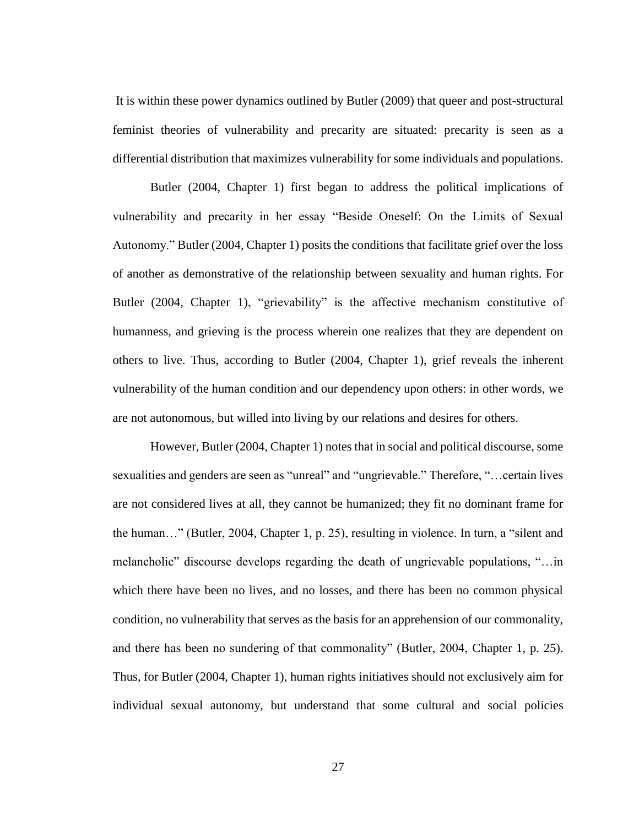It is within these power dynamics outlined by Butler (2009) that queer and post-structural feminist theories of vulnerability and precarity are situated: precarity is seen as a differential distribution that maximizes vulnerability for some individuals and populations.

Butler (2004, Chapter 1) first began to address the political implications of vulnerability and precarity in her essay "Beside Oneself: On the Limits of Sexual Autonomy." Butler (2004, Chapter 1) posits the conditions that facilitate grief over the loss of another as demonstrative of the relationship between sexuality and human rights. For Butler (2004, Chapter 1), "grievability" is the affective mechanism constitutive of humanness, and grieving is the process wherein one realizes that they are dependent on others to live. Thus, according to Butler (2004, Chapter 1), grief reveals the inherent vulnerability of the human condition and our dependency upon others: in other words, we are not autonomous, but willed into living by our relations and desires for others.

However, Butler (2004, Chapter 1) notes that in social and political discourse, some sexualities and genders are seen as "unreal" and "ungrievable." Therefore, "…certain lives are not considered lives at all, they cannot be humanized; they fit no dominant frame for the human…" (Butler, 2004, Chapter 1, p. 25), resulting in violence. In turn, a "silent and melancholic" discourse develops regarding the death of ungrievable populations, "…in which there have been no lives, and no losses, and there has been no common physical condition, no vulnerability that serves as the basis for an apprehension of our commonality, and there has been no sundering of that commonality" (Butler, 2004, Chapter 1, p. 25). Thus, for Butler (2004, Chapter 1), human rights initiatives should not exclusively aim for individual sexual autonomy, but understand that some cultural and social policies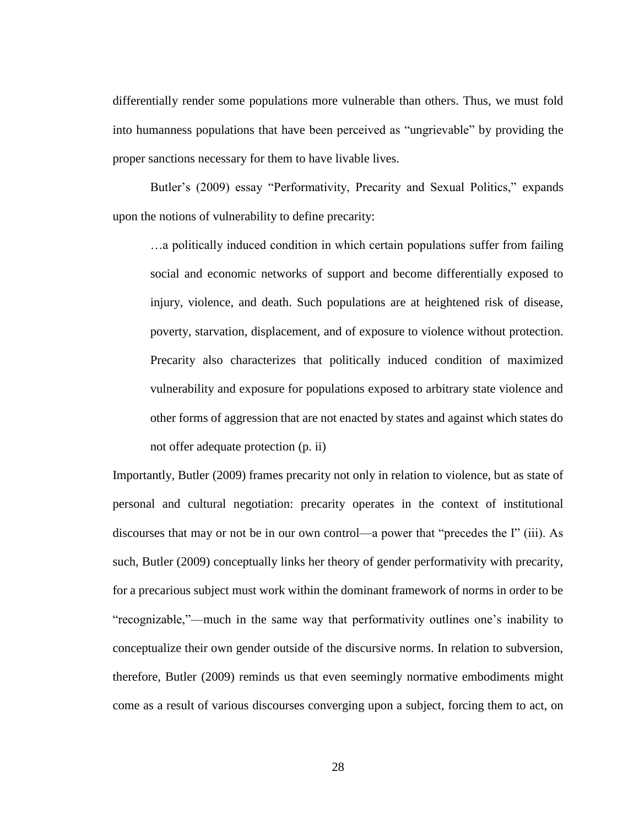differentially render some populations more vulnerable than others. Thus, we must fold into humanness populations that have been perceived as "ungrievable" by providing the proper sanctions necessary for them to have livable lives.

Butler's (2009) essay "Performativity, Precarity and Sexual Politics," expands upon the notions of vulnerability to define precarity:

…a politically induced condition in which certain populations suffer from failing social and economic networks of support and become differentially exposed to injury, violence, and death. Such populations are at heightened risk of disease, poverty, starvation, displacement, and of exposure to violence without protection. Precarity also characterizes that politically induced condition of maximized vulnerability and exposure for populations exposed to arbitrary state violence and other forms of aggression that are not enacted by states and against which states do not offer adequate protection (p. ii)

Importantly, Butler (2009) frames precarity not only in relation to violence, but as state of personal and cultural negotiation: precarity operates in the context of institutional discourses that may or not be in our own control—a power that "precedes the I" (iii). As such, Butler (2009) conceptually links her theory of gender performativity with precarity, for a precarious subject must work within the dominant framework of norms in order to be "recognizable,"—much in the same way that performativity outlines one's inability to conceptualize their own gender outside of the discursive norms. In relation to subversion, therefore, Butler (2009) reminds us that even seemingly normative embodiments might come as a result of various discourses converging upon a subject, forcing them to act, on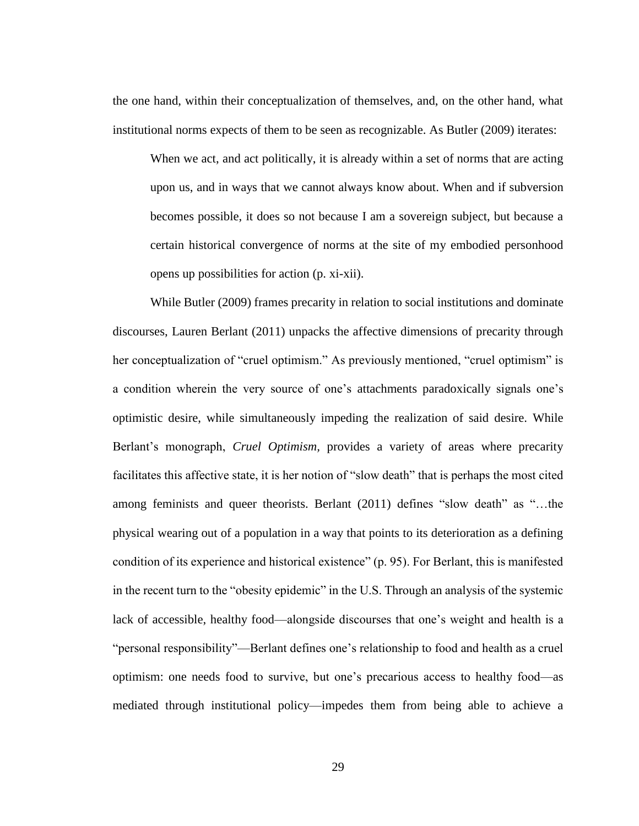the one hand, within their conceptualization of themselves, and, on the other hand, what institutional norms expects of them to be seen as recognizable. As Butler (2009) iterates:

When we act, and act politically, it is already within a set of norms that are acting upon us, and in ways that we cannot always know about. When and if subversion becomes possible, it does so not because I am a sovereign subject, but because a certain historical convergence of norms at the site of my embodied personhood opens up possibilities for action (p. xi-xii).

While Butler (2009) frames precarity in relation to social institutions and dominate discourses, Lauren Berlant (2011) unpacks the affective dimensions of precarity through her conceptualization of "cruel optimism." As previously mentioned, "cruel optimism" is a condition wherein the very source of one's attachments paradoxically signals one's optimistic desire, while simultaneously impeding the realization of said desire. While Berlant's monograph, *Cruel Optimism,* provides a variety of areas where precarity facilitates this affective state, it is her notion of "slow death" that is perhaps the most cited among feminists and queer theorists. Berlant (2011) defines "slow death" as "…the physical wearing out of a population in a way that points to its deterioration as a defining condition of its experience and historical existence" (p. 95). For Berlant, this is manifested in the recent turn to the "obesity epidemic" in the U.S. Through an analysis of the systemic lack of accessible, healthy food—alongside discourses that one's weight and health is a "personal responsibility"—Berlant defines one's relationship to food and health as a cruel optimism: one needs food to survive, but one's precarious access to healthy food—as mediated through institutional policy—impedes them from being able to achieve a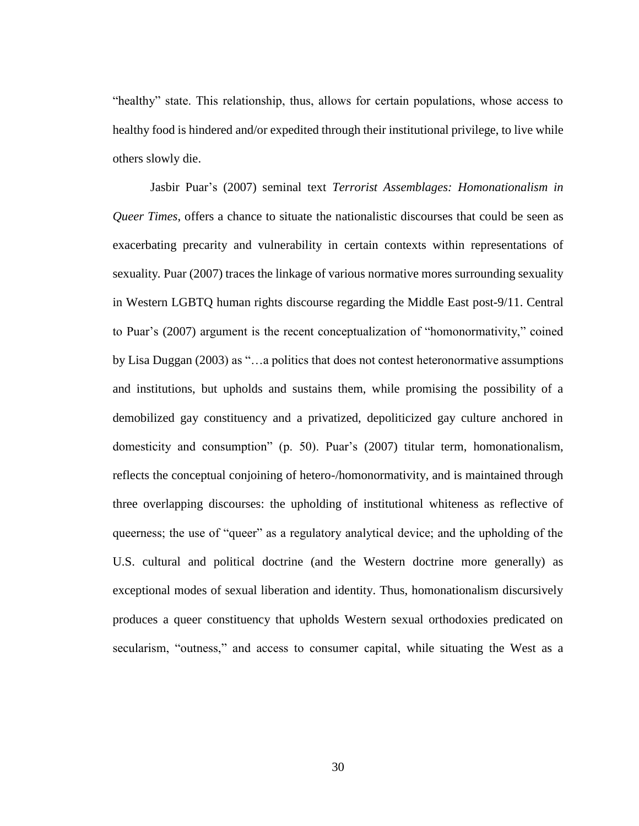"healthy" state. This relationship, thus, allows for certain populations, whose access to healthy food is hindered and/or expedited through their institutional privilege, to live while others slowly die.

Jasbir Puar's (2007) seminal text *Terrorist Assemblages: Homonationalism in Queer Times*, offers a chance to situate the nationalistic discourses that could be seen as exacerbating precarity and vulnerability in certain contexts within representations of sexuality*.* Puar (2007) traces the linkage of various normative mores surrounding sexuality in Western LGBTQ human rights discourse regarding the Middle East post-9/11. Central to Puar's (2007) argument is the recent conceptualization of "homonormativity," coined by Lisa Duggan (2003) as "…a politics that does not contest heteronormative assumptions and institutions, but upholds and sustains them, while promising the possibility of a demobilized gay constituency and a privatized, depoliticized gay culture anchored in domesticity and consumption" (p. 50). Puar's (2007) titular term, homonationalism, reflects the conceptual conjoining of hetero-/homonormativity, and is maintained through three overlapping discourses: the upholding of institutional whiteness as reflective of queerness; the use of "queer" as a regulatory analytical device; and the upholding of the U.S. cultural and political doctrine (and the Western doctrine more generally) as exceptional modes of sexual liberation and identity. Thus, homonationalism discursively produces a queer constituency that upholds Western sexual orthodoxies predicated on secularism, "outness," and access to consumer capital, while situating the West as a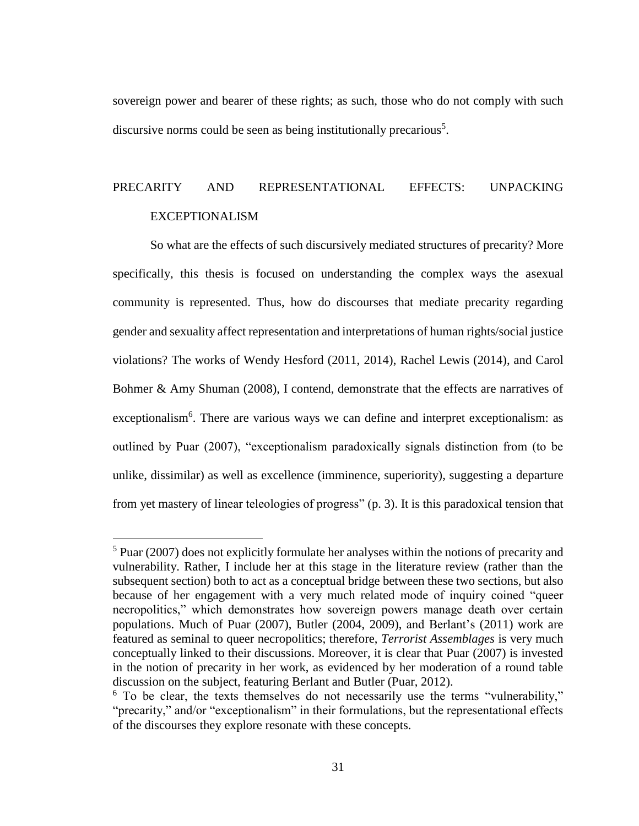sovereign power and bearer of these rights; as such, those who do not comply with such discursive norms could be seen as being institutionally precarious<sup>5</sup>.

## PRECARITY AND REPRESENTATIONAL EFFECTS: UNPACKING EXCEPTIONALISM

So what are the effects of such discursively mediated structures of precarity? More specifically, this thesis is focused on understanding the complex ways the asexual community is represented. Thus, how do discourses that mediate precarity regarding gender and sexuality affect representation and interpretations of human rights/social justice violations? The works of Wendy Hesford (2011, 2014), Rachel Lewis (2014), and Carol Bohmer & Amy Shuman (2008), I contend, demonstrate that the effects are narratives of exceptionalism<sup>6</sup>. There are various ways we can define and interpret exceptionalism: as outlined by Puar (2007), "exceptionalism paradoxically signals distinction from (to be unlike, dissimilar) as well as excellence (imminence, superiority), suggesting a departure from yet mastery of linear teleologies of progress" (p. 3). It is this paradoxical tension that

 $\overline{a}$ 

 $5$  Puar (2007) does not explicitly formulate her analyses within the notions of precarity and vulnerability. Rather, I include her at this stage in the literature review (rather than the subsequent section) both to act as a conceptual bridge between these two sections, but also because of her engagement with a very much related mode of inquiry coined "queer necropolitics," which demonstrates how sovereign powers manage death over certain populations. Much of Puar (2007), Butler (2004, 2009), and Berlant's (2011) work are featured as seminal to queer necropolitics; therefore, *Terrorist Assemblages* is very much conceptually linked to their discussions. Moreover, it is clear that Puar (2007) is invested in the notion of precarity in her work, as evidenced by her moderation of a round table discussion on the subject, featuring Berlant and Butler (Puar, 2012).

<sup>&</sup>lt;sup>6</sup> To be clear, the texts themselves do not necessarily use the terms "vulnerability," "precarity," and/or "exceptionalism" in their formulations, but the representational effects of the discourses they explore resonate with these concepts.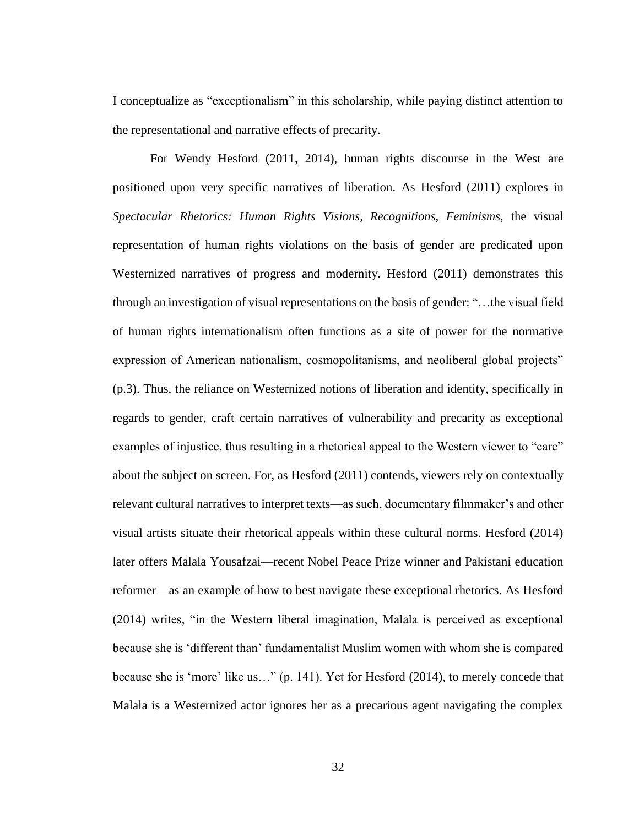I conceptualize as "exceptionalism" in this scholarship, while paying distinct attention to the representational and narrative effects of precarity.

For Wendy Hesford (2011, 2014), human rights discourse in the West are positioned upon very specific narratives of liberation. As Hesford (2011) explores in *Spectacular Rhetorics: Human Rights Visions, Recognitions, Feminisms,* the visual representation of human rights violations on the basis of gender are predicated upon Westernized narratives of progress and modernity. Hesford (2011) demonstrates this through an investigation of visual representations on the basis of gender: "…the visual field of human rights internationalism often functions as a site of power for the normative expression of American nationalism, cosmopolitanisms, and neoliberal global projects" (p.3). Thus, the reliance on Westernized notions of liberation and identity, specifically in regards to gender, craft certain narratives of vulnerability and precarity as exceptional examples of injustice, thus resulting in a rhetorical appeal to the Western viewer to "care" about the subject on screen. For, as Hesford (2011) contends, viewers rely on contextually relevant cultural narratives to interpret texts—as such, documentary filmmaker's and other visual artists situate their rhetorical appeals within these cultural norms. Hesford (2014) later offers Malala Yousafzai—recent Nobel Peace Prize winner and Pakistani education reformer—as an example of how to best navigate these exceptional rhetorics. As Hesford (2014) writes, "in the Western liberal imagination, Malala is perceived as exceptional because she is 'different than' fundamentalist Muslim women with whom she is compared because she is 'more' like us…" (p. 141). Yet for Hesford (2014), to merely concede that Malala is a Westernized actor ignores her as a precarious agent navigating the complex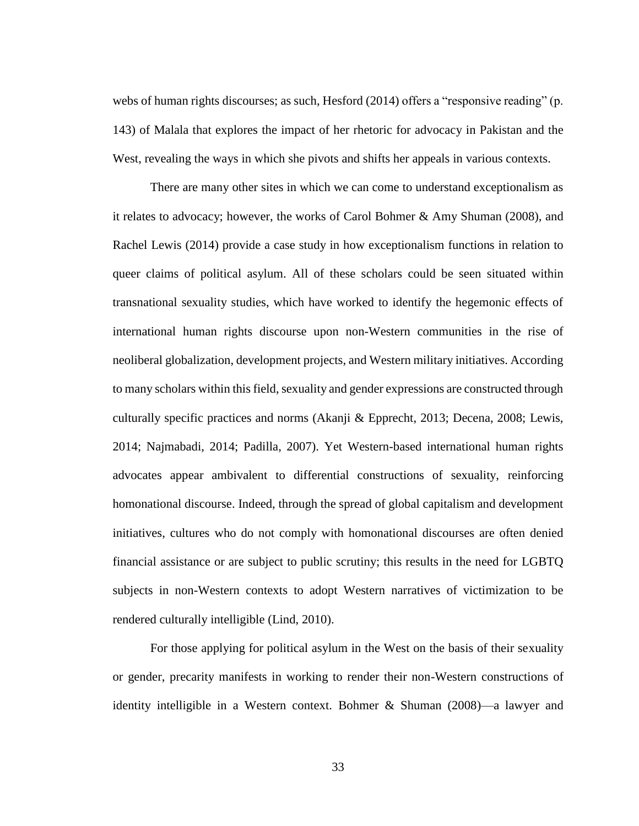webs of human rights discourses; as such, Hesford (2014) offers a "responsive reading" (p. 143) of Malala that explores the impact of her rhetoric for advocacy in Pakistan and the West, revealing the ways in which she pivots and shifts her appeals in various contexts.

There are many other sites in which we can come to understand exceptionalism as it relates to advocacy; however, the works of Carol Bohmer & Amy Shuman (2008), and Rachel Lewis (2014) provide a case study in how exceptionalism functions in relation to queer claims of political asylum. All of these scholars could be seen situated within transnational sexuality studies, which have worked to identify the hegemonic effects of international human rights discourse upon non-Western communities in the rise of neoliberal globalization, development projects, and Western military initiatives. According to many scholars within this field, sexuality and gender expressions are constructed through culturally specific practices and norms (Akanji & Epprecht, 2013; Decena, 2008; Lewis, 2014; Najmabadi, 2014; Padilla, 2007). Yet Western-based international human rights advocates appear ambivalent to differential constructions of sexuality, reinforcing homonational discourse. Indeed, through the spread of global capitalism and development initiatives, cultures who do not comply with homonational discourses are often denied financial assistance or are subject to public scrutiny; this results in the need for LGBTQ subjects in non-Western contexts to adopt Western narratives of victimization to be rendered culturally intelligible (Lind, 2010).

For those applying for political asylum in the West on the basis of their sexuality or gender, precarity manifests in working to render their non-Western constructions of identity intelligible in a Western context. Bohmer & Shuman (2008)—a lawyer and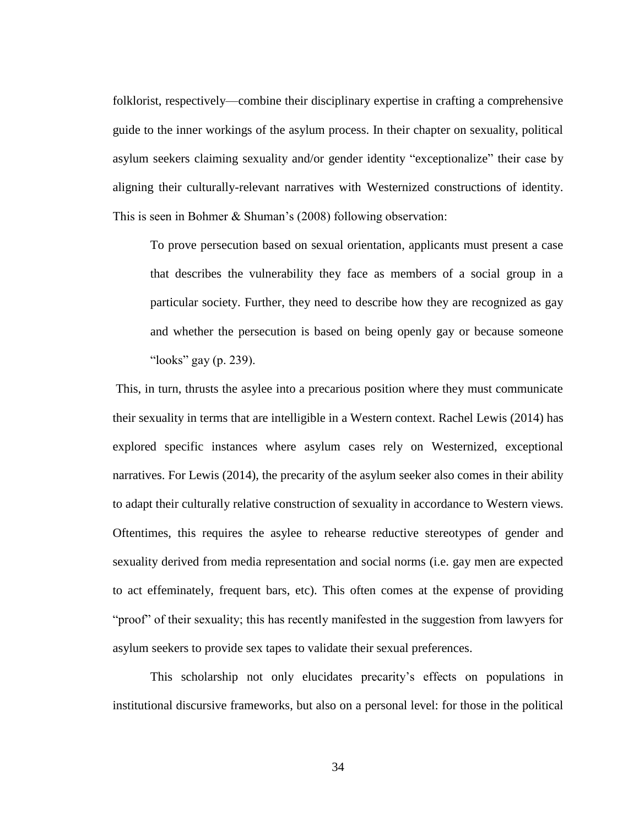folklorist, respectively—combine their disciplinary expertise in crafting a comprehensive guide to the inner workings of the asylum process. In their chapter on sexuality, political asylum seekers claiming sexuality and/or gender identity "exceptionalize" their case by aligning their culturally-relevant narratives with Westernized constructions of identity. This is seen in Bohmer & Shuman's (2008) following observation:

To prove persecution based on sexual orientation, applicants must present a case that describes the vulnerability they face as members of a social group in a particular society. Further, they need to describe how they are recognized as gay and whether the persecution is based on being openly gay or because someone "looks" gay (p. 239).

This, in turn, thrusts the asylee into a precarious position where they must communicate their sexuality in terms that are intelligible in a Western context. Rachel Lewis (2014) has explored specific instances where asylum cases rely on Westernized, exceptional narratives. For Lewis (2014), the precarity of the asylum seeker also comes in their ability to adapt their culturally relative construction of sexuality in accordance to Western views. Oftentimes, this requires the asylee to rehearse reductive stereotypes of gender and sexuality derived from media representation and social norms (i.e. gay men are expected to act effeminately, frequent bars, etc). This often comes at the expense of providing "proof" of their sexuality; this has recently manifested in the suggestion from lawyers for asylum seekers to provide sex tapes to validate their sexual preferences.

This scholarship not only elucidates precarity's effects on populations in institutional discursive frameworks, but also on a personal level: for those in the political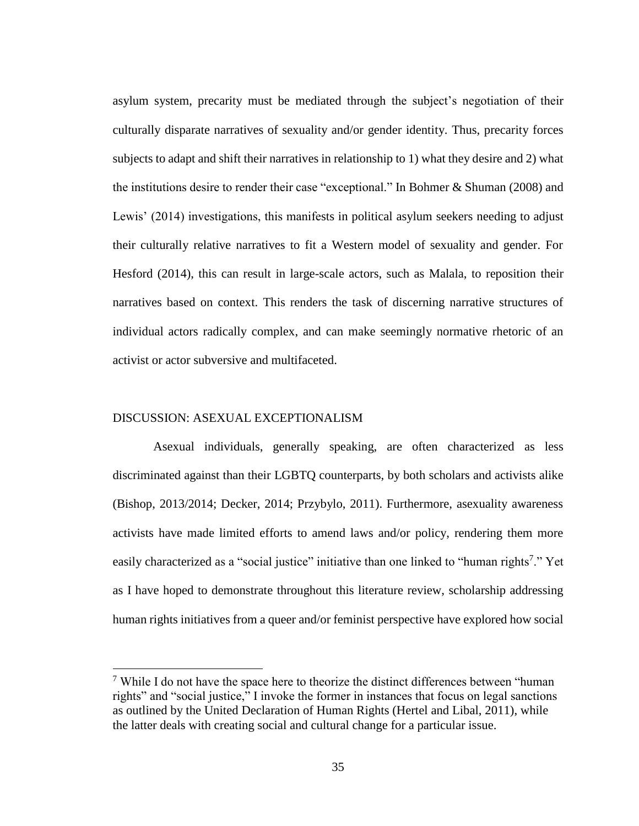asylum system, precarity must be mediated through the subject's negotiation of their culturally disparate narratives of sexuality and/or gender identity. Thus, precarity forces subjects to adapt and shift their narratives in relationship to 1) what they desire and 2) what the institutions desire to render their case "exceptional." In Bohmer & Shuman (2008) and Lewis' (2014) investigations, this manifests in political asylum seekers needing to adjust their culturally relative narratives to fit a Western model of sexuality and gender. For Hesford (2014), this can result in large-scale actors, such as Malala, to reposition their narratives based on context. This renders the task of discerning narrative structures of individual actors radically complex, and can make seemingly normative rhetoric of an activist or actor subversive and multifaceted.

### DISCUSSION: ASEXUAL EXCEPTIONALISM

 $\overline{a}$ 

Asexual individuals, generally speaking, are often characterized as less discriminated against than their LGBTQ counterparts, by both scholars and activists alike (Bishop, 2013/2014; Decker, 2014; Przybylo, 2011). Furthermore, asexuality awareness activists have made limited efforts to amend laws and/or policy, rendering them more easily characterized as a "social justice" initiative than one linked to "human rights<sup>7</sup>." Yet as I have hoped to demonstrate throughout this literature review, scholarship addressing human rights initiatives from a queer and/or feminist perspective have explored how social

<sup>&</sup>lt;sup>7</sup> While I do not have the space here to theorize the distinct differences between "human" rights" and "social justice," I invoke the former in instances that focus on legal sanctions as outlined by the United Declaration of Human Rights (Hertel and Libal, 2011), while the latter deals with creating social and cultural change for a particular issue.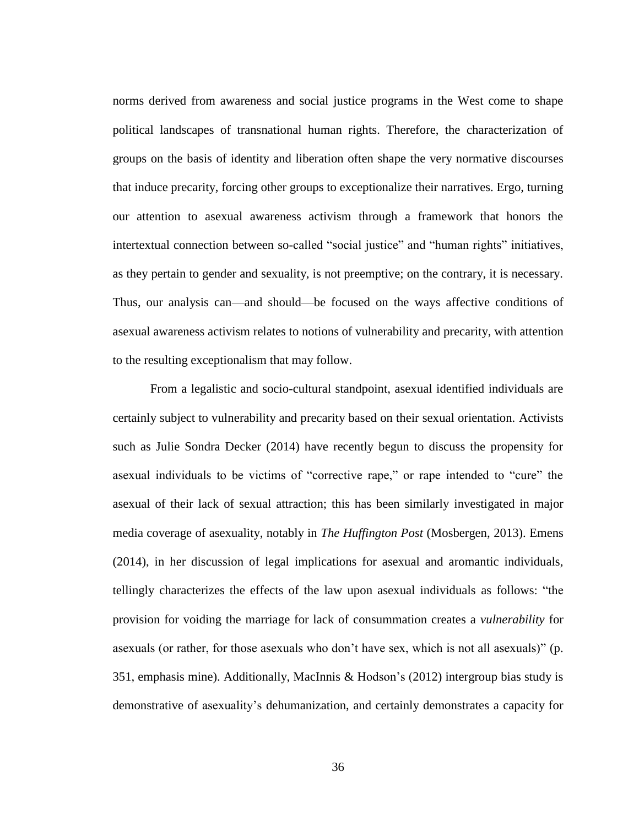norms derived from awareness and social justice programs in the West come to shape political landscapes of transnational human rights. Therefore, the characterization of groups on the basis of identity and liberation often shape the very normative discourses that induce precarity, forcing other groups to exceptionalize their narratives. Ergo, turning our attention to asexual awareness activism through a framework that honors the intertextual connection between so-called "social justice" and "human rights" initiatives, as they pertain to gender and sexuality, is not preemptive; on the contrary, it is necessary. Thus, our analysis can—and should—be focused on the ways affective conditions of asexual awareness activism relates to notions of vulnerability and precarity, with attention to the resulting exceptionalism that may follow.

From a legalistic and socio-cultural standpoint, asexual identified individuals are certainly subject to vulnerability and precarity based on their sexual orientation. Activists such as Julie Sondra Decker (2014) have recently begun to discuss the propensity for asexual individuals to be victims of "corrective rape," or rape intended to "cure" the asexual of their lack of sexual attraction; this has been similarly investigated in major media coverage of asexuality, notably in *The Huffington Post* (Mosbergen, 2013). Emens (2014), in her discussion of legal implications for asexual and aromantic individuals, tellingly characterizes the effects of the law upon asexual individuals as follows: "the provision for voiding the marriage for lack of consummation creates a *vulnerability* for asexuals (or rather, for those asexuals who don't have sex, which is not all asexuals)" (p. 351, emphasis mine). Additionally, MacInnis & Hodson's (2012) intergroup bias study is demonstrative of asexuality's dehumanization, and certainly demonstrates a capacity for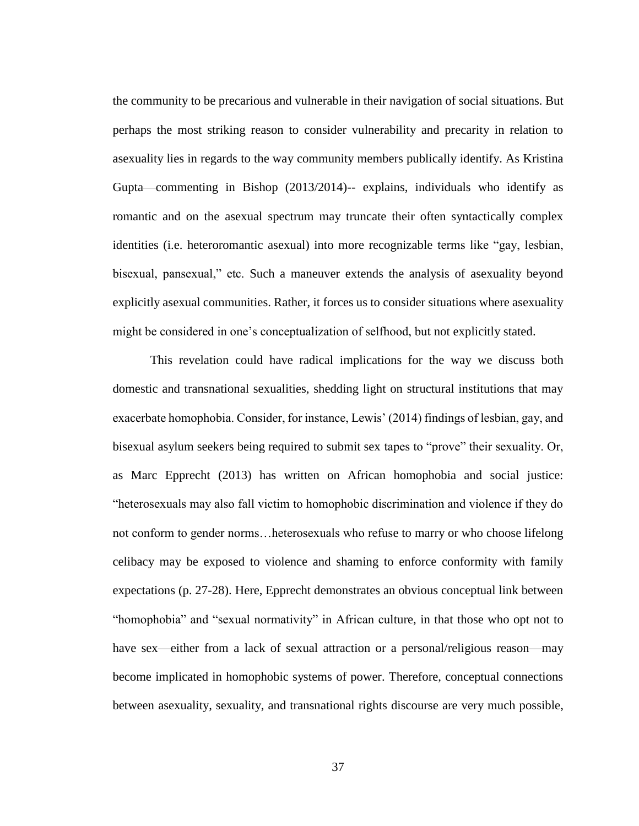the community to be precarious and vulnerable in their navigation of social situations. But perhaps the most striking reason to consider vulnerability and precarity in relation to asexuality lies in regards to the way community members publically identify. As Kristina Gupta—commenting in Bishop (2013/2014)-- explains, individuals who identify as romantic and on the asexual spectrum may truncate their often syntactically complex identities (i.e. heteroromantic asexual) into more recognizable terms like "gay, lesbian, bisexual, pansexual," etc. Such a maneuver extends the analysis of asexuality beyond explicitly asexual communities. Rather, it forces us to consider situations where asexuality might be considered in one's conceptualization of selfhood, but not explicitly stated.

This revelation could have radical implications for the way we discuss both domestic and transnational sexualities, shedding light on structural institutions that may exacerbate homophobia. Consider, for instance, Lewis' (2014) findings of lesbian, gay, and bisexual asylum seekers being required to submit sex tapes to "prove" their sexuality. Or, as Marc Epprecht (2013) has written on African homophobia and social justice: "heterosexuals may also fall victim to homophobic discrimination and violence if they do not conform to gender norms…heterosexuals who refuse to marry or who choose lifelong celibacy may be exposed to violence and shaming to enforce conformity with family expectations (p. 27-28). Here, Epprecht demonstrates an obvious conceptual link between "homophobia" and "sexual normativity" in African culture, in that those who opt not to have sex—either from a lack of sexual attraction or a personal/religious reason—may become implicated in homophobic systems of power. Therefore, conceptual connections between asexuality, sexuality, and transnational rights discourse are very much possible,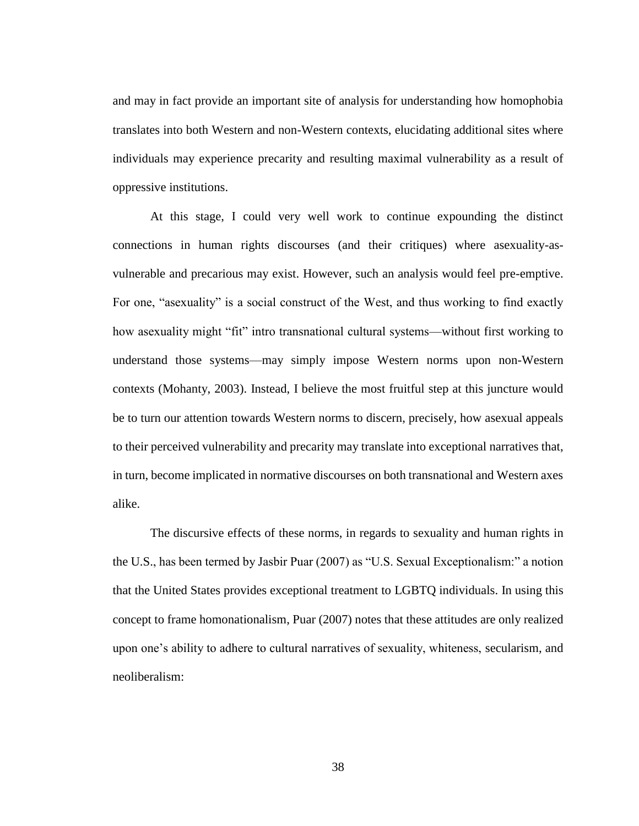and may in fact provide an important site of analysis for understanding how homophobia translates into both Western and non-Western contexts, elucidating additional sites where individuals may experience precarity and resulting maximal vulnerability as a result of oppressive institutions.

At this stage, I could very well work to continue expounding the distinct connections in human rights discourses (and their critiques) where asexuality-asvulnerable and precarious may exist. However, such an analysis would feel pre-emptive. For one, "asexuality" is a social construct of the West, and thus working to find exactly how asexuality might "fit" intro transnational cultural systems—without first working to understand those systems—may simply impose Western norms upon non-Western contexts (Mohanty, 2003). Instead, I believe the most fruitful step at this juncture would be to turn our attention towards Western norms to discern, precisely, how asexual appeals to their perceived vulnerability and precarity may translate into exceptional narratives that, in turn, become implicated in normative discourses on both transnational and Western axes alike.

The discursive effects of these norms, in regards to sexuality and human rights in the U.S., has been termed by Jasbir Puar (2007) as "U.S. Sexual Exceptionalism:" a notion that the United States provides exceptional treatment to LGBTQ individuals. In using this concept to frame homonationalism, Puar (2007) notes that these attitudes are only realized upon one's ability to adhere to cultural narratives of sexuality, whiteness, secularism, and neoliberalism: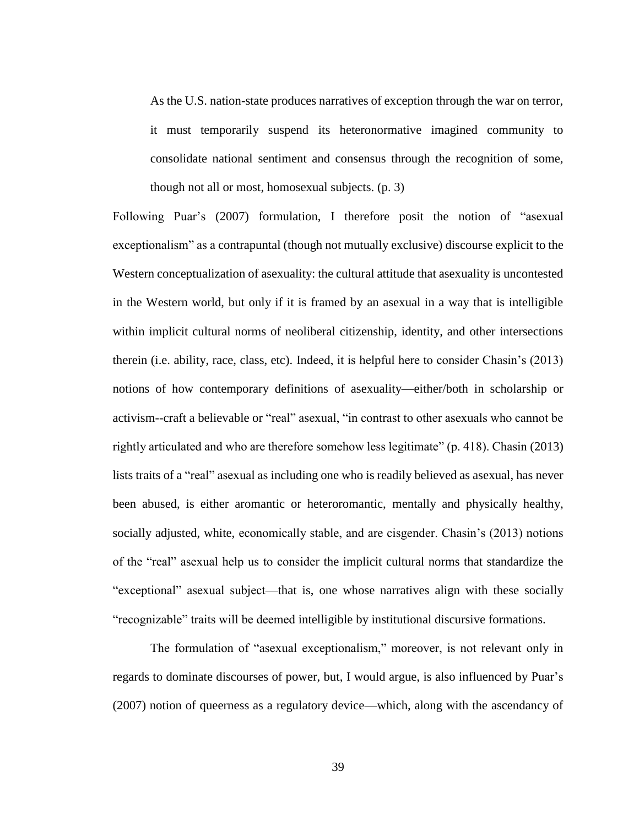As the U.S. nation-state produces narratives of exception through the war on terror, it must temporarily suspend its heteronormative imagined community to consolidate national sentiment and consensus through the recognition of some, though not all or most, homosexual subjects. (p. 3)

Following Puar's (2007) formulation, I therefore posit the notion of "asexual exceptionalism" as a contrapuntal (though not mutually exclusive) discourse explicit to the Western conceptualization of asexuality: the cultural attitude that asexuality is uncontested in the Western world, but only if it is framed by an asexual in a way that is intelligible within implicit cultural norms of neoliberal citizenship, identity, and other intersections therein (i.e. ability, race, class, etc). Indeed, it is helpful here to consider Chasin's (2013) notions of how contemporary definitions of asexuality—either/both in scholarship or activism--craft a believable or "real" asexual, "in contrast to other asexuals who cannot be rightly articulated and who are therefore somehow less legitimate" (p. 418). Chasin (2013) lists traits of a "real" asexual as including one who is readily believed as asexual, has never been abused, is either aromantic or heteroromantic, mentally and physically healthy, socially adjusted, white, economically stable, and are cisgender. Chasin's (2013) notions of the "real" asexual help us to consider the implicit cultural norms that standardize the "exceptional" asexual subject—that is, one whose narratives align with these socially "recognizable" traits will be deemed intelligible by institutional discursive formations.

The formulation of "asexual exceptionalism," moreover, is not relevant only in regards to dominate discourses of power, but, I would argue, is also influenced by Puar's (2007) notion of queerness as a regulatory device—which, along with the ascendancy of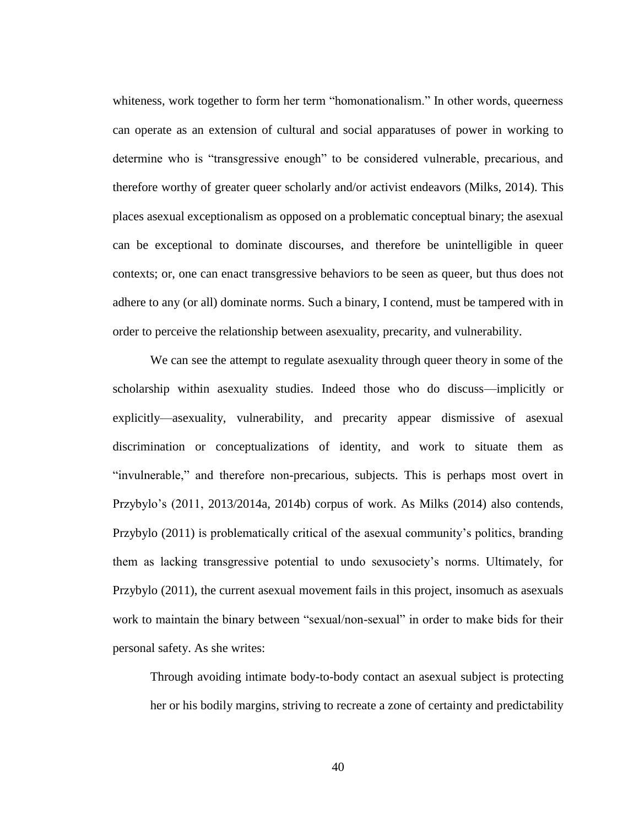whiteness, work together to form her term "homonationalism." In other words, queerness can operate as an extension of cultural and social apparatuses of power in working to determine who is "transgressive enough" to be considered vulnerable, precarious, and therefore worthy of greater queer scholarly and/or activist endeavors (Milks, 2014). This places asexual exceptionalism as opposed on a problematic conceptual binary; the asexual can be exceptional to dominate discourses, and therefore be unintelligible in queer contexts; or, one can enact transgressive behaviors to be seen as queer, but thus does not adhere to any (or all) dominate norms. Such a binary, I contend, must be tampered with in order to perceive the relationship between asexuality, precarity, and vulnerability.

We can see the attempt to regulate asexuality through queer theory in some of the scholarship within asexuality studies. Indeed those who do discuss—implicitly or explicitly—asexuality, vulnerability, and precarity appear dismissive of asexual discrimination or conceptualizations of identity, and work to situate them as "invulnerable," and therefore non-precarious, subjects. This is perhaps most overt in Przybylo's (2011, 2013/2014a, 2014b) corpus of work. As Milks (2014) also contends, Przybylo (2011) is problematically critical of the asexual community's politics, branding them as lacking transgressive potential to undo sexusociety's norms. Ultimately, for Przybylo (2011), the current asexual movement fails in this project, insomuch as asexuals work to maintain the binary between "sexual/non-sexual" in order to make bids for their personal safety. As she writes:

Through avoiding intimate body-to-body contact an asexual subject is protecting her or his bodily margins, striving to recreate a zone of certainty and predictability

40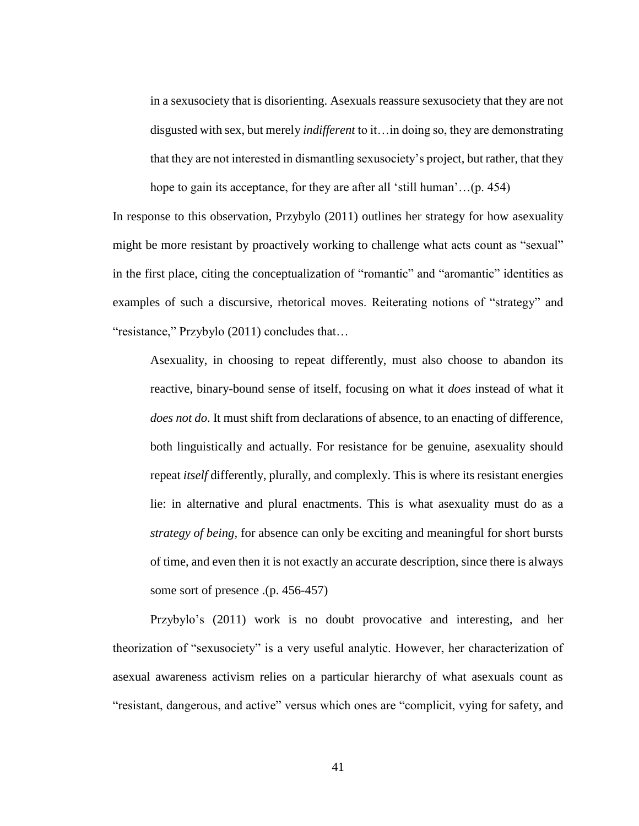in a sexusociety that is disorienting. Asexuals reassure sexusociety that they are not disgusted with sex, but merely *indifferent* to it…in doing so, they are demonstrating that they are not interested in dismantling sexusociety's project, but rather, that they hope to gain its acceptance, for they are after all 'still human'...(p. 454)

In response to this observation, Przybylo (2011) outlines her strategy for how asexuality might be more resistant by proactively working to challenge what acts count as "sexual" in the first place, citing the conceptualization of "romantic" and "aromantic" identities as examples of such a discursive, rhetorical moves. Reiterating notions of "strategy" and "resistance," Przybylo (2011) concludes that…

Asexuality, in choosing to repeat differently, must also choose to abandon its reactive, binary-bound sense of itself, focusing on what it *does* instead of what it *does not do*. It must shift from declarations of absence, to an enacting of difference, both linguistically and actually. For resistance for be genuine, asexuality should repeat *itself* differently, plurally, and complexly. This is where its resistant energies lie: in alternative and plural enactments. This is what asexuality must do as a *strategy of being,* for absence can only be exciting and meaningful for short bursts of time, and even then it is not exactly an accurate description, since there is always some sort of presence .(p. 456-457)

Przybylo's (2011) work is no doubt provocative and interesting, and her theorization of "sexusociety" is a very useful analytic. However, her characterization of asexual awareness activism relies on a particular hierarchy of what asexuals count as "resistant, dangerous, and active" versus which ones are "complicit, vying for safety, and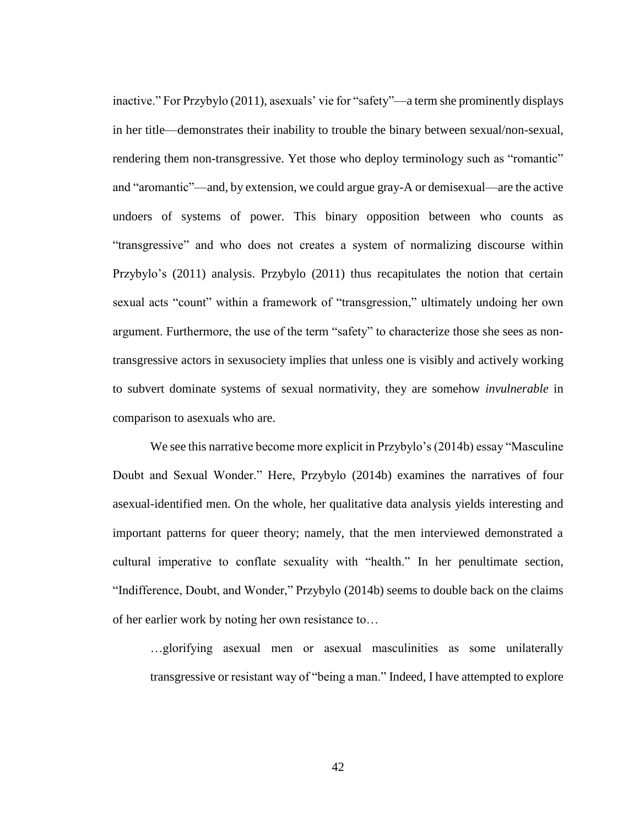inactive." For Przybylo (2011), asexuals' vie for "safety"—a term she prominently displays in her title—demonstrates their inability to trouble the binary between sexual/non-sexual, rendering them non-transgressive. Yet those who deploy terminology such as "romantic" and "aromantic"—and, by extension, we could argue gray-A or demisexual—are the active undoers of systems of power. This binary opposition between who counts as "transgressive" and who does not creates a system of normalizing discourse within Przybylo's (2011) analysis. Przybylo (2011) thus recapitulates the notion that certain sexual acts "count" within a framework of "transgression," ultimately undoing her own argument. Furthermore, the use of the term "safety" to characterize those she sees as nontransgressive actors in sexusociety implies that unless one is visibly and actively working to subvert dominate systems of sexual normativity, they are somehow *invulnerable* in comparison to asexuals who are.

We see this narrative become more explicit in Przybylo's (2014b) essay "Masculine Doubt and Sexual Wonder." Here, Przybylo (2014b) examines the narratives of four asexual-identified men. On the whole, her qualitative data analysis yields interesting and important patterns for queer theory; namely, that the men interviewed demonstrated a cultural imperative to conflate sexuality with "health." In her penultimate section, "Indifference, Doubt, and Wonder," Przybylo (2014b) seems to double back on the claims of her earlier work by noting her own resistance to…

…glorifying asexual men or asexual masculinities as some unilaterally transgressive or resistant way of "being a man." Indeed, I have attempted to explore

42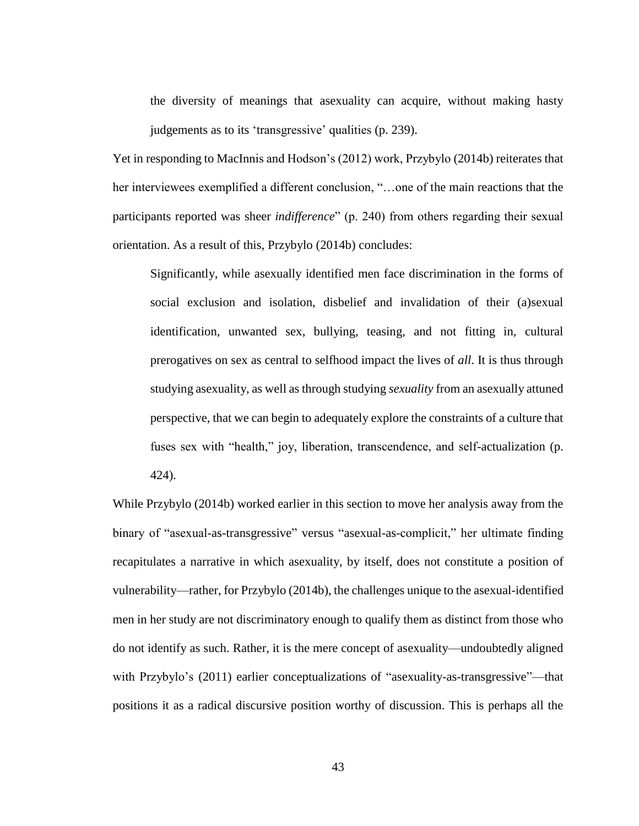the diversity of meanings that asexuality can acquire, without making hasty judgements as to its 'transgressive' qualities (p. 239).

Yet in responding to MacInnis and Hodson's (2012) work, Przybylo (2014b) reiterates that her interviewees exemplified a different conclusion, "…one of the main reactions that the participants reported was sheer *indifference*" (p. 240) from others regarding their sexual orientation. As a result of this, Przybylo (2014b) concludes:

Significantly, while asexually identified men face discrimination in the forms of social exclusion and isolation, disbelief and invalidation of their (a)sexual identification, unwanted sex, bullying, teasing, and not fitting in, cultural prerogatives on sex as central to selfhood impact the lives of *all*. It is thus through studying asexuality, as well as through studying *sexuality* from an asexually attuned perspective, that we can begin to adequately explore the constraints of a culture that fuses sex with "health," joy, liberation, transcendence, and self-actualization (p. 424).

While Przybylo (2014b) worked earlier in this section to move her analysis away from the binary of "asexual-as-transgressive" versus "asexual-as-complicit," her ultimate finding recapitulates a narrative in which asexuality, by itself, does not constitute a position of vulnerability—rather, for Przybylo (2014b), the challenges unique to the asexual-identified men in her study are not discriminatory enough to qualify them as distinct from those who do not identify as such. Rather, it is the mere concept of asexuality—undoubtedly aligned with Przybylo's (2011) earlier conceptualizations of "asexuality-as-transgressive"—that positions it as a radical discursive position worthy of discussion. This is perhaps all the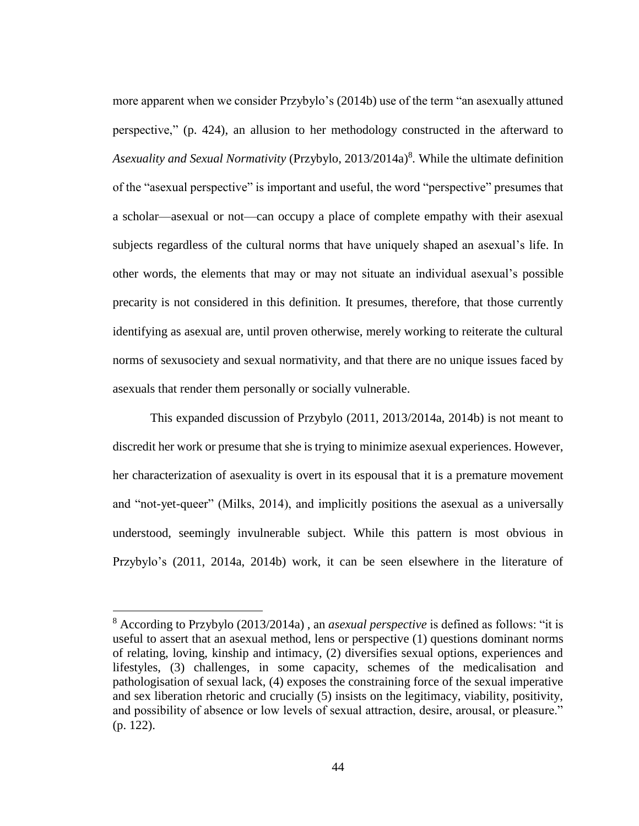more apparent when we consider Przybylo's (2014b) use of the term "an asexually attuned perspective," (p. 424), an allusion to her methodology constructed in the afterward to Asexuality and Sexual Normativity (Przybylo, 2013/2014a)<sup>8</sup>. While the ultimate definition of the "asexual perspective" is important and useful, the word "perspective" presumes that a scholar—asexual or not—can occupy a place of complete empathy with their asexual subjects regardless of the cultural norms that have uniquely shaped an asexual's life. In other words, the elements that may or may not situate an individual asexual's possible precarity is not considered in this definition. It presumes, therefore, that those currently identifying as asexual are, until proven otherwise, merely working to reiterate the cultural norms of sexusociety and sexual normativity, and that there are no unique issues faced by asexuals that render them personally or socially vulnerable.

This expanded discussion of Przybylo (2011, 2013/2014a, 2014b) is not meant to discredit her work or presume that she is trying to minimize asexual experiences. However, her characterization of asexuality is overt in its espousal that it is a premature movement and "not-yet-queer" (Milks, 2014), and implicitly positions the asexual as a universally understood, seemingly invulnerable subject. While this pattern is most obvious in Przybylo's (2011, 2014a, 2014b) work, it can be seen elsewhere in the literature of

 $\overline{a}$ 

<sup>8</sup> According to Przybylo (2013/2014a) , an *asexual perspective* is defined as follows: "it is useful to assert that an asexual method, lens or perspective (1) questions dominant norms of relating, loving, kinship and intimacy, (2) diversifies sexual options, experiences and lifestyles, (3) challenges, in some capacity, schemes of the medicalisation and pathologisation of sexual lack, (4) exposes the constraining force of the sexual imperative and sex liberation rhetoric and crucially (5) insists on the legitimacy, viability, positivity, and possibility of absence or low levels of sexual attraction, desire, arousal, or pleasure." (p. 122).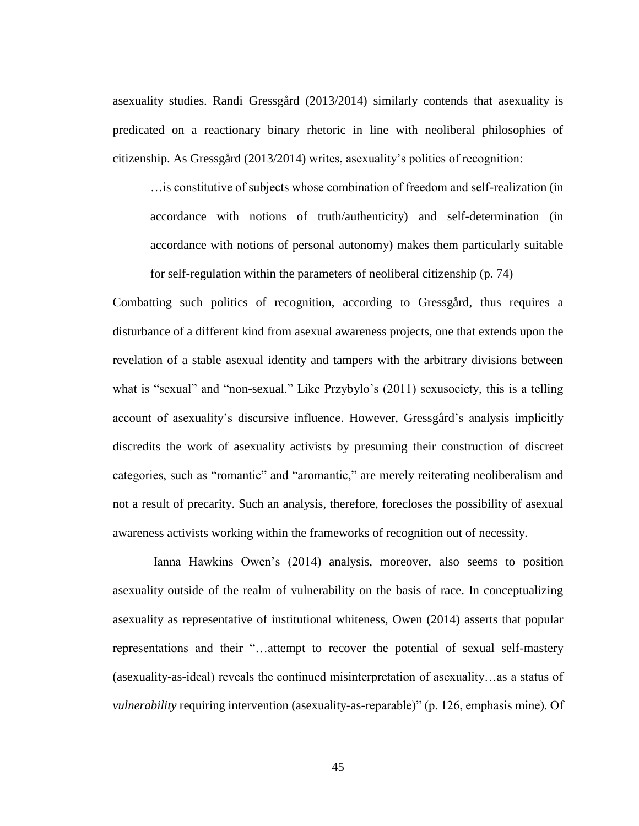asexuality studies. Randi Gressgård (2013/2014) similarly contends that asexuality is predicated on a reactionary binary rhetoric in line with neoliberal philosophies of citizenship. As Gressgård (2013/2014) writes, asexuality's politics of recognition:

…is constitutive of subjects whose combination of freedom and self-realization (in accordance with notions of truth/authenticity) and self-determination (in accordance with notions of personal autonomy) makes them particularly suitable for self-regulation within the parameters of neoliberal citizenship (p. 74)

Combatting such politics of recognition, according to Gressgård, thus requires a disturbance of a different kind from asexual awareness projects, one that extends upon the revelation of a stable asexual identity and tampers with the arbitrary divisions between what is "sexual" and "non-sexual." Like Przybylo's (2011) sexusociety, this is a telling account of asexuality's discursive influence. However, Gressgård's analysis implicitly discredits the work of asexuality activists by presuming their construction of discreet categories, such as "romantic" and "aromantic," are merely reiterating neoliberalism and not a result of precarity. Such an analysis, therefore, forecloses the possibility of asexual awareness activists working within the frameworks of recognition out of necessity.

Ianna Hawkins Owen's (2014) analysis, moreover, also seems to position asexuality outside of the realm of vulnerability on the basis of race. In conceptualizing asexuality as representative of institutional whiteness, Owen (2014) asserts that popular representations and their "…attempt to recover the potential of sexual self-mastery (asexuality-as-ideal) reveals the continued misinterpretation of asexuality…as a status of *vulnerability* requiring intervention (asexuality-as-reparable)" (p. 126, emphasis mine). Of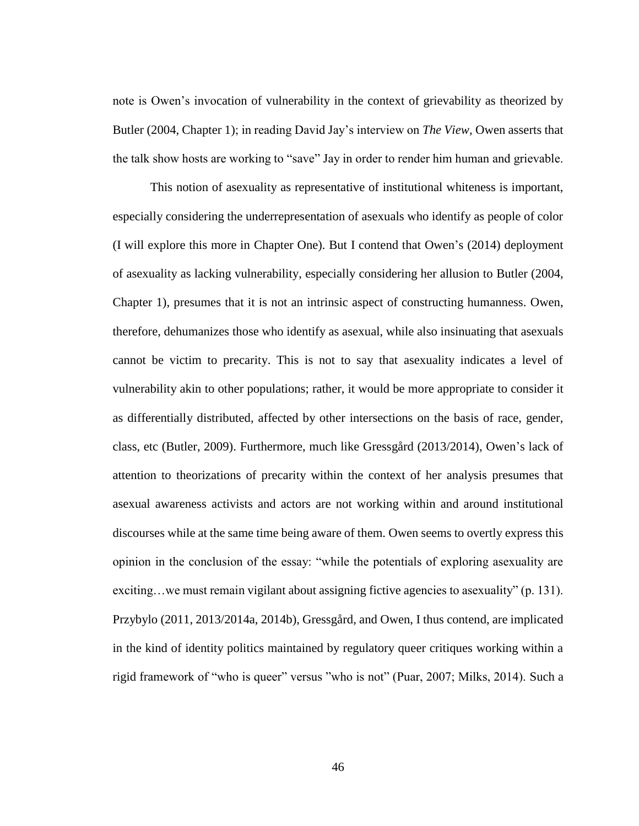note is Owen's invocation of vulnerability in the context of grievability as theorized by Butler (2004, Chapter 1); in reading David Jay's interview on *The View,* Owen asserts that the talk show hosts are working to "save" Jay in order to render him human and grievable.

This notion of asexuality as representative of institutional whiteness is important, especially considering the underrepresentation of asexuals who identify as people of color (I will explore this more in Chapter One). But I contend that Owen's (2014) deployment of asexuality as lacking vulnerability, especially considering her allusion to Butler (2004, Chapter 1), presumes that it is not an intrinsic aspect of constructing humanness. Owen, therefore, dehumanizes those who identify as asexual, while also insinuating that asexuals cannot be victim to precarity. This is not to say that asexuality indicates a level of vulnerability akin to other populations; rather, it would be more appropriate to consider it as differentially distributed, affected by other intersections on the basis of race, gender, class, etc (Butler, 2009). Furthermore, much like Gressgård (2013/2014), Owen's lack of attention to theorizations of precarity within the context of her analysis presumes that asexual awareness activists and actors are not working within and around institutional discourses while at the same time being aware of them. Owen seems to overtly express this opinion in the conclusion of the essay: "while the potentials of exploring asexuality are exciting…we must remain vigilant about assigning fictive agencies to asexuality" (p. 131). Przybylo (2011, 2013/2014a, 2014b), Gressgård, and Owen, I thus contend, are implicated in the kind of identity politics maintained by regulatory queer critiques working within a rigid framework of "who is queer" versus "who is not" (Puar, 2007; Milks, 2014). Such a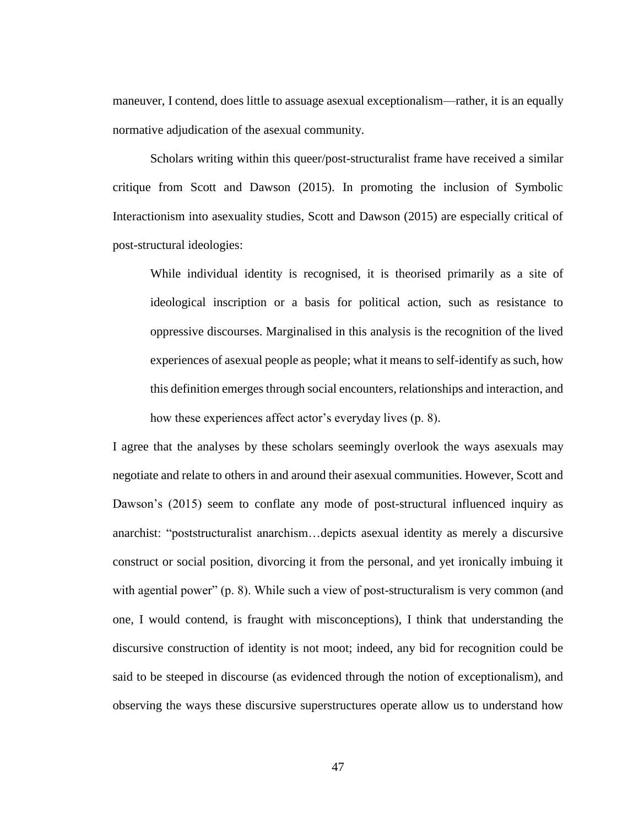maneuver, I contend, does little to assuage asexual exceptionalism—rather, it is an equally normative adjudication of the asexual community.

Scholars writing within this queer/post-structuralist frame have received a similar critique from Scott and Dawson (2015). In promoting the inclusion of Symbolic Interactionism into asexuality studies, Scott and Dawson (2015) are especially critical of post-structural ideologies:

While individual identity is recognised, it is theorised primarily as a site of ideological inscription or a basis for political action, such as resistance to oppressive discourses. Marginalised in this analysis is the recognition of the lived experiences of asexual people as people; what it means to self-identify as such, how this definition emerges through social encounters, relationships and interaction, and how these experiences affect actor's everyday lives (p. 8).

I agree that the analyses by these scholars seemingly overlook the ways asexuals may negotiate and relate to others in and around their asexual communities. However, Scott and Dawson's (2015) seem to conflate any mode of post-structural influenced inquiry as anarchist: "poststructuralist anarchism…depicts asexual identity as merely a discursive construct or social position, divorcing it from the personal, and yet ironically imbuing it with agential power" (p. 8). While such a view of post-structuralism is very common (and one, I would contend, is fraught with misconceptions), I think that understanding the discursive construction of identity is not moot; indeed, any bid for recognition could be said to be steeped in discourse (as evidenced through the notion of exceptionalism), and observing the ways these discursive superstructures operate allow us to understand how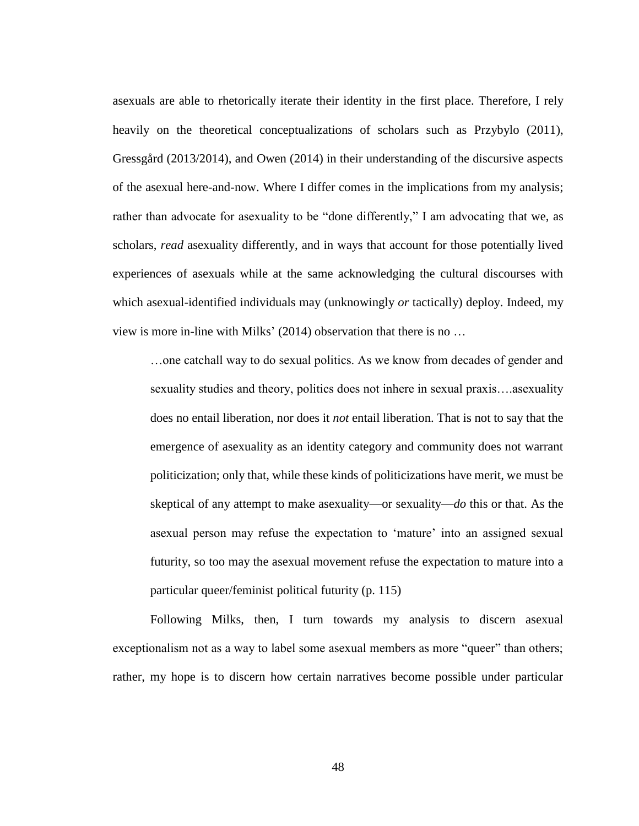asexuals are able to rhetorically iterate their identity in the first place. Therefore, I rely heavily on the theoretical conceptualizations of scholars such as Przybylo (2011), Gressgård (2013/2014), and Owen (2014) in their understanding of the discursive aspects of the asexual here-and-now. Where I differ comes in the implications from my analysis; rather than advocate for asexuality to be "done differently," I am advocating that we, as scholars, *read* asexuality differently, and in ways that account for those potentially lived experiences of asexuals while at the same acknowledging the cultural discourses with which asexual-identified individuals may (unknowingly *or* tactically) deploy. Indeed, my view is more in-line with Milks' (2014) observation that there is no …

…one catchall way to do sexual politics. As we know from decades of gender and sexuality studies and theory, politics does not inhere in sexual praxis….asexuality does no entail liberation, nor does it *not* entail liberation. That is not to say that the emergence of asexuality as an identity category and community does not warrant politicization; only that, while these kinds of politicizations have merit, we must be skeptical of any attempt to make asexuality—or sexuality—*do* this or that. As the asexual person may refuse the expectation to 'mature' into an assigned sexual futurity, so too may the asexual movement refuse the expectation to mature into a particular queer/feminist political futurity (p. 115)

Following Milks, then, I turn towards my analysis to discern asexual exceptionalism not as a way to label some asexual members as more "queer" than others; rather, my hope is to discern how certain narratives become possible under particular

48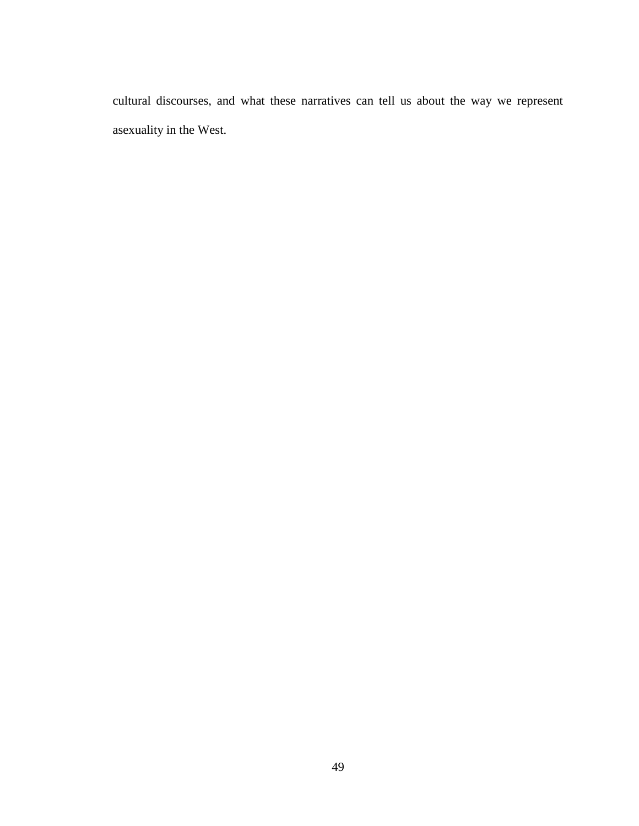cultural discourses, and what these narratives can tell us about the way we represent asexuality in the West.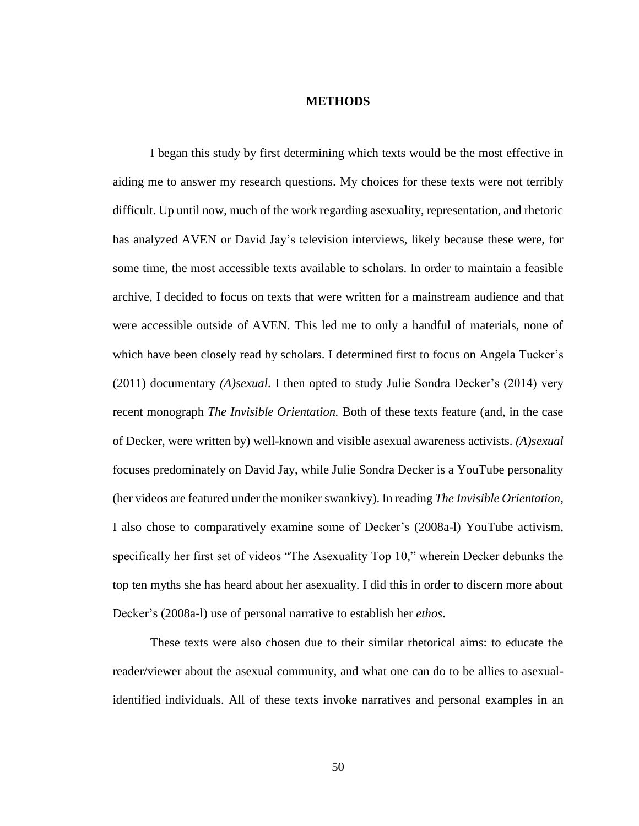#### **METHODS**

I began this study by first determining which texts would be the most effective in aiding me to answer my research questions. My choices for these texts were not terribly difficult. Up until now, much of the work regarding asexuality, representation, and rhetoric has analyzed AVEN or David Jay's television interviews, likely because these were, for some time, the most accessible texts available to scholars. In order to maintain a feasible archive, I decided to focus on texts that were written for a mainstream audience and that were accessible outside of AVEN. This led me to only a handful of materials, none of which have been closely read by scholars. I determined first to focus on Angela Tucker's (2011) documentary *(A)sexual*. I then opted to study Julie Sondra Decker's (2014) very recent monograph *The Invisible Orientation.* Both of these texts feature (and, in the case of Decker, were written by) well-known and visible asexual awareness activists. *(A)sexual*  focuses predominately on David Jay, while Julie Sondra Decker is a YouTube personality (her videos are featured under the moniker swankivy). In reading *The Invisible Orientation*, I also chose to comparatively examine some of Decker's (2008a-l) YouTube activism, specifically her first set of videos "The Asexuality Top 10," wherein Decker debunks the top ten myths she has heard about her asexuality. I did this in order to discern more about Decker's (2008a-l) use of personal narrative to establish her *ethos*.

These texts were also chosen due to their similar rhetorical aims: to educate the reader/viewer about the asexual community, and what one can do to be allies to asexualidentified individuals. All of these texts invoke narratives and personal examples in an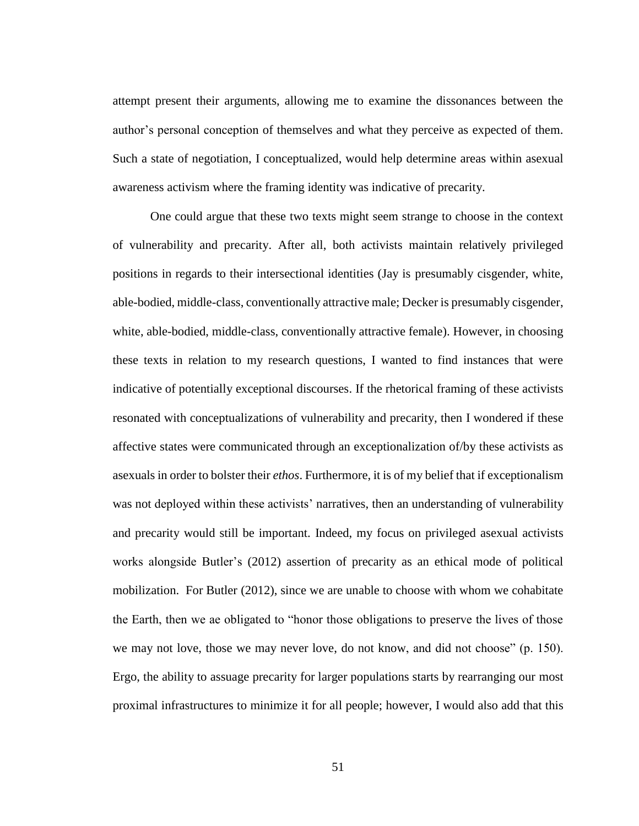attempt present their arguments, allowing me to examine the dissonances between the author's personal conception of themselves and what they perceive as expected of them. Such a state of negotiation, I conceptualized, would help determine areas within asexual awareness activism where the framing identity was indicative of precarity.

One could argue that these two texts might seem strange to choose in the context of vulnerability and precarity. After all, both activists maintain relatively privileged positions in regards to their intersectional identities (Jay is presumably cisgender, white, able-bodied, middle-class, conventionally attractive male; Decker is presumably cisgender, white, able-bodied, middle-class, conventionally attractive female). However, in choosing these texts in relation to my research questions, I wanted to find instances that were indicative of potentially exceptional discourses. If the rhetorical framing of these activists resonated with conceptualizations of vulnerability and precarity, then I wondered if these affective states were communicated through an exceptionalization of/by these activists as asexuals in order to bolster their *ethos*. Furthermore, it is of my belief that if exceptionalism was not deployed within these activists' narratives, then an understanding of vulnerability and precarity would still be important. Indeed, my focus on privileged asexual activists works alongside Butler's (2012) assertion of precarity as an ethical mode of political mobilization. For Butler (2012), since we are unable to choose with whom we cohabitate the Earth, then we ae obligated to "honor those obligations to preserve the lives of those we may not love, those we may never love, do not know, and did not choose" (p. 150). Ergo, the ability to assuage precarity for larger populations starts by rearranging our most proximal infrastructures to minimize it for all people; however, I would also add that this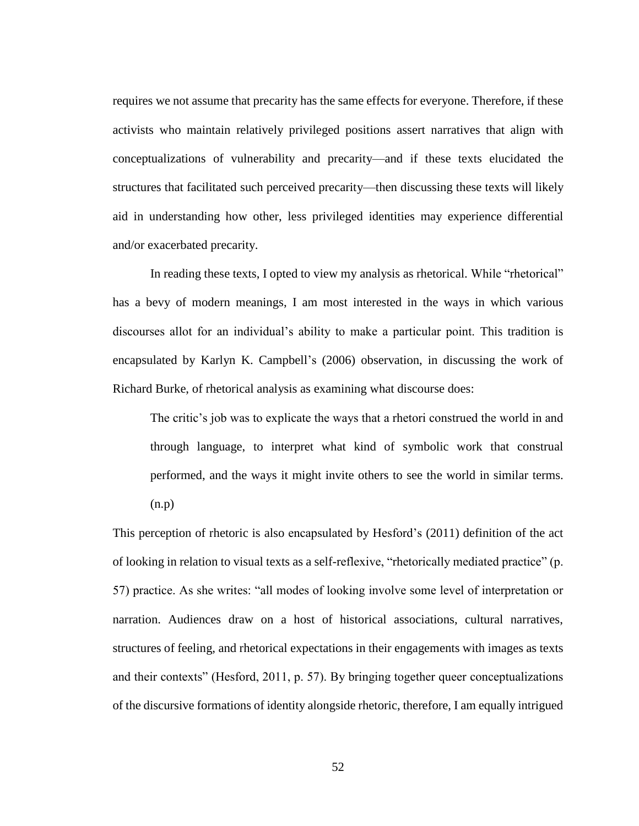requires we not assume that precarity has the same effects for everyone. Therefore, if these activists who maintain relatively privileged positions assert narratives that align with conceptualizations of vulnerability and precarity—and if these texts elucidated the structures that facilitated such perceived precarity—then discussing these texts will likely aid in understanding how other, less privileged identities may experience differential and/or exacerbated precarity.

In reading these texts, I opted to view my analysis as rhetorical. While "rhetorical" has a bevy of modern meanings, I am most interested in the ways in which various discourses allot for an individual's ability to make a particular point. This tradition is encapsulated by Karlyn K. Campbell's (2006) observation, in discussing the work of Richard Burke, of rhetorical analysis as examining what discourse does:

The critic's job was to explicate the ways that a rhetori construed the world in and through language, to interpret what kind of symbolic work that construal performed, and the ways it might invite others to see the world in similar terms. (n.p)

This perception of rhetoric is also encapsulated by Hesford's (2011) definition of the act of looking in relation to visual texts as a self-reflexive, "rhetorically mediated practice" (p. 57) practice. As she writes: "all modes of looking involve some level of interpretation or narration. Audiences draw on a host of historical associations, cultural narratives, structures of feeling, and rhetorical expectations in their engagements with images as texts and their contexts" (Hesford, 2011, p. 57). By bringing together queer conceptualizations of the discursive formations of identity alongside rhetoric, therefore, I am equally intrigued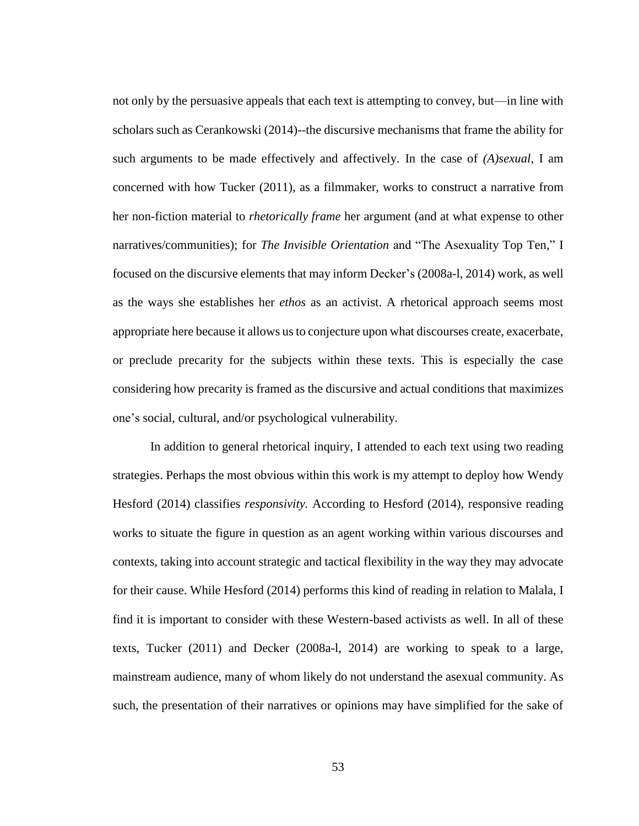not only by the persuasive appeals that each text is attempting to convey, but—in line with scholars such as Cerankowski (2014)--the discursive mechanisms that frame the ability for such arguments to be made effectively and affectively. In the case of *(A)sexual*, I am concerned with how Tucker (2011), as a filmmaker, works to construct a narrative from her non-fiction material to *rhetorically frame* her argument (and at what expense to other narratives/communities); for *The Invisible Orientation* and "The Asexuality Top Ten," I focused on the discursive elements that may inform Decker's (2008a-l, 2014) work, as well as the ways she establishes her *ethos* as an activist. A rhetorical approach seems most appropriate here because it allows us to conjecture upon what discourses create, exacerbate, or preclude precarity for the subjects within these texts. This is especially the case considering how precarity is framed as the discursive and actual conditions that maximizes one's social, cultural, and/or psychological vulnerability.

In addition to general rhetorical inquiry, I attended to each text using two reading strategies. Perhaps the most obvious within this work is my attempt to deploy how Wendy Hesford (2014) classifies *responsivity.* According to Hesford (2014), responsive reading works to situate the figure in question as an agent working within various discourses and contexts, taking into account strategic and tactical flexibility in the way they may advocate for their cause. While Hesford (2014) performs this kind of reading in relation to Malala, I find it is important to consider with these Western-based activists as well. In all of these texts, Tucker (2011) and Decker (2008a-l, 2014) are working to speak to a large, mainstream audience, many of whom likely do not understand the asexual community. As such, the presentation of their narratives or opinions may have simplified for the sake of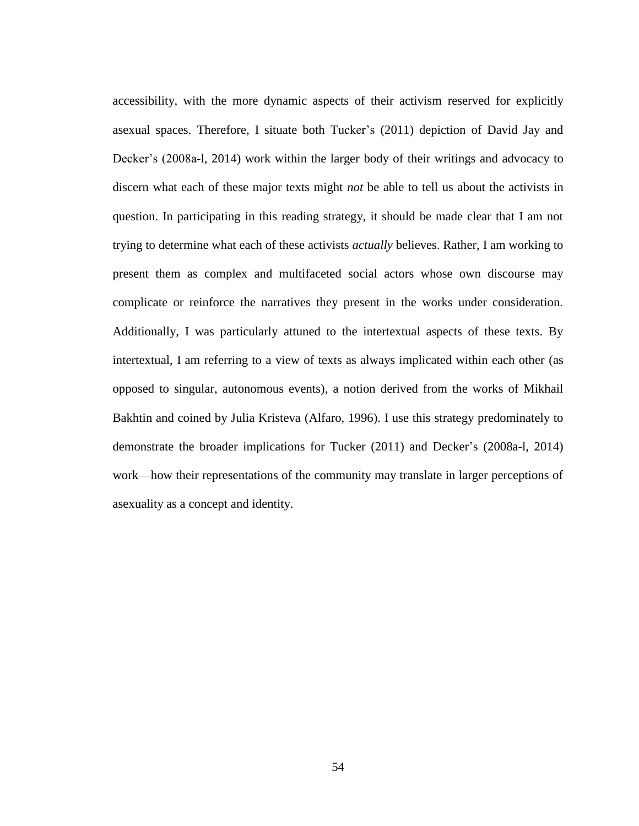accessibility, with the more dynamic aspects of their activism reserved for explicitly asexual spaces. Therefore, I situate both Tucker's (2011) depiction of David Jay and Decker's (2008a-l, 2014) work within the larger body of their writings and advocacy to discern what each of these major texts might *not* be able to tell us about the activists in question. In participating in this reading strategy, it should be made clear that I am not trying to determine what each of these activists *actually* believes. Rather, I am working to present them as complex and multifaceted social actors whose own discourse may complicate or reinforce the narratives they present in the works under consideration. Additionally, I was particularly attuned to the intertextual aspects of these texts. By intertextual, I am referring to a view of texts as always implicated within each other (as opposed to singular, autonomous events), a notion derived from the works of Mikhail Bakhtin and coined by Julia Kristeva (Alfaro, 1996). I use this strategy predominately to demonstrate the broader implications for Tucker (2011) and Decker's (2008a-l, 2014) work—how their representations of the community may translate in larger perceptions of asexuality as a concept and identity.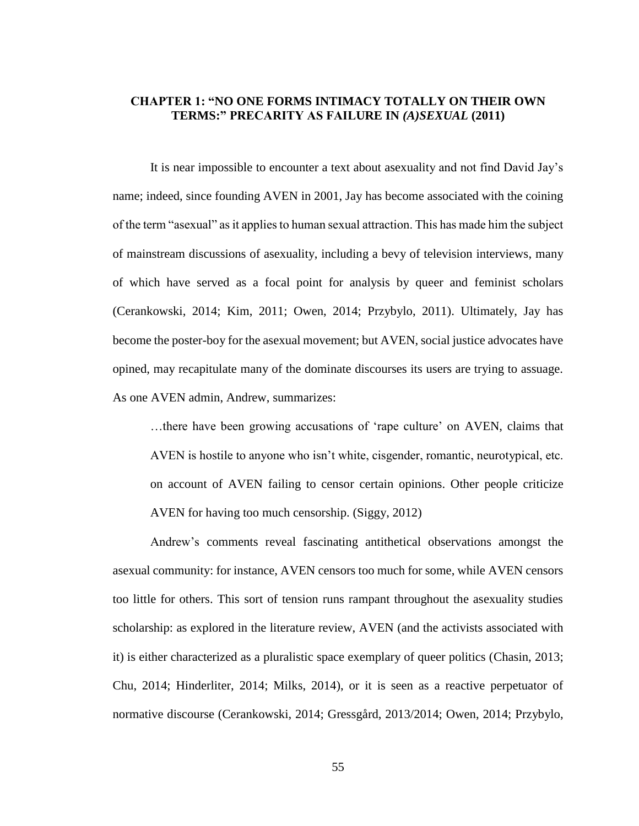## **CHAPTER 1: "NO ONE FORMS INTIMACY TOTALLY ON THEIR OWN TERMS:" PRECARITY AS FAILURE IN** *(A)SEXUAL* **(2011)**

It is near impossible to encounter a text about asexuality and not find David Jay's name; indeed, since founding AVEN in 2001, Jay has become associated with the coining of the term "asexual" as it applies to human sexual attraction. This has made him the subject of mainstream discussions of asexuality, including a bevy of television interviews, many of which have served as a focal point for analysis by queer and feminist scholars (Cerankowski, 2014; Kim, 2011; Owen, 2014; Przybylo, 2011). Ultimately, Jay has become the poster-boy for the asexual movement; but AVEN, social justice advocates have opined, may recapitulate many of the dominate discourses its users are trying to assuage. As one AVEN admin, Andrew, summarizes:

…there have been growing accusations of 'rape culture' on AVEN, claims that AVEN is hostile to anyone who isn't white, cisgender, romantic, neurotypical, etc. on account of AVEN failing to censor certain opinions. Other people criticize AVEN for having too much censorship. (Siggy, 2012)

Andrew's comments reveal fascinating antithetical observations amongst the asexual community: for instance, AVEN censors too much for some, while AVEN censors too little for others. This sort of tension runs rampant throughout the asexuality studies scholarship: as explored in the literature review, AVEN (and the activists associated with it) is either characterized as a pluralistic space exemplary of queer politics (Chasin, 2013; Chu, 2014; Hinderliter, 2014; Milks, 2014), or it is seen as a reactive perpetuator of normative discourse (Cerankowski, 2014; Gressgård, 2013/2014; Owen, 2014; Przybylo,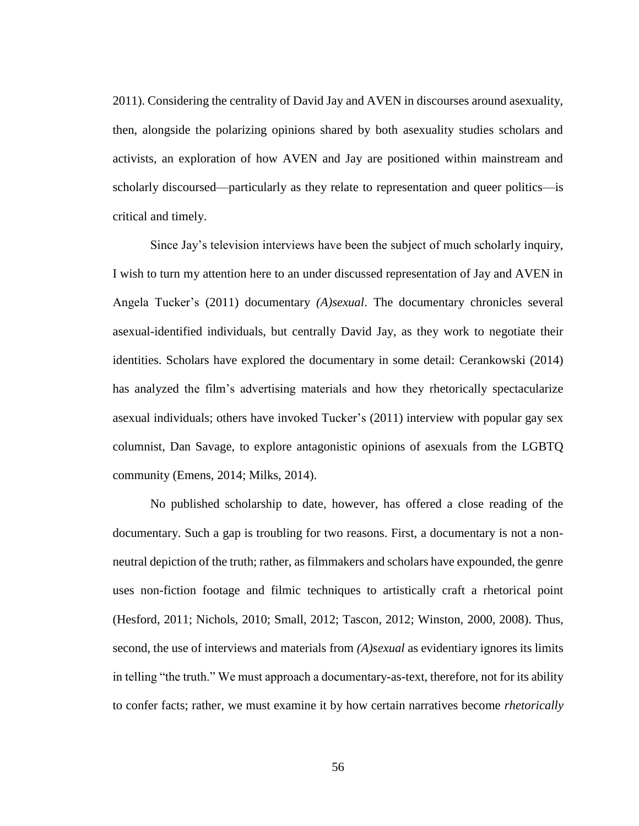2011). Considering the centrality of David Jay and AVEN in discourses around asexuality, then, alongside the polarizing opinions shared by both asexuality studies scholars and activists, an exploration of how AVEN and Jay are positioned within mainstream and scholarly discoursed—particularly as they relate to representation and queer politics—is critical and timely.

Since Jay's television interviews have been the subject of much scholarly inquiry, I wish to turn my attention here to an under discussed representation of Jay and AVEN in Angela Tucker's (2011) documentary *(A)sexual*. The documentary chronicles several asexual-identified individuals, but centrally David Jay, as they work to negotiate their identities. Scholars have explored the documentary in some detail: Cerankowski (2014) has analyzed the film's advertising materials and how they rhetorically spectacularize asexual individuals; others have invoked Tucker's (2011) interview with popular gay sex columnist, Dan Savage, to explore antagonistic opinions of asexuals from the LGBTQ community (Emens, 2014; Milks, 2014).

No published scholarship to date, however, has offered a close reading of the documentary. Such a gap is troubling for two reasons. First, a documentary is not a nonneutral depiction of the truth; rather, as filmmakers and scholars have expounded, the genre uses non-fiction footage and filmic techniques to artistically craft a rhetorical point (Hesford, 2011; Nichols, 2010; Small, 2012; Tascon, 2012; Winston, 2000, 2008). Thus, second, the use of interviews and materials from *(A)sexual* as evidentiary ignores its limits in telling "the truth." We must approach a documentary-as-text, therefore, not for its ability to confer facts; rather, we must examine it by how certain narratives become *rhetorically*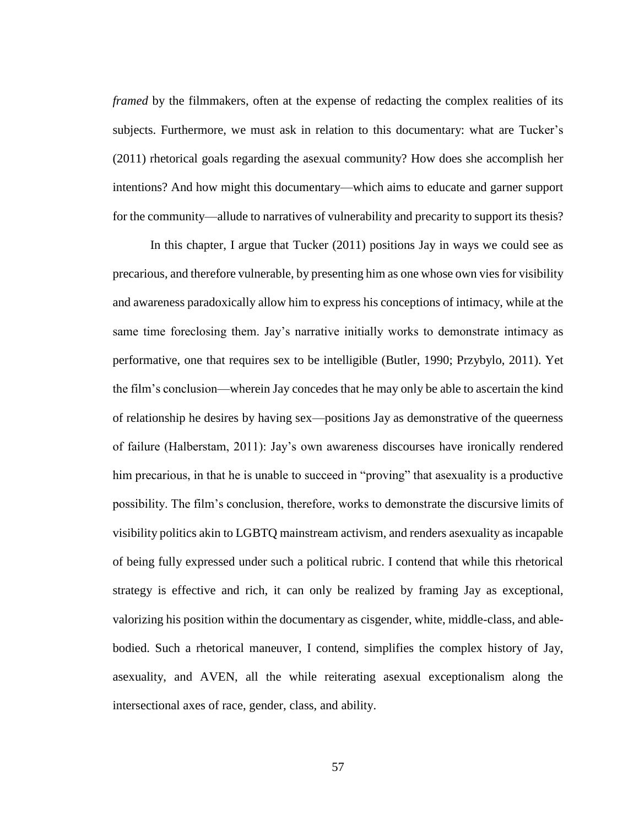*framed* by the filmmakers, often at the expense of redacting the complex realities of its subjects. Furthermore, we must ask in relation to this documentary: what are Tucker's (2011) rhetorical goals regarding the asexual community? How does she accomplish her intentions? And how might this documentary—which aims to educate and garner support for the community—allude to narratives of vulnerability and precarity to support its thesis?

In this chapter, I argue that Tucker (2011) positions Jay in ways we could see as precarious, and therefore vulnerable, by presenting him as one whose own vies for visibility and awareness paradoxically allow him to express his conceptions of intimacy, while at the same time foreclosing them. Jay's narrative initially works to demonstrate intimacy as performative, one that requires sex to be intelligible (Butler, 1990; Przybylo, 2011). Yet the film's conclusion—wherein Jay concedes that he may only be able to ascertain the kind of relationship he desires by having sex—positions Jay as demonstrative of the queerness of failure (Halberstam, 2011): Jay's own awareness discourses have ironically rendered him precarious, in that he is unable to succeed in "proving" that as exuality is a productive possibility. The film's conclusion, therefore, works to demonstrate the discursive limits of visibility politics akin to LGBTQ mainstream activism, and renders asexuality as incapable of being fully expressed under such a political rubric. I contend that while this rhetorical strategy is effective and rich, it can only be realized by framing Jay as exceptional, valorizing his position within the documentary as cisgender, white, middle-class, and ablebodied. Such a rhetorical maneuver, I contend, simplifies the complex history of Jay, asexuality, and AVEN, all the while reiterating asexual exceptionalism along the intersectional axes of race, gender, class, and ability.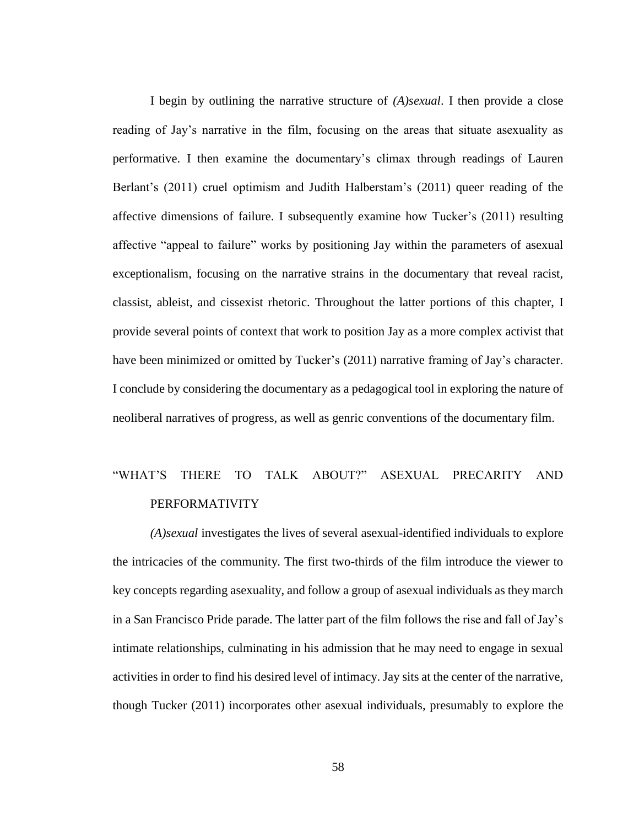I begin by outlining the narrative structure of *(A)sexual*. I then provide a close reading of Jay's narrative in the film, focusing on the areas that situate asexuality as performative. I then examine the documentary's climax through readings of Lauren Berlant's (2011) cruel optimism and Judith Halberstam's (2011) queer reading of the affective dimensions of failure. I subsequently examine how Tucker's (2011) resulting affective "appeal to failure" works by positioning Jay within the parameters of asexual exceptionalism, focusing on the narrative strains in the documentary that reveal racist, classist, ableist, and cissexist rhetoric. Throughout the latter portions of this chapter, I provide several points of context that work to position Jay as a more complex activist that have been minimized or omitted by Tucker's (2011) narrative framing of Jay's character. I conclude by considering the documentary as a pedagogical tool in exploring the nature of neoliberal narratives of progress, as well as genric conventions of the documentary film.

# "WHAT'S THERE TO TALK ABOUT?" ASEXUAL PRECARITY AND PERFORMATIVITY

*(A)sexual* investigates the lives of several asexual-identified individuals to explore the intricacies of the community. The first two-thirds of the film introduce the viewer to key concepts regarding asexuality, and follow a group of asexual individuals as they march in a San Francisco Pride parade. The latter part of the film follows the rise and fall of Jay's intimate relationships, culminating in his admission that he may need to engage in sexual activities in order to find his desired level of intimacy. Jay sits at the center of the narrative, though Tucker (2011) incorporates other asexual individuals, presumably to explore the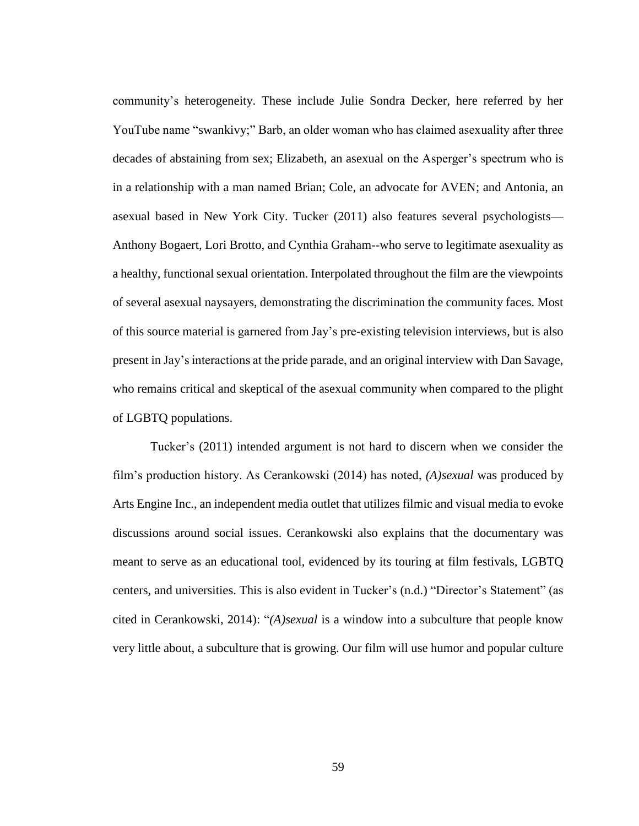community's heterogeneity. These include Julie Sondra Decker, here referred by her YouTube name "swankivy;" Barb, an older woman who has claimed asexuality after three decades of abstaining from sex; Elizabeth, an asexual on the Asperger's spectrum who is in a relationship with a man named Brian; Cole, an advocate for AVEN; and Antonia, an asexual based in New York City. Tucker (2011) also features several psychologists— Anthony Bogaert, Lori Brotto, and Cynthia Graham--who serve to legitimate asexuality as a healthy, functional sexual orientation. Interpolated throughout the film are the viewpoints of several asexual naysayers, demonstrating the discrimination the community faces. Most of this source material is garnered from Jay's pre-existing television interviews, but is also present in Jay's interactions at the pride parade, and an original interview with Dan Savage, who remains critical and skeptical of the asexual community when compared to the plight of LGBTQ populations.

Tucker's (2011) intended argument is not hard to discern when we consider the film's production history. As Cerankowski (2014) has noted, *(A)sexual* was produced by Arts Engine Inc., an independent media outlet that utilizes filmic and visual media to evoke discussions around social issues. Cerankowski also explains that the documentary was meant to serve as an educational tool, evidenced by its touring at film festivals, LGBTQ centers, and universities. This is also evident in Tucker's (n.d.) "Director's Statement" (as cited in Cerankowski, 2014): "*(A)sexual* is a window into a subculture that people know very little about, a subculture that is growing. Our film will use humor and popular culture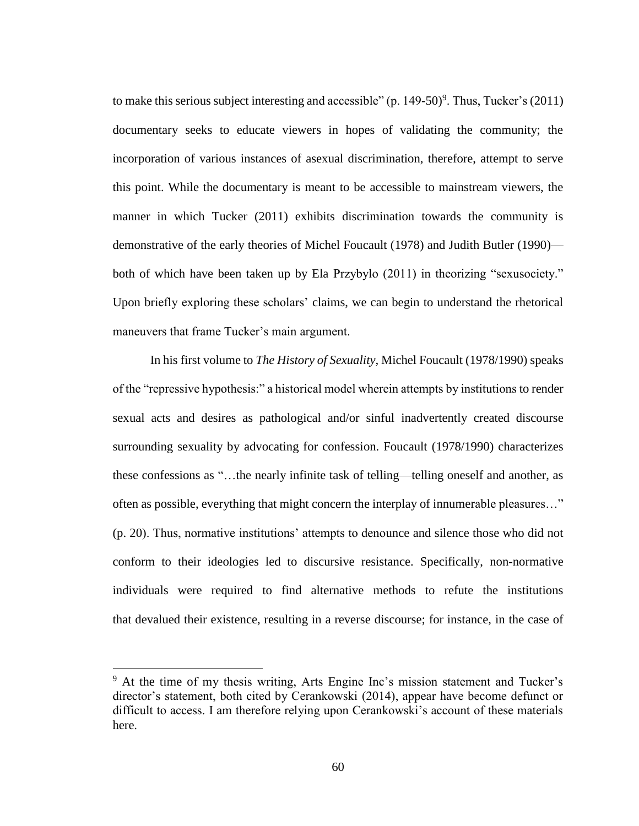to make this serious subject interesting and accessible" (p. 149-50) $^9$ . Thus, Tucker's (2011) documentary seeks to educate viewers in hopes of validating the community; the incorporation of various instances of asexual discrimination, therefore, attempt to serve this point. While the documentary is meant to be accessible to mainstream viewers, the manner in which Tucker (2011) exhibits discrimination towards the community is demonstrative of the early theories of Michel Foucault (1978) and Judith Butler (1990) both of which have been taken up by Ela Przybylo (2011) in theorizing "sexusociety." Upon briefly exploring these scholars' claims, we can begin to understand the rhetorical maneuvers that frame Tucker's main argument.

In his first volume to *The History of Sexuality,* Michel Foucault (1978/1990) speaks of the "repressive hypothesis:" a historical model wherein attempts by institutions to render sexual acts and desires as pathological and/or sinful inadvertently created discourse surrounding sexuality by advocating for confession. Foucault (1978/1990) characterizes these confessions as "…the nearly infinite task of telling—telling oneself and another, as often as possible, everything that might concern the interplay of innumerable pleasures…" (p. 20). Thus, normative institutions' attempts to denounce and silence those who did not conform to their ideologies led to discursive resistance. Specifically, non-normative individuals were required to find alternative methods to refute the institutions that devalued their existence, resulting in a reverse discourse; for instance, in the case of

 $\overline{a}$ 

<sup>9</sup> At the time of my thesis writing, Arts Engine Inc's mission statement and Tucker's director's statement, both cited by Cerankowski (2014), appear have become defunct or difficult to access. I am therefore relying upon Cerankowski's account of these materials here.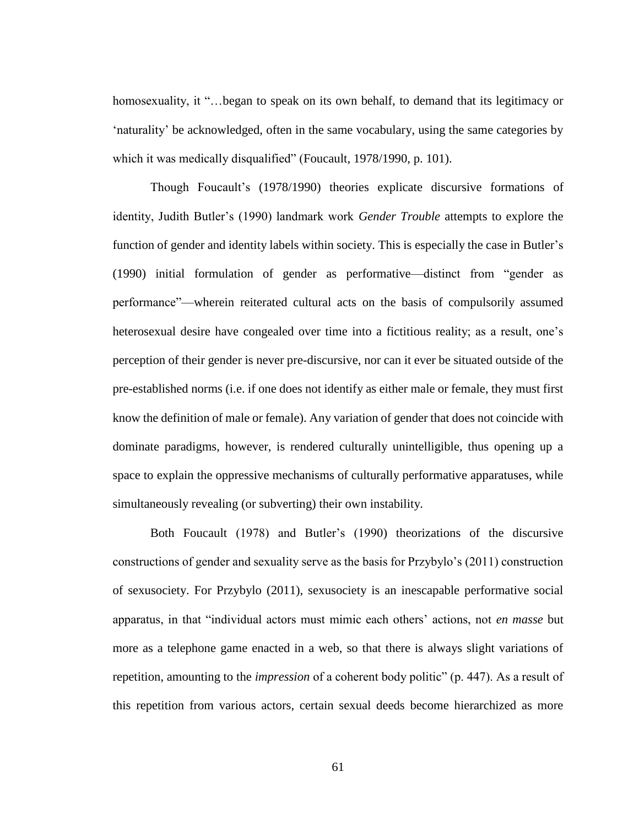homosexuality, it "...began to speak on its own behalf, to demand that its legitimacy or 'naturality' be acknowledged, often in the same vocabulary, using the same categories by which it was medically disqualified" (Foucault, 1978/1990, p. 101).

Though Foucault's (1978/1990) theories explicate discursive formations of identity, Judith Butler's (1990) landmark work *Gender Trouble* attempts to explore the function of gender and identity labels within society. This is especially the case in Butler's (1990) initial formulation of gender as performative—distinct from "gender as performance"—wherein reiterated cultural acts on the basis of compulsorily assumed heterosexual desire have congealed over time into a fictitious reality; as a result, one's perception of their gender is never pre-discursive, nor can it ever be situated outside of the pre-established norms (i.e. if one does not identify as either male or female, they must first know the definition of male or female). Any variation of gender that does not coincide with dominate paradigms, however, is rendered culturally unintelligible, thus opening up a space to explain the oppressive mechanisms of culturally performative apparatuses, while simultaneously revealing (or subverting) their own instability.

Both Foucault (1978) and Butler's (1990) theorizations of the discursive constructions of gender and sexuality serve as the basis for Przybylo's (2011) construction of sexusociety. For Przybylo (2011), sexusociety is an inescapable performative social apparatus, in that "individual actors must mimic each others' actions, not *en masse* but more as a telephone game enacted in a web, so that there is always slight variations of repetition, amounting to the *impression* of a coherent body politic" (p. 447). As a result of this repetition from various actors, certain sexual deeds become hierarchized as more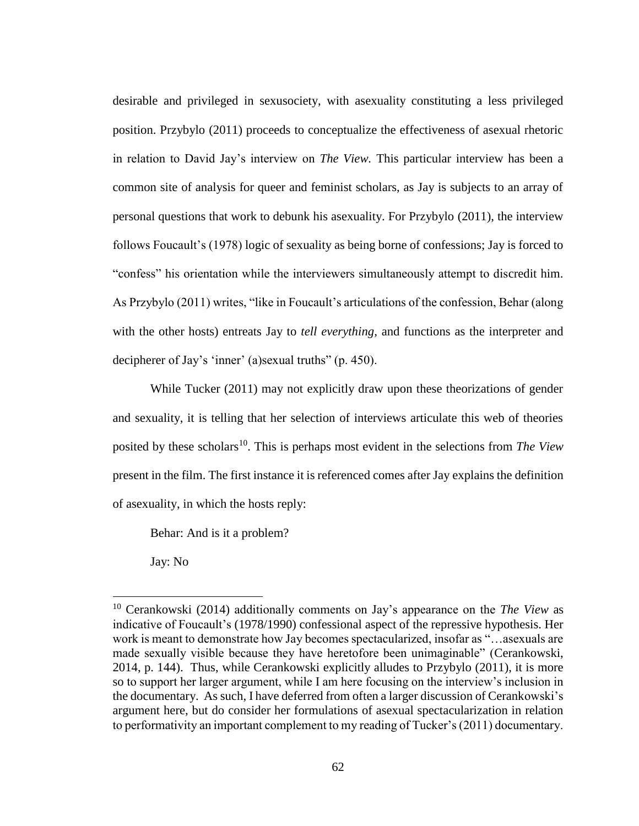desirable and privileged in sexusociety, with asexuality constituting a less privileged position. Przybylo (2011) proceeds to conceptualize the effectiveness of asexual rhetoric in relation to David Jay's interview on *The View.* This particular interview has been a common site of analysis for queer and feminist scholars, as Jay is subjects to an array of personal questions that work to debunk his asexuality. For Przybylo (2011), the interview follows Foucault's (1978) logic of sexuality as being borne of confessions; Jay is forced to "confess" his orientation while the interviewers simultaneously attempt to discredit him. As Przybylo (2011) writes, "like in Foucault's articulations of the confession, Behar (along with the other hosts) entreats Jay to *tell everything,* and functions as the interpreter and decipherer of Jay's 'inner' (a)sexual truths" (p. 450).

While Tucker (2011) may not explicitly draw upon these theorizations of gender and sexuality, it is telling that her selection of interviews articulate this web of theories posited by these scholars<sup>10</sup>. This is perhaps most evident in the selections from *The View* present in the film. The first instance it is referenced comes after Jay explains the definition of asexuality, in which the hosts reply:

Behar: And is it a problem?

Jay: No

 $\overline{a}$ 

<sup>10</sup> Cerankowski (2014) additionally comments on Jay's appearance on the *The View* as indicative of Foucault's (1978/1990) confessional aspect of the repressive hypothesis. Her work is meant to demonstrate how Jay becomes spectacularized, insofar as "…asexuals are made sexually visible because they have heretofore been unimaginable" (Cerankowski, 2014, p. 144). Thus, while Cerankowski explicitly alludes to Przybylo (2011), it is more so to support her larger argument, while I am here focusing on the interview's inclusion in the documentary. As such, I have deferred from often a larger discussion of Cerankowski's argument here, but do consider her formulations of asexual spectacularization in relation to performativity an important complement to my reading of Tucker's (2011) documentary.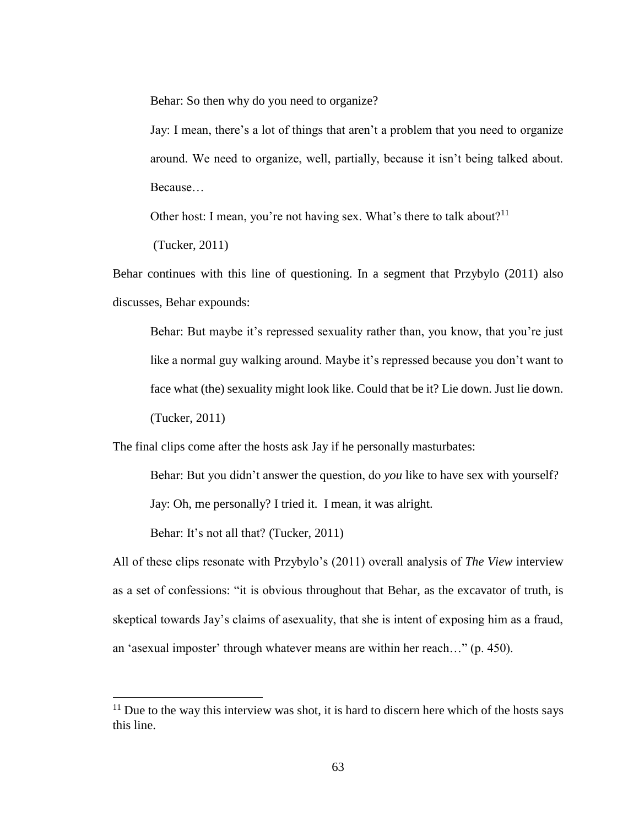Behar: So then why do you need to organize?

Jay: I mean, there's a lot of things that aren't a problem that you need to organize around. We need to organize, well, partially, because it isn't being talked about. Because…

Other host: I mean, you're not having sex. What's there to talk about?<sup>11</sup>

(Tucker, 2011)

Behar continues with this line of questioning. In a segment that Przybylo (2011) also discusses, Behar expounds:

Behar: But maybe it's repressed sexuality rather than, you know, that you're just like a normal guy walking around. Maybe it's repressed because you don't want to face what (the) sexuality might look like. Could that be it? Lie down. Just lie down. (Tucker, 2011)

The final clips come after the hosts ask Jay if he personally masturbates:

Behar: But you didn't answer the question, do *you* like to have sex with yourself? Jay: Oh, me personally? I tried it. I mean, it was alright.

Behar: It's not all that? (Tucker, 2011)

 $\overline{a}$ 

All of these clips resonate with Przybylo's (2011) overall analysis of *The View* interview as a set of confessions: "it is obvious throughout that Behar, as the excavator of truth, is skeptical towards Jay's claims of asexuality, that she is intent of exposing him as a fraud, an 'asexual imposter' through whatever means are within her reach…" (p. 450).

 $11$  Due to the way this interview was shot, it is hard to discern here which of the hosts says this line.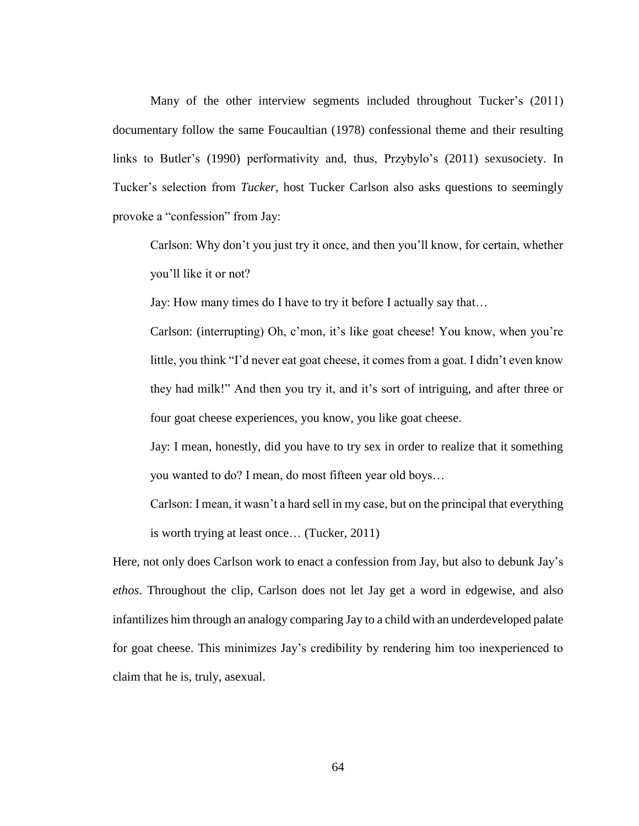Many of the other interview segments included throughout Tucker's (2011) documentary follow the same Foucaultian (1978) confessional theme and their resulting links to Butler's (1990) performativity and, thus, Przybylo's (2011) sexusociety. In Tucker's selection from *Tucker*, host Tucker Carlson also asks questions to seemingly provoke a "confession" from Jay:

Carlson: Why don't you just try it once, and then you'll know, for certain, whether you'll like it or not?

Jay: How many times do I have to try it before I actually say that…

Carlson: (interrupting) Oh, c'mon, it's like goat cheese! You know, when you're little, you think "I'd never eat goat cheese, it comes from a goat. I didn't even know they had milk!" And then you try it, and it's sort of intriguing, and after three or four goat cheese experiences, you know, you like goat cheese.

Jay: I mean, honestly, did you have to try sex in order to realize that it something you wanted to do? I mean, do most fifteen year old boys…

Carlson: I mean, it wasn't a hard sell in my case, but on the principal that everything is worth trying at least once… (Tucker, 2011)

Here, not only does Carlson work to enact a confession from Jay, but also to debunk Jay's *ethos*. Throughout the clip, Carlson does not let Jay get a word in edgewise, and also infantilizes him through an analogy comparing Jay to a child with an underdeveloped palate for goat cheese. This minimizes Jay's credibility by rendering him too inexperienced to claim that he is, truly, asexual.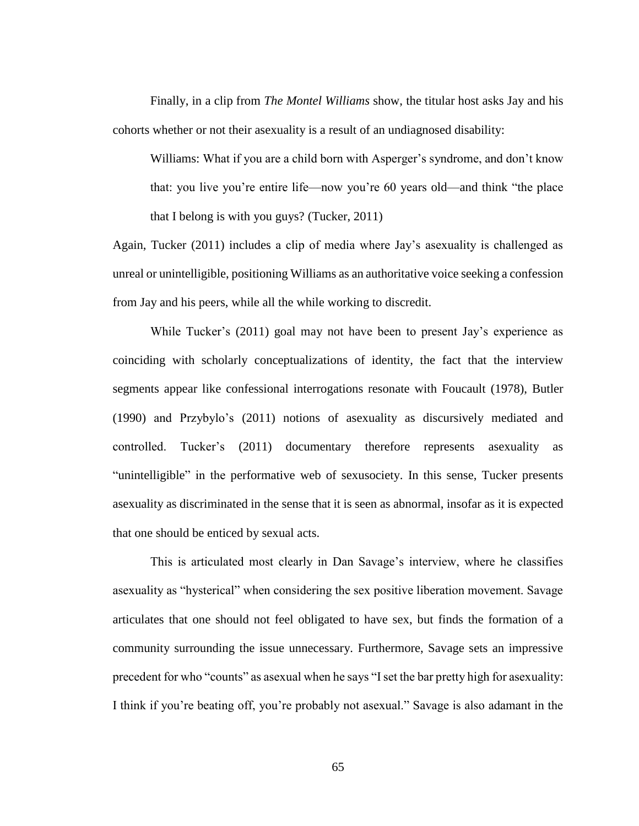Finally, in a clip from *The Montel Williams* show, the titular host asks Jay and his cohorts whether or not their asexuality is a result of an undiagnosed disability:

Williams: What if you are a child born with Asperger's syndrome, and don't know that: you live you're entire life—now you're 60 years old—and think "the place that I belong is with you guys? (Tucker, 2011)

Again, Tucker (2011) includes a clip of media where Jay's asexuality is challenged as unreal or unintelligible, positioning Williams as an authoritative voice seeking a confession from Jay and his peers, while all the while working to discredit.

While Tucker's (2011) goal may not have been to present Jay's experience as coinciding with scholarly conceptualizations of identity, the fact that the interview segments appear like confessional interrogations resonate with Foucault (1978), Butler (1990) and Przybylo's (2011) notions of asexuality as discursively mediated and controlled. Tucker's (2011) documentary therefore represents asexuality as "unintelligible" in the performative web of sexusociety. In this sense, Tucker presents asexuality as discriminated in the sense that it is seen as abnormal, insofar as it is expected that one should be enticed by sexual acts.

This is articulated most clearly in Dan Savage's interview, where he classifies asexuality as "hysterical" when considering the sex positive liberation movement. Savage articulates that one should not feel obligated to have sex, but finds the formation of a community surrounding the issue unnecessary. Furthermore, Savage sets an impressive precedent for who "counts" as asexual when he says "I set the bar pretty high for asexuality: I think if you're beating off, you're probably not asexual." Savage is also adamant in the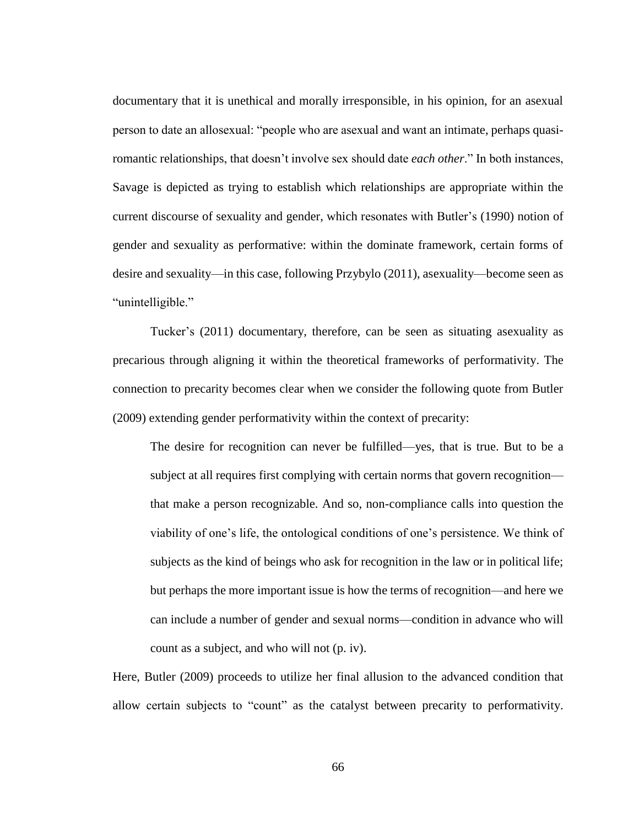documentary that it is unethical and morally irresponsible, in his opinion, for an asexual person to date an allosexual: "people who are asexual and want an intimate, perhaps quasiromantic relationships, that doesn't involve sex should date *each other*." In both instances, Savage is depicted as trying to establish which relationships are appropriate within the current discourse of sexuality and gender, which resonates with Butler's (1990) notion of gender and sexuality as performative: within the dominate framework, certain forms of desire and sexuality—in this case, following Przybylo (2011), asexuality—become seen as "unintelligible."

Tucker's (2011) documentary, therefore, can be seen as situating asexuality as precarious through aligning it within the theoretical frameworks of performativity. The connection to precarity becomes clear when we consider the following quote from Butler (2009) extending gender performativity within the context of precarity:

The desire for recognition can never be fulfilled—yes, that is true. But to be a subject at all requires first complying with certain norms that govern recognition that make a person recognizable. And so, non-compliance calls into question the viability of one's life, the ontological conditions of one's persistence. We think of subjects as the kind of beings who ask for recognition in the law or in political life; but perhaps the more important issue is how the terms of recognition—and here we can include a number of gender and sexual norms—condition in advance who will count as a subject, and who will not (p. iv).

Here, Butler (2009) proceeds to utilize her final allusion to the advanced condition that allow certain subjects to "count" as the catalyst between precarity to performativity.

66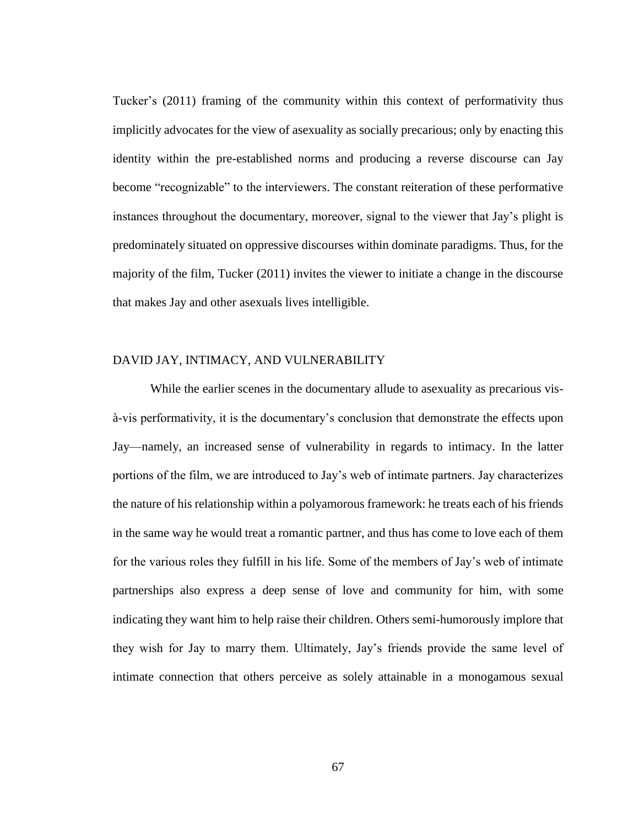Tucker's (2011) framing of the community within this context of performativity thus implicitly advocates for the view of asexuality as socially precarious; only by enacting this identity within the pre-established norms and producing a reverse discourse can Jay become "recognizable" to the interviewers. The constant reiteration of these performative instances throughout the documentary, moreover, signal to the viewer that Jay's plight is predominately situated on oppressive discourses within dominate paradigms. Thus, for the majority of the film, Tucker (2011) invites the viewer to initiate a change in the discourse that makes Jay and other asexuals lives intelligible.

### DAVID JAY, INTIMACY, AND VULNERABILITY

While the earlier scenes in the documentary allude to asexuality as precarious visà-vis performativity, it is the documentary's conclusion that demonstrate the effects upon Jay—namely, an increased sense of vulnerability in regards to intimacy. In the latter portions of the film, we are introduced to Jay's web of intimate partners. Jay characterizes the nature of his relationship within a polyamorous framework: he treats each of his friends in the same way he would treat a romantic partner, and thus has come to love each of them for the various roles they fulfill in his life. Some of the members of Jay's web of intimate partnerships also express a deep sense of love and community for him, with some indicating they want him to help raise their children. Others semi-humorously implore that they wish for Jay to marry them. Ultimately, Jay's friends provide the same level of intimate connection that others perceive as solely attainable in a monogamous sexual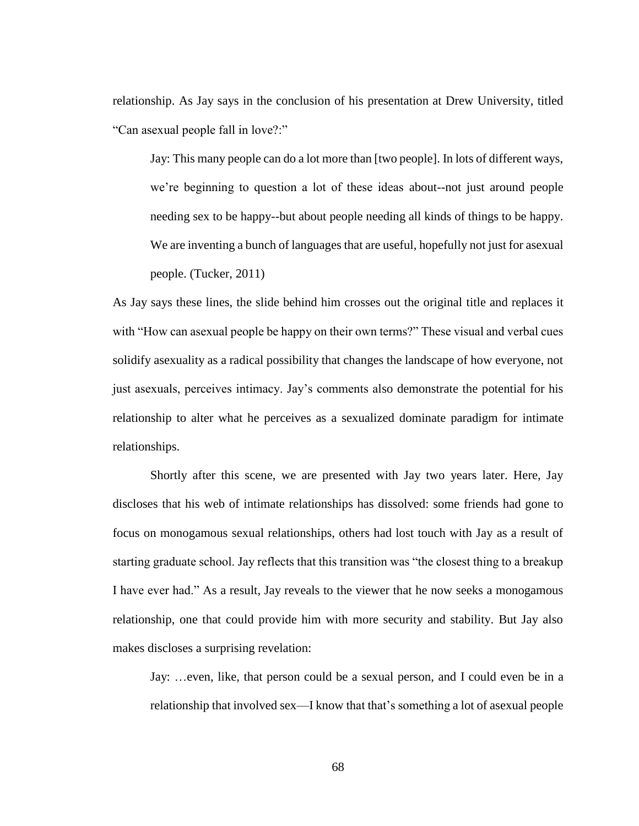relationship. As Jay says in the conclusion of his presentation at Drew University, titled "Can asexual people fall in love?:"

Jay: This many people can do a lot more than [two people]. In lots of different ways, we're beginning to question a lot of these ideas about--not just around people needing sex to be happy--but about people needing all kinds of things to be happy. We are inventing a bunch of languages that are useful, hopefully not just for asexual people. (Tucker, 2011)

As Jay says these lines, the slide behind him crosses out the original title and replaces it with "How can asexual people be happy on their own terms?" These visual and verbal cues solidify asexuality as a radical possibility that changes the landscape of how everyone, not just asexuals, perceives intimacy. Jay's comments also demonstrate the potential for his relationship to alter what he perceives as a sexualized dominate paradigm for intimate relationships.

Shortly after this scene, we are presented with Jay two years later. Here, Jay discloses that his web of intimate relationships has dissolved: some friends had gone to focus on monogamous sexual relationships, others had lost touch with Jay as a result of starting graduate school. Jay reflects that this transition was "the closest thing to a breakup I have ever had." As a result, Jay reveals to the viewer that he now seeks a monogamous relationship, one that could provide him with more security and stability. But Jay also makes discloses a surprising revelation:

Jay: …even, like, that person could be a sexual person, and I could even be in a relationship that involved sex—I know that that's something a lot of asexual people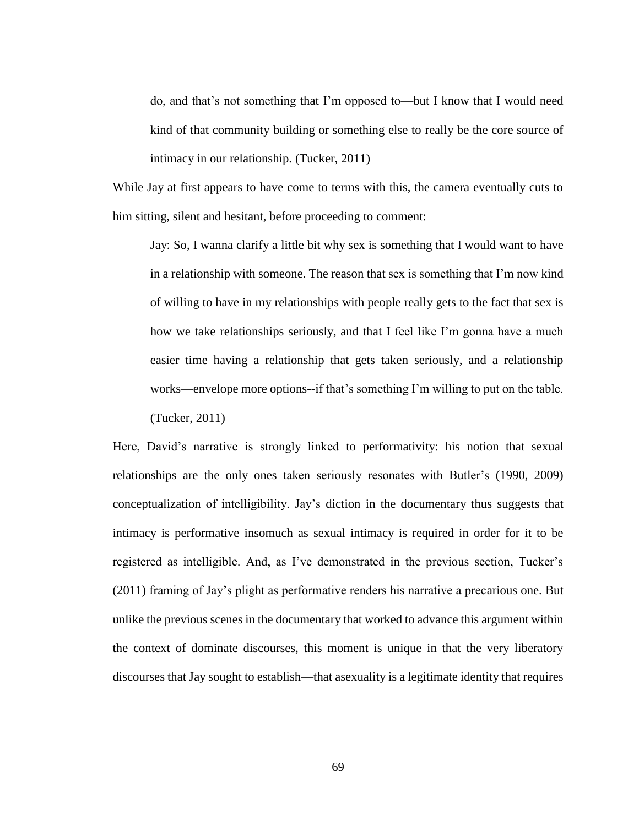do, and that's not something that I'm opposed to—but I know that I would need kind of that community building or something else to really be the core source of intimacy in our relationship. (Tucker, 2011)

While Jay at first appears to have come to terms with this, the camera eventually cuts to him sitting, silent and hesitant, before proceeding to comment:

Jay: So, I wanna clarify a little bit why sex is something that I would want to have in a relationship with someone. The reason that sex is something that I'm now kind of willing to have in my relationships with people really gets to the fact that sex is how we take relationships seriously, and that I feel like I'm gonna have a much easier time having a relationship that gets taken seriously, and a relationship works—envelope more options--if that's something I'm willing to put on the table. (Tucker, 2011)

Here, David's narrative is strongly linked to performativity: his notion that sexual relationships are the only ones taken seriously resonates with Butler's (1990, 2009) conceptualization of intelligibility. Jay's diction in the documentary thus suggests that intimacy is performative insomuch as sexual intimacy is required in order for it to be registered as intelligible. And, as I've demonstrated in the previous section, Tucker's (2011) framing of Jay's plight as performative renders his narrative a precarious one. But unlike the previous scenes in the documentary that worked to advance this argument within the context of dominate discourses, this moment is unique in that the very liberatory discourses that Jay sought to establish—that asexuality is a legitimate identity that requires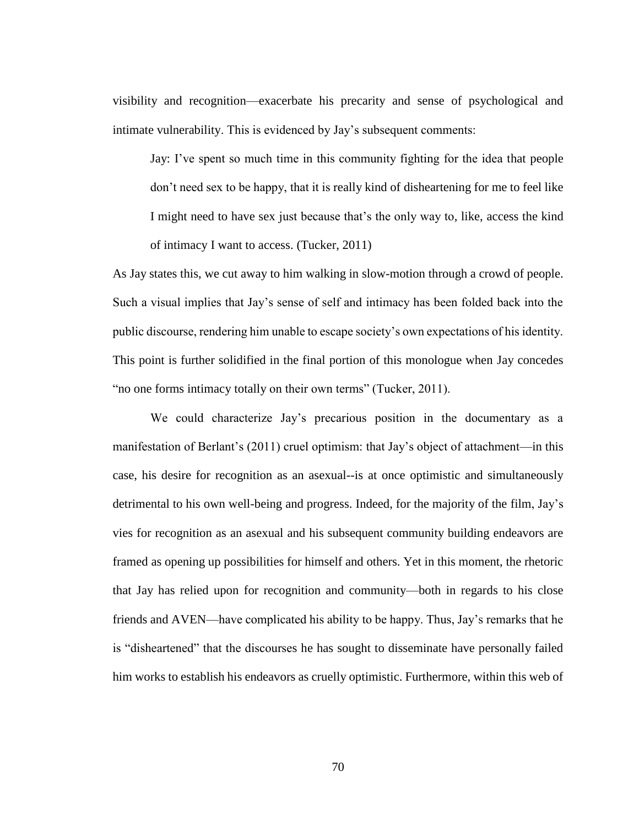visibility and recognition—exacerbate his precarity and sense of psychological and intimate vulnerability. This is evidenced by Jay's subsequent comments:

Jay: I've spent so much time in this community fighting for the idea that people don't need sex to be happy, that it is really kind of disheartening for me to feel like I might need to have sex just because that's the only way to, like, access the kind of intimacy I want to access. (Tucker, 2011)

As Jay states this, we cut away to him walking in slow-motion through a crowd of people. Such a visual implies that Jay's sense of self and intimacy has been folded back into the public discourse, rendering him unable to escape society's own expectations of his identity. This point is further solidified in the final portion of this monologue when Jay concedes "no one forms intimacy totally on their own terms" (Tucker, 2011).

We could characterize Jay's precarious position in the documentary as a manifestation of Berlant's (2011) cruel optimism: that Jay's object of attachment—in this case, his desire for recognition as an asexual--is at once optimistic and simultaneously detrimental to his own well-being and progress. Indeed, for the majority of the film, Jay's vies for recognition as an asexual and his subsequent community building endeavors are framed as opening up possibilities for himself and others. Yet in this moment, the rhetoric that Jay has relied upon for recognition and community—both in regards to his close friends and AVEN—have complicated his ability to be happy. Thus, Jay's remarks that he is "disheartened" that the discourses he has sought to disseminate have personally failed him works to establish his endeavors as cruelly optimistic. Furthermore, within this web of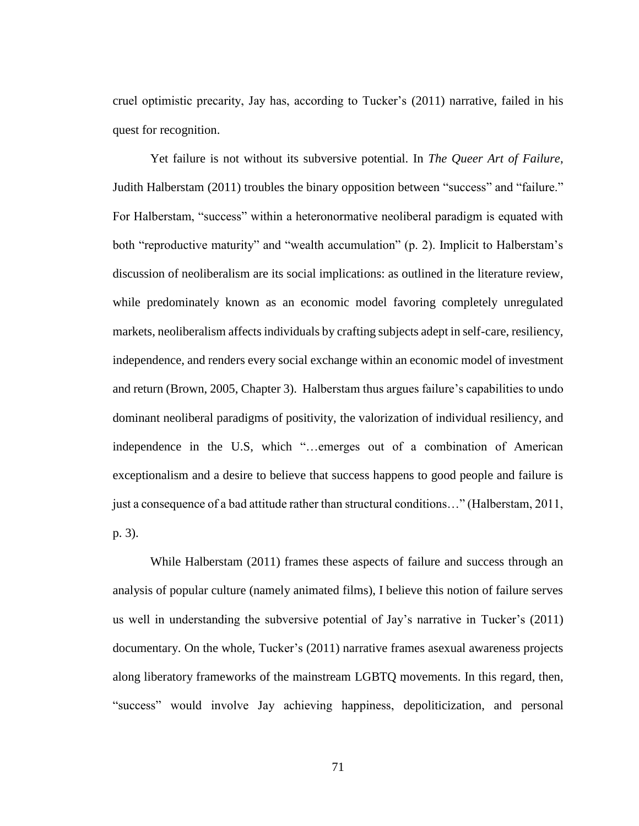cruel optimistic precarity, Jay has, according to Tucker's (2011) narrative, failed in his quest for recognition.

Yet failure is not without its subversive potential. In *The Queer Art of Failure*, Judith Halberstam (2011) troubles the binary opposition between "success" and "failure." For Halberstam, "success" within a heteronormative neoliberal paradigm is equated with both "reproductive maturity" and "wealth accumulation" (p. 2). Implicit to Halberstam's discussion of neoliberalism are its social implications: as outlined in the literature review, while predominately known as an economic model favoring completely unregulated markets, neoliberalism affects individuals by crafting subjects adept in self-care, resiliency, independence, and renders every social exchange within an economic model of investment and return (Brown, 2005, Chapter 3). Halberstam thus argues failure's capabilities to undo dominant neoliberal paradigms of positivity, the valorization of individual resiliency, and independence in the U.S, which "…emerges out of a combination of American exceptionalism and a desire to believe that success happens to good people and failure is just a consequence of a bad attitude rather than structural conditions…" (Halberstam, 2011, p. 3).

While Halberstam (2011) frames these aspects of failure and success through an analysis of popular culture (namely animated films), I believe this notion of failure serves us well in understanding the subversive potential of Jay's narrative in Tucker's (2011) documentary. On the whole, Tucker's (2011) narrative frames asexual awareness projects along liberatory frameworks of the mainstream LGBTQ movements. In this regard, then, "success" would involve Jay achieving happiness, depoliticization, and personal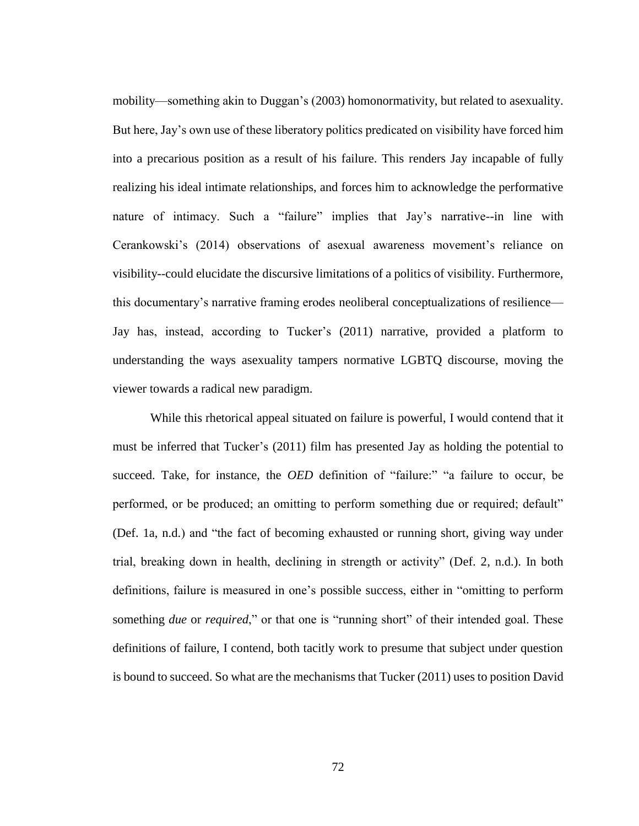mobility—something akin to Duggan's (2003) homonormativity, but related to asexuality. But here, Jay's own use of these liberatory politics predicated on visibility have forced him into a precarious position as a result of his failure. This renders Jay incapable of fully realizing his ideal intimate relationships, and forces him to acknowledge the performative nature of intimacy. Such a "failure" implies that Jay's narrative--in line with Cerankowski's (2014) observations of asexual awareness movement's reliance on visibility--could elucidate the discursive limitations of a politics of visibility. Furthermore, this documentary's narrative framing erodes neoliberal conceptualizations of resilience— Jay has, instead, according to Tucker's (2011) narrative, provided a platform to understanding the ways asexuality tampers normative LGBTQ discourse, moving the viewer towards a radical new paradigm.

While this rhetorical appeal situated on failure is powerful, I would contend that it must be inferred that Tucker's (2011) film has presented Jay as holding the potential to succeed. Take, for instance, the *OED* definition of "failure:" "a failure to occur, be performed, or be produced; an omitting to perform something due or required; default" (Def. 1a, n.d.) and "the fact of becoming exhausted or running short, giving way under trial, breaking down in health, declining in strength or activity" (Def. 2, n.d.). In both definitions, failure is measured in one's possible success, either in "omitting to perform something *due* or *required*," or that one is "running short" of their intended goal. These definitions of failure, I contend, both tacitly work to presume that subject under question is bound to succeed. So what are the mechanisms that Tucker (2011) uses to position David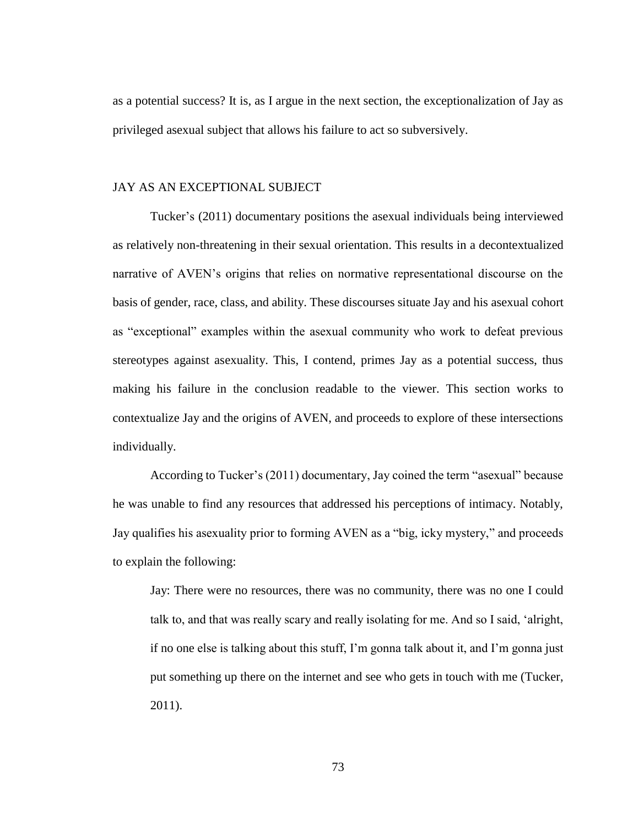as a potential success? It is, as I argue in the next section, the exceptionalization of Jay as privileged asexual subject that allows his failure to act so subversively.

#### JAY AS AN EXCEPTIONAL SUBJECT

Tucker's (2011) documentary positions the asexual individuals being interviewed as relatively non-threatening in their sexual orientation. This results in a decontextualized narrative of AVEN's origins that relies on normative representational discourse on the basis of gender, race, class, and ability. These discourses situate Jay and his asexual cohort as "exceptional" examples within the asexual community who work to defeat previous stereotypes against asexuality. This, I contend, primes Jay as a potential success, thus making his failure in the conclusion readable to the viewer. This section works to contextualize Jay and the origins of AVEN, and proceeds to explore of these intersections individually.

According to Tucker's (2011) documentary, Jay coined the term "asexual" because he was unable to find any resources that addressed his perceptions of intimacy. Notably, Jay qualifies his asexuality prior to forming AVEN as a "big, icky mystery," and proceeds to explain the following:

Jay: There were no resources, there was no community, there was no one I could talk to, and that was really scary and really isolating for me. And so I said, 'alright, if no one else is talking about this stuff, I'm gonna talk about it, and I'm gonna just put something up there on the internet and see who gets in touch with me (Tucker, 2011).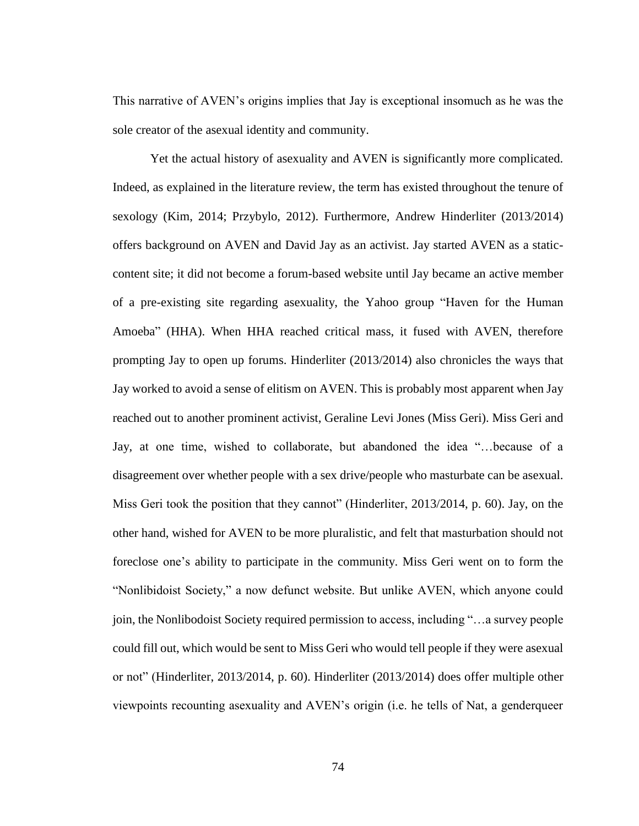This narrative of AVEN's origins implies that Jay is exceptional insomuch as he was the sole creator of the asexual identity and community.

Yet the actual history of asexuality and AVEN is significantly more complicated. Indeed, as explained in the literature review, the term has existed throughout the tenure of sexology (Kim, 2014; Przybylo, 2012). Furthermore, Andrew Hinderliter (2013/2014) offers background on AVEN and David Jay as an activist. Jay started AVEN as a staticcontent site; it did not become a forum-based website until Jay became an active member of a pre-existing site regarding asexuality, the Yahoo group "Haven for the Human Amoeba" (HHA). When HHA reached critical mass, it fused with AVEN, therefore prompting Jay to open up forums. Hinderliter (2013/2014) also chronicles the ways that Jay worked to avoid a sense of elitism on AVEN. This is probably most apparent when Jay reached out to another prominent activist, Geraline Levi Jones (Miss Geri). Miss Geri and Jay, at one time, wished to collaborate, but abandoned the idea "…because of a disagreement over whether people with a sex drive/people who masturbate can be asexual. Miss Geri took the position that they cannot" (Hinderliter, 2013/2014, p. 60). Jay, on the other hand, wished for AVEN to be more pluralistic, and felt that masturbation should not foreclose one's ability to participate in the community. Miss Geri went on to form the "Nonlibidoist Society," a now defunct website. But unlike AVEN, which anyone could join, the Nonlibodoist Society required permission to access, including "…a survey people could fill out, which would be sent to Miss Geri who would tell people if they were asexual or not" (Hinderliter, 2013/2014, p. 60). Hinderliter (2013/2014) does offer multiple other viewpoints recounting asexuality and AVEN's origin (i.e. he tells of Nat, a genderqueer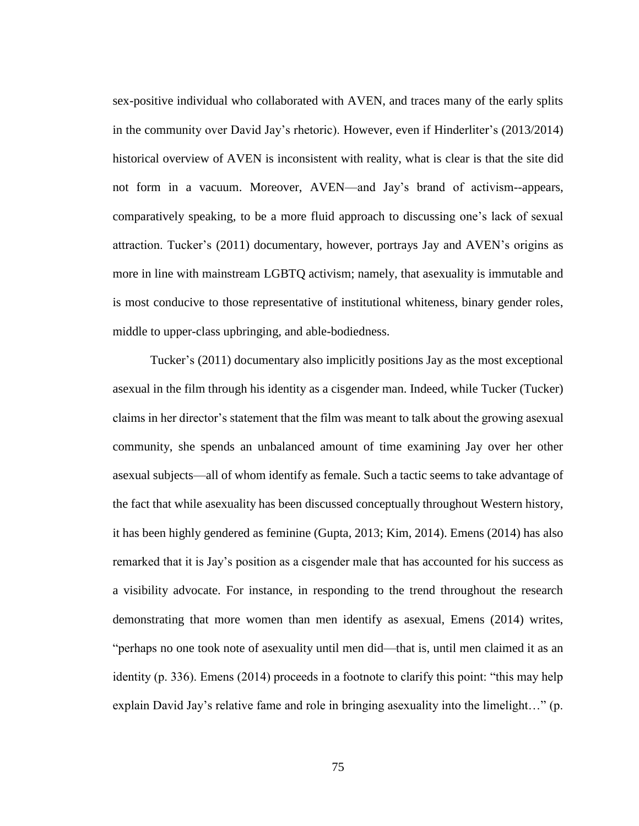sex-positive individual who collaborated with AVEN, and traces many of the early splits in the community over David Jay's rhetoric). However, even if Hinderliter's (2013/2014) historical overview of AVEN is inconsistent with reality, what is clear is that the site did not form in a vacuum. Moreover, AVEN—and Jay's brand of activism--appears, comparatively speaking, to be a more fluid approach to discussing one's lack of sexual attraction. Tucker's (2011) documentary, however, portrays Jay and AVEN's origins as more in line with mainstream LGBTQ activism; namely, that asexuality is immutable and is most conducive to those representative of institutional whiteness, binary gender roles, middle to upper-class upbringing, and able-bodiedness.

Tucker's (2011) documentary also implicitly positions Jay as the most exceptional asexual in the film through his identity as a cisgender man. Indeed, while Tucker (Tucker) claims in her director's statement that the film was meant to talk about the growing asexual community, she spends an unbalanced amount of time examining Jay over her other asexual subjects—all of whom identify as female. Such a tactic seems to take advantage of the fact that while asexuality has been discussed conceptually throughout Western history, it has been highly gendered as feminine (Gupta, 2013; Kim, 2014). Emens (2014) has also remarked that it is Jay's position as a cisgender male that has accounted for his success as a visibility advocate. For instance, in responding to the trend throughout the research demonstrating that more women than men identify as asexual, Emens (2014) writes, "perhaps no one took note of asexuality until men did—that is, until men claimed it as an identity (p. 336). Emens (2014) proceeds in a footnote to clarify this point: "this may help explain David Jay's relative fame and role in bringing asexuality into the limelight…" (p.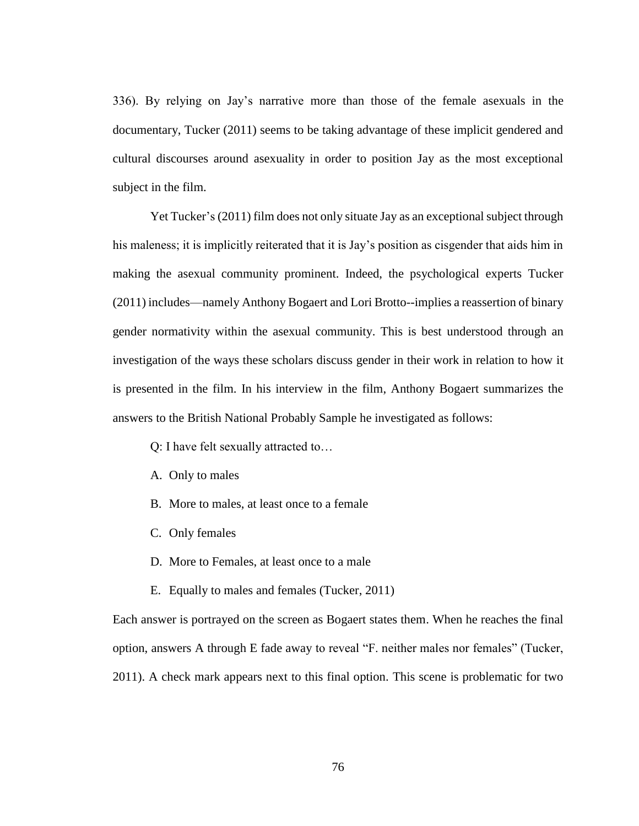336). By relying on Jay's narrative more than those of the female asexuals in the documentary, Tucker (2011) seems to be taking advantage of these implicit gendered and cultural discourses around asexuality in order to position Jay as the most exceptional subject in the film.

Yet Tucker's (2011) film does not only situate Jay as an exceptional subject through his maleness; it is implicitly reiterated that it is Jay's position as cisgender that aids him in making the asexual community prominent. Indeed, the psychological experts Tucker (2011) includes—namely Anthony Bogaert and Lori Brotto--implies a reassertion of binary gender normativity within the asexual community. This is best understood through an investigation of the ways these scholars discuss gender in their work in relation to how it is presented in the film. In his interview in the film, Anthony Bogaert summarizes the answers to the British National Probably Sample he investigated as follows:

Q: I have felt sexually attracted to…

- A. Only to males
- B. More to males, at least once to a female
- C. Only females
- D. More to Females, at least once to a male
- E. Equally to males and females (Tucker, 2011)

Each answer is portrayed on the screen as Bogaert states them. When he reaches the final option, answers A through E fade away to reveal "F. neither males nor females" (Tucker, 2011). A check mark appears next to this final option. This scene is problematic for two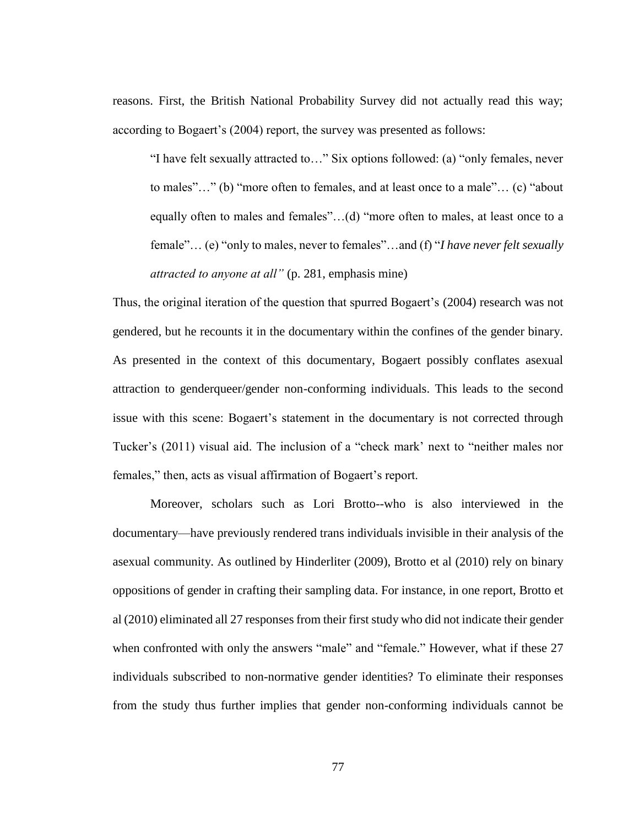reasons. First, the British National Probability Survey did not actually read this way; according to Bogaert's (2004) report, the survey was presented as follows:

"I have felt sexually attracted to…" Six options followed: (a) "only females, never to males"…" (b) "more often to females, and at least once to a male"… (c) "about equally often to males and females"…(d) "more often to males, at least once to a female"… (e) "only to males, never to females"…and (f) "*I have never felt sexually attracted to anyone at all"* (p. 281, emphasis mine)

Thus, the original iteration of the question that spurred Bogaert's (2004) research was not gendered, but he recounts it in the documentary within the confines of the gender binary. As presented in the context of this documentary, Bogaert possibly conflates asexual attraction to genderqueer/gender non-conforming individuals. This leads to the second issue with this scene: Bogaert's statement in the documentary is not corrected through Tucker's (2011) visual aid. The inclusion of a "check mark' next to "neither males nor females," then, acts as visual affirmation of Bogaert's report.

Moreover, scholars such as Lori Brotto--who is also interviewed in the documentary—have previously rendered trans individuals invisible in their analysis of the asexual community. As outlined by Hinderliter (2009), Brotto et al (2010) rely on binary oppositions of gender in crafting their sampling data. For instance, in one report, Brotto et al (2010) eliminated all 27 responses from their first study who did not indicate their gender when confronted with only the answers "male" and "female." However, what if these 27 individuals subscribed to non-normative gender identities? To eliminate their responses from the study thus further implies that gender non-conforming individuals cannot be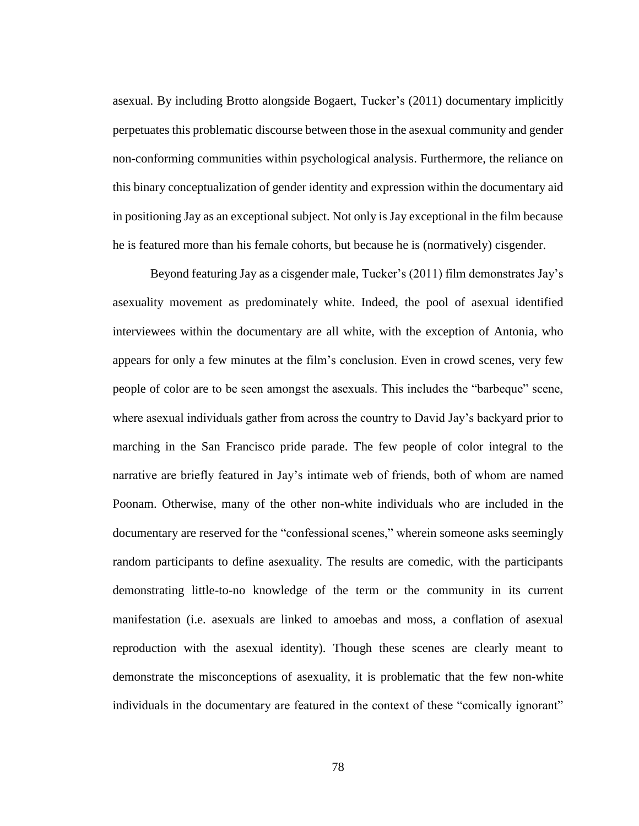asexual. By including Brotto alongside Bogaert, Tucker's (2011) documentary implicitly perpetuates this problematic discourse between those in the asexual community and gender non-conforming communities within psychological analysis. Furthermore, the reliance on this binary conceptualization of gender identity and expression within the documentary aid in positioning Jay as an exceptional subject. Not only is Jay exceptional in the film because he is featured more than his female cohorts, but because he is (normatively) cisgender.

Beyond featuring Jay as a cisgender male, Tucker's (2011) film demonstrates Jay's asexuality movement as predominately white. Indeed, the pool of asexual identified interviewees within the documentary are all white, with the exception of Antonia, who appears for only a few minutes at the film's conclusion. Even in crowd scenes, very few people of color are to be seen amongst the asexuals. This includes the "barbeque" scene, where asexual individuals gather from across the country to David Jay's backyard prior to marching in the San Francisco pride parade. The few people of color integral to the narrative are briefly featured in Jay's intimate web of friends, both of whom are named Poonam. Otherwise, many of the other non-white individuals who are included in the documentary are reserved for the "confessional scenes," wherein someone asks seemingly random participants to define asexuality. The results are comedic, with the participants demonstrating little-to-no knowledge of the term or the community in its current manifestation (i.e. asexuals are linked to amoebas and moss, a conflation of asexual reproduction with the asexual identity). Though these scenes are clearly meant to demonstrate the misconceptions of asexuality, it is problematic that the few non-white individuals in the documentary are featured in the context of these "comically ignorant"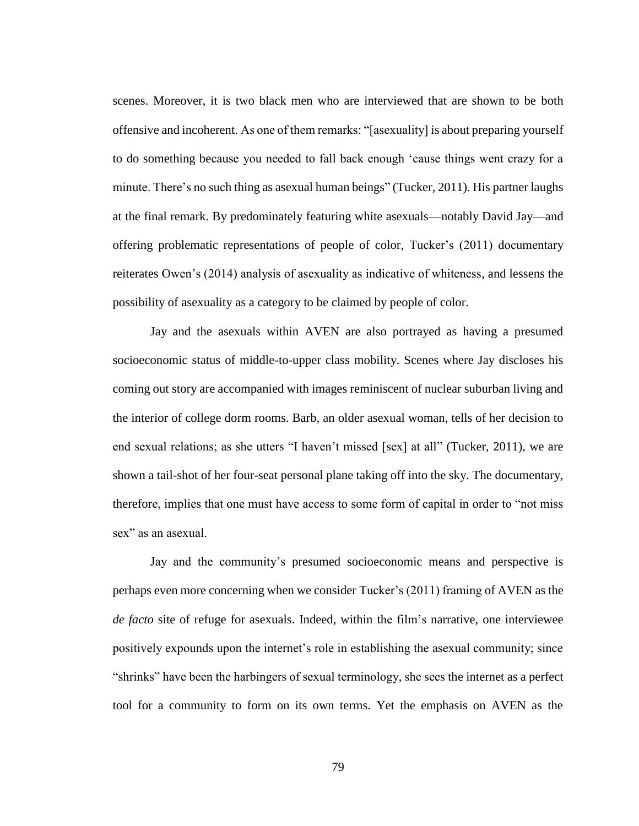scenes. Moreover, it is two black men who are interviewed that are shown to be both offensive and incoherent. As one of them remarks: "[asexuality] is about preparing yourself to do something because you needed to fall back enough 'cause things went crazy for a minute. There's no such thing as asexual human beings" (Tucker, 2011). His partner laughs at the final remark. By predominately featuring white asexuals—notably David Jay—and offering problematic representations of people of color, Tucker's (2011) documentary reiterates Owen's (2014) analysis of asexuality as indicative of whiteness, and lessens the possibility of asexuality as a category to be claimed by people of color.

Jay and the asexuals within AVEN are also portrayed as having a presumed socioeconomic status of middle-to-upper class mobility. Scenes where Jay discloses his coming out story are accompanied with images reminiscent of nuclear suburban living and the interior of college dorm rooms. Barb, an older asexual woman, tells of her decision to end sexual relations; as she utters "I haven't missed [sex] at all" (Tucker, 2011), we are shown a tail-shot of her four-seat personal plane taking off into the sky. The documentary, therefore, implies that one must have access to some form of capital in order to "not miss sex" as an asexual.

Jay and the community's presumed socioeconomic means and perspective is perhaps even more concerning when we consider Tucker's (2011) framing of AVEN as the *de facto* site of refuge for asexuals. Indeed, within the film's narrative, one interviewee positively expounds upon the internet's role in establishing the asexual community; since "shrinks" have been the harbingers of sexual terminology, she sees the internet as a perfect tool for a community to form on its own terms. Yet the emphasis on AVEN as the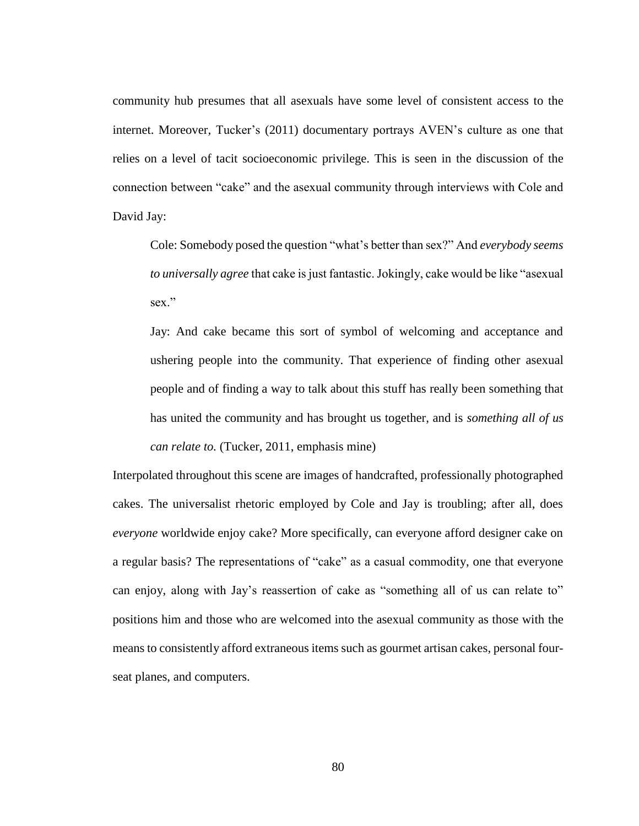community hub presumes that all asexuals have some level of consistent access to the internet. Moreover, Tucker's (2011) documentary portrays AVEN's culture as one that relies on a level of tacit socioeconomic privilege. This is seen in the discussion of the connection between "cake" and the asexual community through interviews with Cole and David Jay:

Cole: Somebody posed the question "what's better than sex?" And *everybody seems to universally agree* that cake is just fantastic. Jokingly, cake would be like "asexual sex."

Jay: And cake became this sort of symbol of welcoming and acceptance and ushering people into the community. That experience of finding other asexual people and of finding a way to talk about this stuff has really been something that has united the community and has brought us together, and is *something all of us can relate to.* (Tucker, 2011, emphasis mine)

Interpolated throughout this scene are images of handcrafted, professionally photographed cakes. The universalist rhetoric employed by Cole and Jay is troubling; after all, does *everyone* worldwide enjoy cake? More specifically, can everyone afford designer cake on a regular basis? The representations of "cake" as a casual commodity, one that everyone can enjoy, along with Jay's reassertion of cake as "something all of us can relate to" positions him and those who are welcomed into the asexual community as those with the means to consistently afford extraneous items such as gourmet artisan cakes, personal fourseat planes, and computers.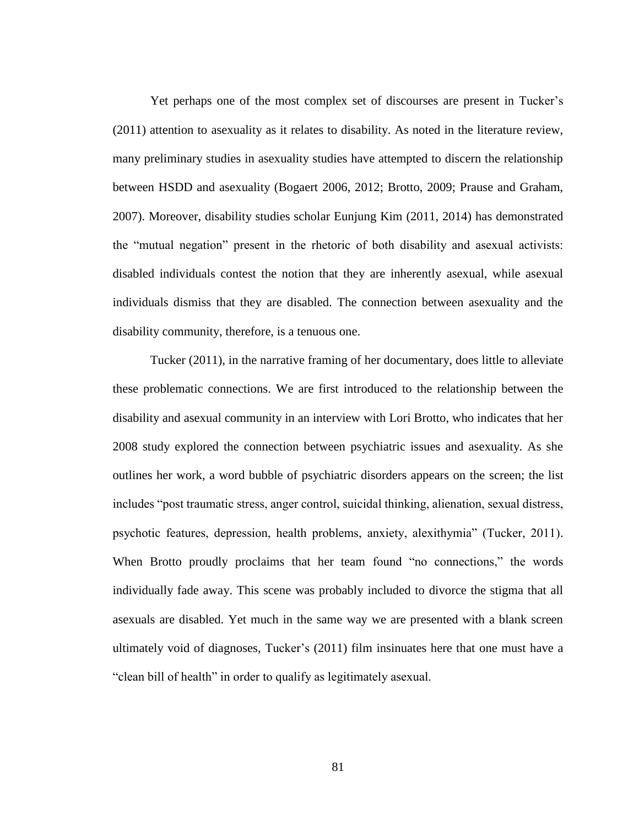Yet perhaps one of the most complex set of discourses are present in Tucker's (2011) attention to asexuality as it relates to disability. As noted in the literature review, many preliminary studies in asexuality studies have attempted to discern the relationship between HSDD and asexuality (Bogaert 2006, 2012; Brotto, 2009; Prause and Graham, 2007). Moreover, disability studies scholar Eunjung Kim (2011, 2014) has demonstrated the "mutual negation" present in the rhetoric of both disability and asexual activists: disabled individuals contest the notion that they are inherently asexual, while asexual individuals dismiss that they are disabled. The connection between asexuality and the disability community, therefore, is a tenuous one.

Tucker (2011), in the narrative framing of her documentary, does little to alleviate these problematic connections. We are first introduced to the relationship between the disability and asexual community in an interview with Lori Brotto, who indicates that her 2008 study explored the connection between psychiatric issues and asexuality. As she outlines her work, a word bubble of psychiatric disorders appears on the screen; the list includes "post traumatic stress, anger control, suicidal thinking, alienation, sexual distress, psychotic features, depression, health problems, anxiety, alexithymia" (Tucker, 2011). When Brotto proudly proclaims that her team found "no connections," the words individually fade away. This scene was probably included to divorce the stigma that all asexuals are disabled. Yet much in the same way we are presented with a blank screen ultimately void of diagnoses, Tucker's (2011) film insinuates here that one must have a "clean bill of health" in order to qualify as legitimately asexual.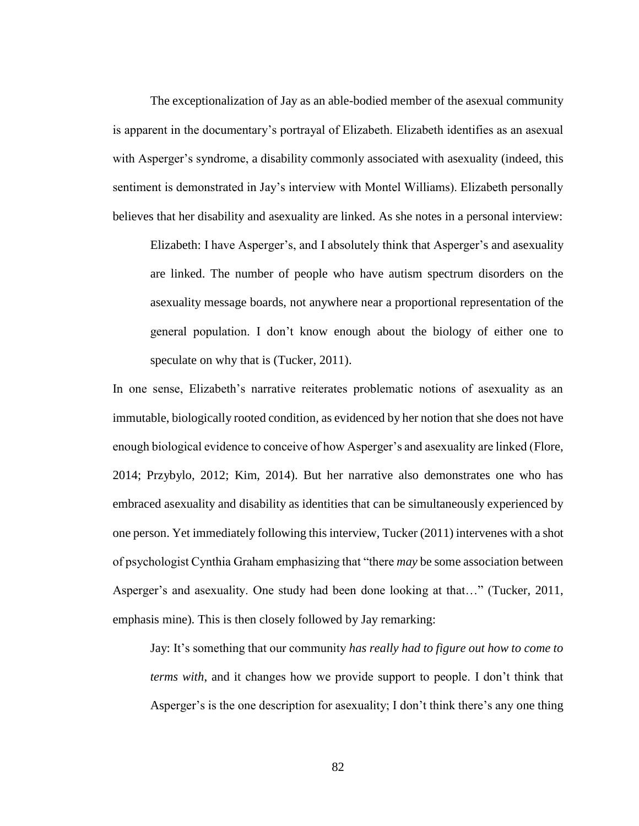The exceptionalization of Jay as an able-bodied member of the asexual community is apparent in the documentary's portrayal of Elizabeth. Elizabeth identifies as an asexual with Asperger's syndrome, a disability commonly associated with asexuality (indeed, this sentiment is demonstrated in Jay's interview with Montel Williams). Elizabeth personally believes that her disability and asexuality are linked. As she notes in a personal interview:

Elizabeth: I have Asperger's, and I absolutely think that Asperger's and asexuality are linked. The number of people who have autism spectrum disorders on the asexuality message boards, not anywhere near a proportional representation of the general population. I don't know enough about the biology of either one to speculate on why that is (Tucker, 2011).

In one sense, Elizabeth's narrative reiterates problematic notions of asexuality as an immutable, biologically rooted condition, as evidenced by her notion that she does not have enough biological evidence to conceive of how Asperger's and asexuality are linked (Flore, 2014; Przybylo, 2012; Kim, 2014). But her narrative also demonstrates one who has embraced asexuality and disability as identities that can be simultaneously experienced by one person. Yet immediately following this interview, Tucker (2011) intervenes with a shot of psychologist Cynthia Graham emphasizing that "there *may* be some association between Asperger's and asexuality. One study had been done looking at that…" (Tucker, 2011, emphasis mine). This is then closely followed by Jay remarking:

Jay: It's something that our community *has really had to figure out how to come to terms with*, and it changes how we provide support to people. I don't think that Asperger's is the one description for asexuality; I don't think there's any one thing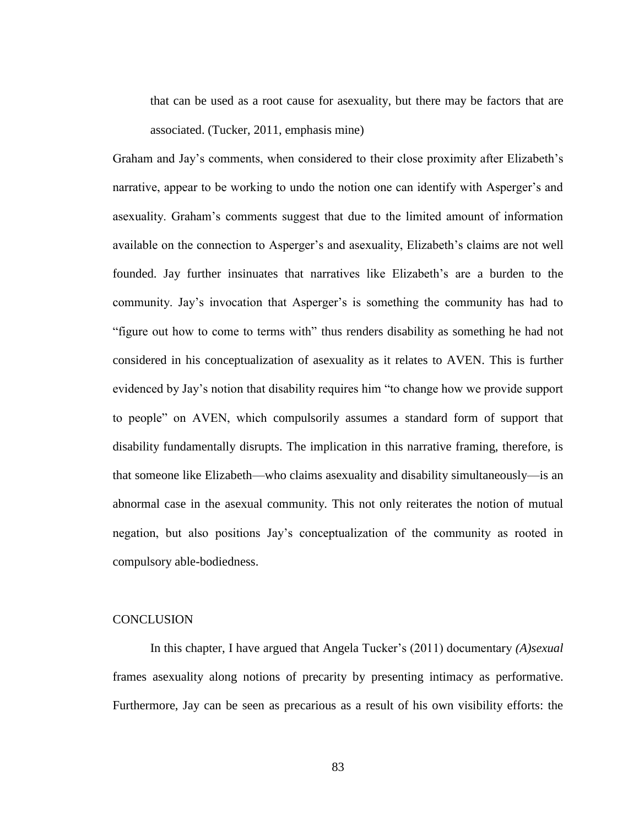that can be used as a root cause for asexuality, but there may be factors that are associated. (Tucker, 2011, emphasis mine)

Graham and Jay's comments, when considered to their close proximity after Elizabeth's narrative, appear to be working to undo the notion one can identify with Asperger's and asexuality. Graham's comments suggest that due to the limited amount of information available on the connection to Asperger's and asexuality, Elizabeth's claims are not well founded. Jay further insinuates that narratives like Elizabeth's are a burden to the community. Jay's invocation that Asperger's is something the community has had to "figure out how to come to terms with" thus renders disability as something he had not considered in his conceptualization of asexuality as it relates to AVEN. This is further evidenced by Jay's notion that disability requires him "to change how we provide support to people" on AVEN, which compulsorily assumes a standard form of support that disability fundamentally disrupts. The implication in this narrative framing, therefore, is that someone like Elizabeth—who claims asexuality and disability simultaneously—is an abnormal case in the asexual community. This not only reiterates the notion of mutual negation, but also positions Jay's conceptualization of the community as rooted in compulsory able-bodiedness.

### **CONCLUSION**

In this chapter, I have argued that Angela Tucker's (2011) documentary *(A)sexual* frames asexuality along notions of precarity by presenting intimacy as performative. Furthermore, Jay can be seen as precarious as a result of his own visibility efforts: the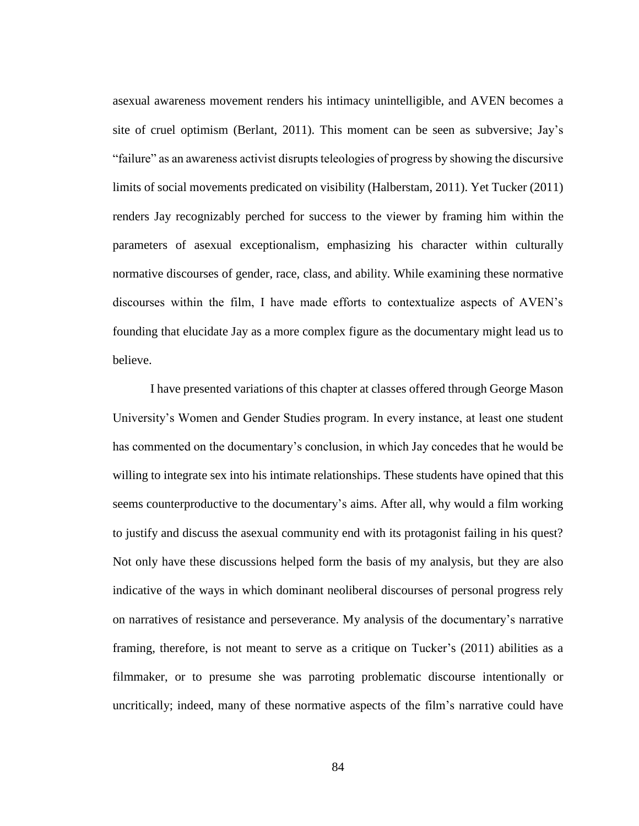asexual awareness movement renders his intimacy unintelligible, and AVEN becomes a site of cruel optimism (Berlant, 2011). This moment can be seen as subversive; Jay's "failure" as an awareness activist disrupts teleologies of progress by showing the discursive limits of social movements predicated on visibility (Halberstam, 2011). Yet Tucker (2011) renders Jay recognizably perched for success to the viewer by framing him within the parameters of asexual exceptionalism, emphasizing his character within culturally normative discourses of gender, race, class, and ability. While examining these normative discourses within the film, I have made efforts to contextualize aspects of AVEN's founding that elucidate Jay as a more complex figure as the documentary might lead us to believe.

I have presented variations of this chapter at classes offered through George Mason University's Women and Gender Studies program. In every instance, at least one student has commented on the documentary's conclusion, in which Jay concedes that he would be willing to integrate sex into his intimate relationships. These students have opined that this seems counterproductive to the documentary's aims. After all, why would a film working to justify and discuss the asexual community end with its protagonist failing in his quest? Not only have these discussions helped form the basis of my analysis, but they are also indicative of the ways in which dominant neoliberal discourses of personal progress rely on narratives of resistance and perseverance. My analysis of the documentary's narrative framing, therefore, is not meant to serve as a critique on Tucker's (2011) abilities as a filmmaker, or to presume she was parroting problematic discourse intentionally or uncritically; indeed, many of these normative aspects of the film's narrative could have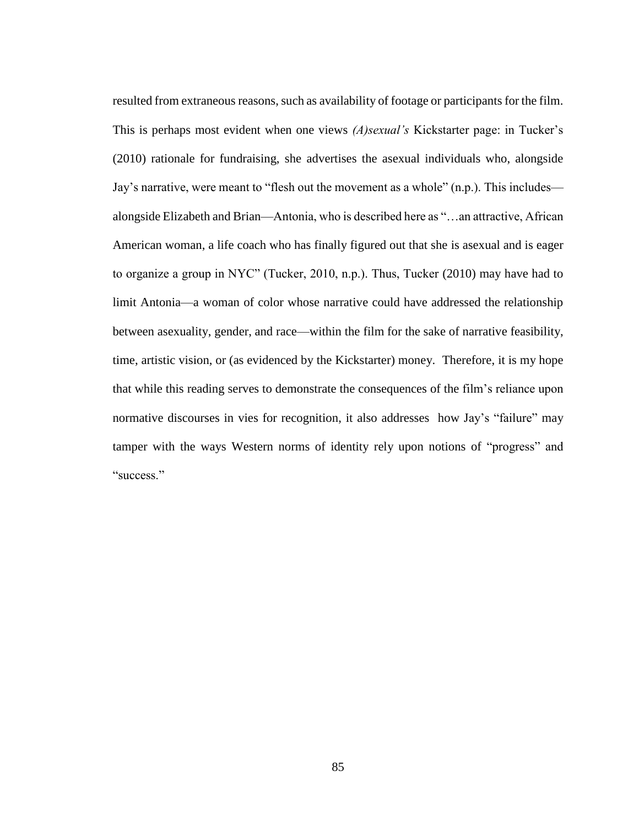resulted from extraneous reasons, such as availability of footage or participants for the film. This is perhaps most evident when one views *(A)sexual's* Kickstarter page: in Tucker's (2010) rationale for fundraising, she advertises the asexual individuals who, alongside Jay's narrative, were meant to "flesh out the movement as a whole" (n.p.). This includes alongside Elizabeth and Brian—Antonia, who is described here as "…an attractive, African American woman, a life coach who has finally figured out that she is asexual and is eager to organize a group in NYC" (Tucker, 2010, n.p.). Thus, Tucker (2010) may have had to limit Antonia—a woman of color whose narrative could have addressed the relationship between asexuality, gender, and race—within the film for the sake of narrative feasibility, time, artistic vision, or (as evidenced by the Kickstarter) money. Therefore, it is my hope that while this reading serves to demonstrate the consequences of the film's reliance upon normative discourses in vies for recognition, it also addresses how Jay's "failure" may tamper with the ways Western norms of identity rely upon notions of "progress" and "success."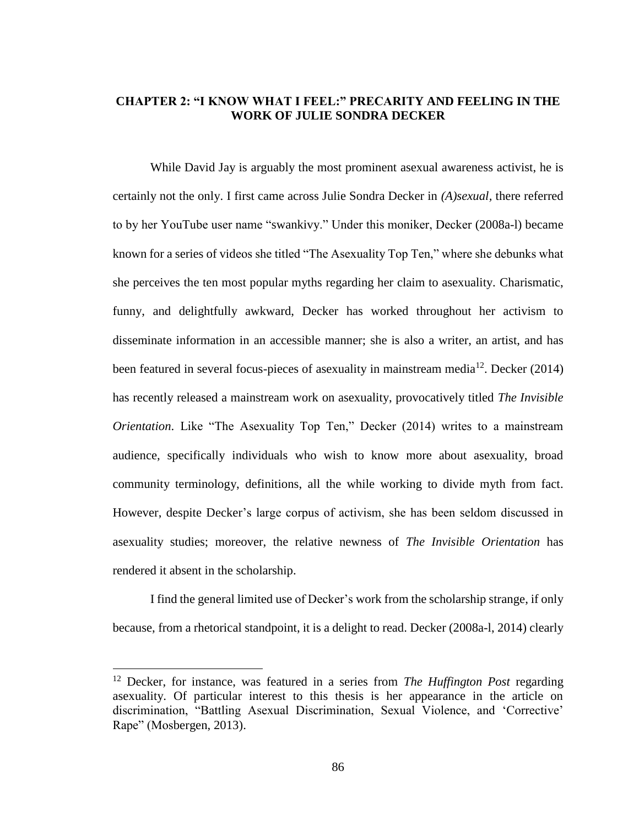## **CHAPTER 2: "I KNOW WHAT I FEEL:" PRECARITY AND FEELING IN THE WORK OF JULIE SONDRA DECKER**

While David Jay is arguably the most prominent asexual awareness activist, he is certainly not the only. I first came across Julie Sondra Decker in *(A)sexual,* there referred to by her YouTube user name "swankivy." Under this moniker, Decker (2008a-l) became known for a series of videos she titled "The Asexuality Top Ten," where she debunks what she perceives the ten most popular myths regarding her claim to asexuality. Charismatic, funny, and delightfully awkward, Decker has worked throughout her activism to disseminate information in an accessible manner; she is also a writer, an artist, and has been featured in several focus-pieces of asexuality in mainstream media<sup>12</sup>. Decker (2014) has recently released a mainstream work on asexuality, provocatively titled *The Invisible Orientation*. Like "The Asexuality Top Ten," Decker (2014) writes to a mainstream audience, specifically individuals who wish to know more about asexuality, broad community terminology, definitions, all the while working to divide myth from fact. However, despite Decker's large corpus of activism, she has been seldom discussed in asexuality studies; moreover, the relative newness of *The Invisible Orientation* has rendered it absent in the scholarship.

I find the general limited use of Decker's work from the scholarship strange, if only because, from a rhetorical standpoint, it is a delight to read. Decker (2008a-l, 2014) clearly

 $\overline{a}$ 

<sup>12</sup> Decker, for instance, was featured in a series from *The Huffington Post* regarding asexuality. Of particular interest to this thesis is her appearance in the article on discrimination, "Battling Asexual Discrimination, Sexual Violence, and 'Corrective' Rape" (Mosbergen, 2013).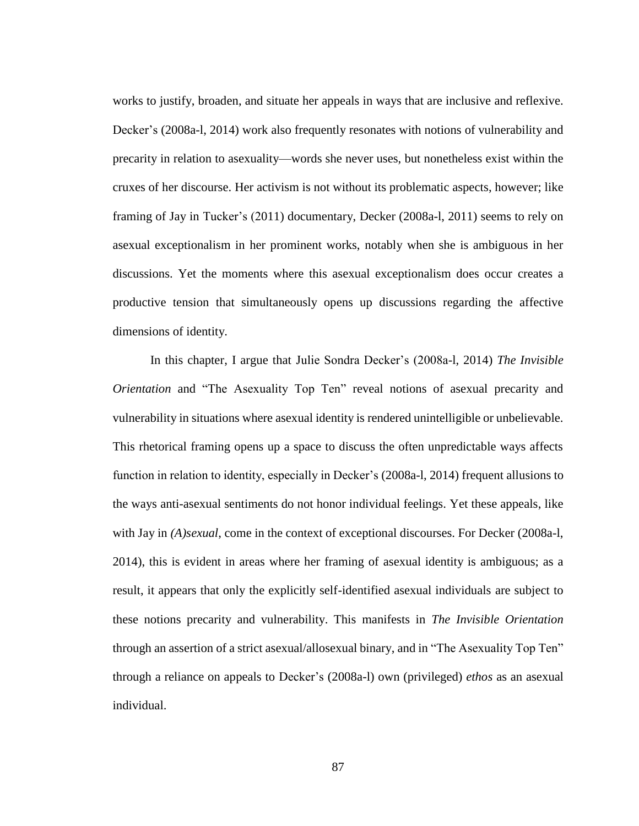works to justify, broaden, and situate her appeals in ways that are inclusive and reflexive. Decker's (2008a-l, 2014) work also frequently resonates with notions of vulnerability and precarity in relation to asexuality—words she never uses, but nonetheless exist within the cruxes of her discourse. Her activism is not without its problematic aspects, however; like framing of Jay in Tucker's (2011) documentary, Decker (2008a-l, 2011) seems to rely on asexual exceptionalism in her prominent works, notably when she is ambiguous in her discussions. Yet the moments where this asexual exceptionalism does occur creates a productive tension that simultaneously opens up discussions regarding the affective dimensions of identity.

In this chapter, I argue that Julie Sondra Decker's (2008a-l, 2014) *The Invisible Orientation* and "The Asexuality Top Ten" reveal notions of asexual precarity and vulnerability in situations where asexual identity is rendered unintelligible or unbelievable. This rhetorical framing opens up a space to discuss the often unpredictable ways affects function in relation to identity, especially in Decker's (2008a-l, 2014) frequent allusions to the ways anti-asexual sentiments do not honor individual feelings. Yet these appeals, like with Jay in *(A)sexual*, come in the context of exceptional discourses. For Decker (2008a-l, 2014), this is evident in areas where her framing of asexual identity is ambiguous; as a result, it appears that only the explicitly self-identified asexual individuals are subject to these notions precarity and vulnerability. This manifests in *The Invisible Orientation*  through an assertion of a strict asexual/allosexual binary, and in "The Asexuality Top Ten" through a reliance on appeals to Decker's (2008a-l) own (privileged) *ethos* as an asexual individual.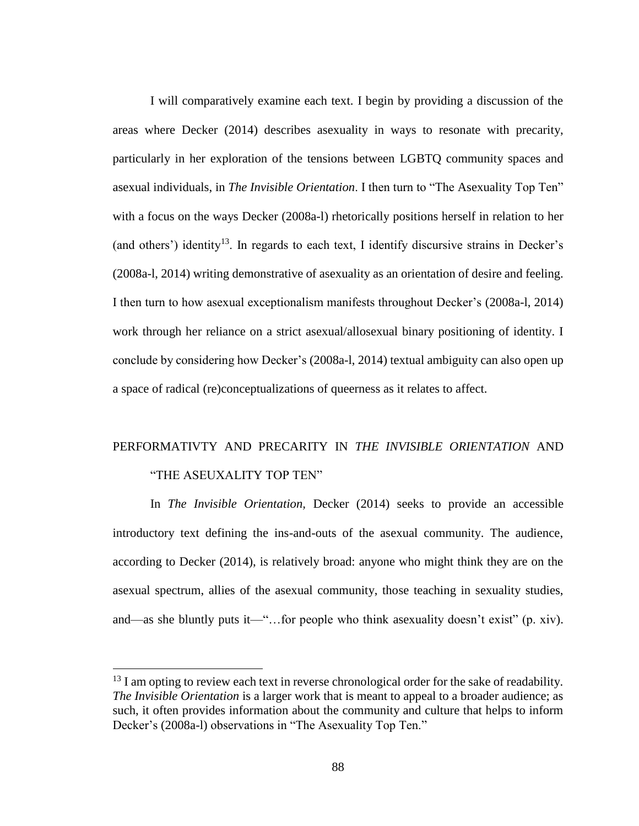I will comparatively examine each text. I begin by providing a discussion of the areas where Decker (2014) describes asexuality in ways to resonate with precarity, particularly in her exploration of the tensions between LGBTQ community spaces and asexual individuals, in *The Invisible Orientation*. I then turn to "The Asexuality Top Ten" with a focus on the ways Decker (2008a-l) rhetorically positions herself in relation to her (and others') identity<sup>13</sup>. In regards to each text, I identify discursive strains in Decker's (2008a-l, 2014) writing demonstrative of asexuality as an orientation of desire and feeling. I then turn to how asexual exceptionalism manifests throughout Decker's (2008a-l, 2014) work through her reliance on a strict asexual/allosexual binary positioning of identity. I conclude by considering how Decker's (2008a-l, 2014) textual ambiguity can also open up a space of radical (re)conceptualizations of queerness as it relates to affect.

# PERFORMATIVTY AND PRECARITY IN *THE INVISIBLE ORIENTATION* AND "THE ASEUXALITY TOP TEN"

In *The Invisible Orientation,* Decker (2014) seeks to provide an accessible introductory text defining the ins-and-outs of the asexual community. The audience, according to Decker (2014), is relatively broad: anyone who might think they are on the asexual spectrum, allies of the asexual community, those teaching in sexuality studies, and—as she bluntly puts it—"…for people who think asexuality doesn't exist" (p. xiv).

 $\overline{a}$ 

 $^{13}$  I am opting to review each text in reverse chronological order for the sake of readability. *The Invisible Orientation* is a larger work that is meant to appeal to a broader audience; as such, it often provides information about the community and culture that helps to inform Decker's (2008a-l) observations in "The Asexuality Top Ten."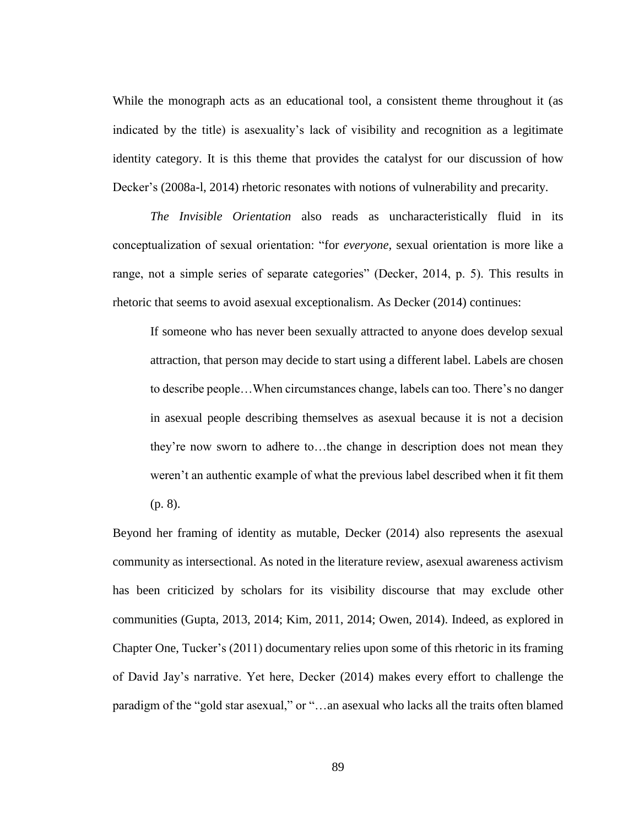While the monograph acts as an educational tool, a consistent theme throughout it (as indicated by the title) is asexuality's lack of visibility and recognition as a legitimate identity category. It is this theme that provides the catalyst for our discussion of how Decker's (2008a-l, 2014) rhetoric resonates with notions of vulnerability and precarity.

*The Invisible Orientation* also reads as uncharacteristically fluid in its conceptualization of sexual orientation: "for *everyone,* sexual orientation is more like a range, not a simple series of separate categories" (Decker, 2014, p. 5). This results in rhetoric that seems to avoid asexual exceptionalism. As Decker (2014) continues:

If someone who has never been sexually attracted to anyone does develop sexual attraction, that person may decide to start using a different label. Labels are chosen to describe people…When circumstances change, labels can too. There's no danger in asexual people describing themselves as asexual because it is not a decision they're now sworn to adhere to…the change in description does not mean they weren't an authentic example of what the previous label described when it fit them (p. 8).

Beyond her framing of identity as mutable, Decker (2014) also represents the asexual community as intersectional. As noted in the literature review, asexual awareness activism has been criticized by scholars for its visibility discourse that may exclude other communities (Gupta, 2013, 2014; Kim, 2011, 2014; Owen, 2014). Indeed, as explored in Chapter One, Tucker's (2011) documentary relies upon some of this rhetoric in its framing of David Jay's narrative. Yet here, Decker (2014) makes every effort to challenge the paradigm of the "gold star asexual," or "…an asexual who lacks all the traits often blamed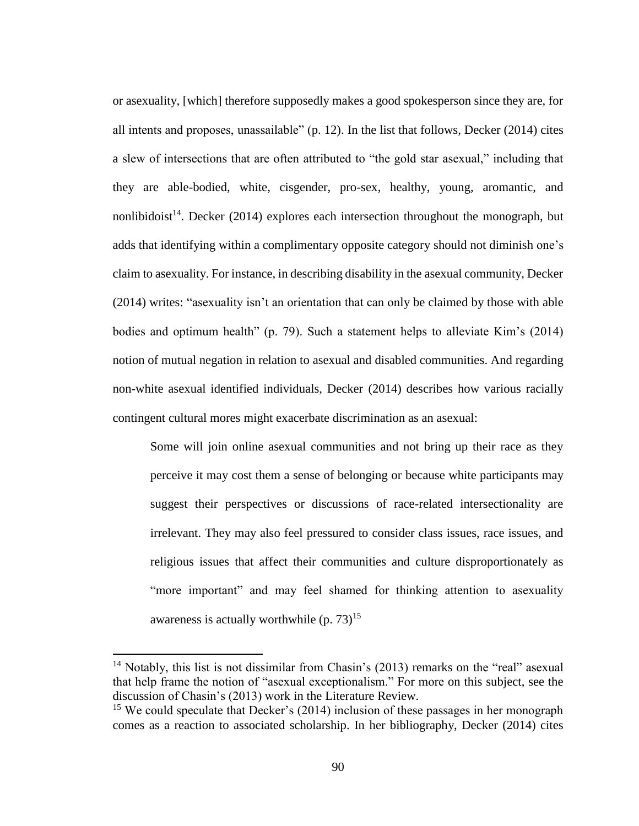or asexuality, [which] therefore supposedly makes a good spokesperson since they are, for all intents and proposes, unassailable" (p. 12). In the list that follows, Decker (2014) cites a slew of intersections that are often attributed to "the gold star asexual," including that they are able-bodied, white, cisgender, pro-sex, healthy, young, aromantic, and nonlibidoist<sup>14</sup>. Decker (2014) explores each intersection throughout the monograph, but adds that identifying within a complimentary opposite category should not diminish one's claim to asexuality. For instance, in describing disability in the asexual community, Decker (2014) writes: "asexuality isn't an orientation that can only be claimed by those with able bodies and optimum health" (p. 79). Such a statement helps to alleviate Kim's (2014) notion of mutual negation in relation to asexual and disabled communities. And regarding non-white asexual identified individuals, Decker (2014) describes how various racially contingent cultural mores might exacerbate discrimination as an asexual:

Some will join online asexual communities and not bring up their race as they perceive it may cost them a sense of belonging or because white participants may suggest their perspectives or discussions of race-related intersectionality are irrelevant. They may also feel pressured to consider class issues, race issues, and religious issues that affect their communities and culture disproportionately as "more important" and may feel shamed for thinking attention to asexuality awareness is actually worthwhile  $(p. 73)^{15}$ 

 $\overline{a}$ 

<sup>&</sup>lt;sup>14</sup> Notably, this list is not dissimilar from Chasin's (2013) remarks on the "real" asexual that help frame the notion of "asexual exceptionalism." For more on this subject, see the discussion of Chasin's (2013) work in the Literature Review.

<sup>&</sup>lt;sup>15</sup> We could speculate that Decker's (2014) inclusion of these passages in her monograph comes as a reaction to associated scholarship. In her bibliography, Decker (2014) cites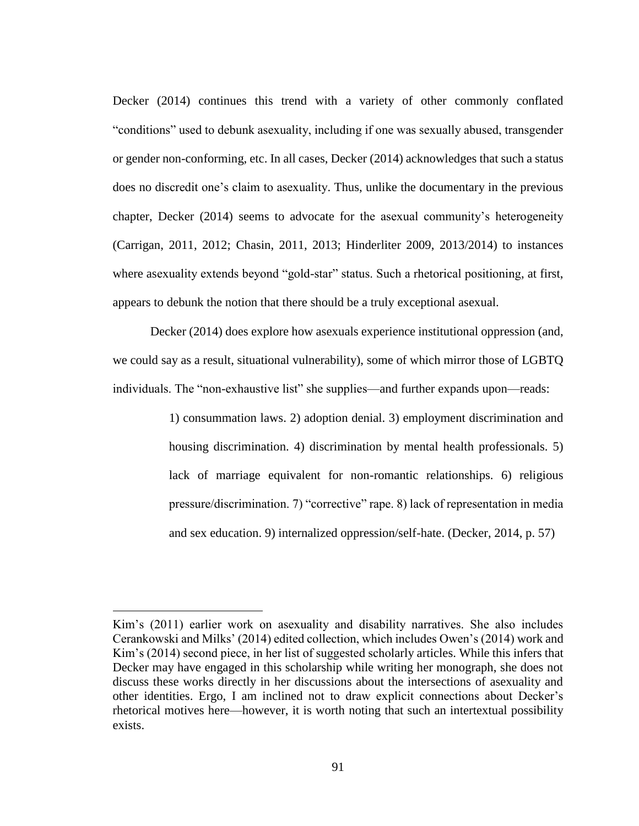Decker (2014) continues this trend with a variety of other commonly conflated "conditions" used to debunk asexuality, including if one was sexually abused, transgender or gender non-conforming, etc. In all cases, Decker (2014) acknowledges that such a status does no discredit one's claim to asexuality. Thus, unlike the documentary in the previous chapter, Decker (2014) seems to advocate for the asexual community's heterogeneity (Carrigan, 2011, 2012; Chasin, 2011, 2013; Hinderliter 2009, 2013/2014) to instances where asexuality extends beyond "gold-star" status. Such a rhetorical positioning, at first, appears to debunk the notion that there should be a truly exceptional asexual.

Decker (2014) does explore how asexuals experience institutional oppression (and, we could say as a result, situational vulnerability), some of which mirror those of LGBTQ individuals. The "non-exhaustive list" she supplies—and further expands upon—reads:

> 1) consummation laws. 2) adoption denial. 3) employment discrimination and housing discrimination. 4) discrimination by mental health professionals. 5) lack of marriage equivalent for non-romantic relationships. 6) religious pressure/discrimination. 7) "corrective" rape. 8) lack of representation in media and sex education. 9) internalized oppression/self-hate. (Decker, 2014, p. 57)

 $\overline{a}$ 

Kim's (2011) earlier work on asexuality and disability narratives. She also includes Cerankowski and Milks' (2014) edited collection, which includes Owen's (2014) work and Kim's (2014) second piece, in her list of suggested scholarly articles. While this infers that Decker may have engaged in this scholarship while writing her monograph, she does not discuss these works directly in her discussions about the intersections of asexuality and other identities. Ergo, I am inclined not to draw explicit connections about Decker's rhetorical motives here—however, it is worth noting that such an intertextual possibility exists.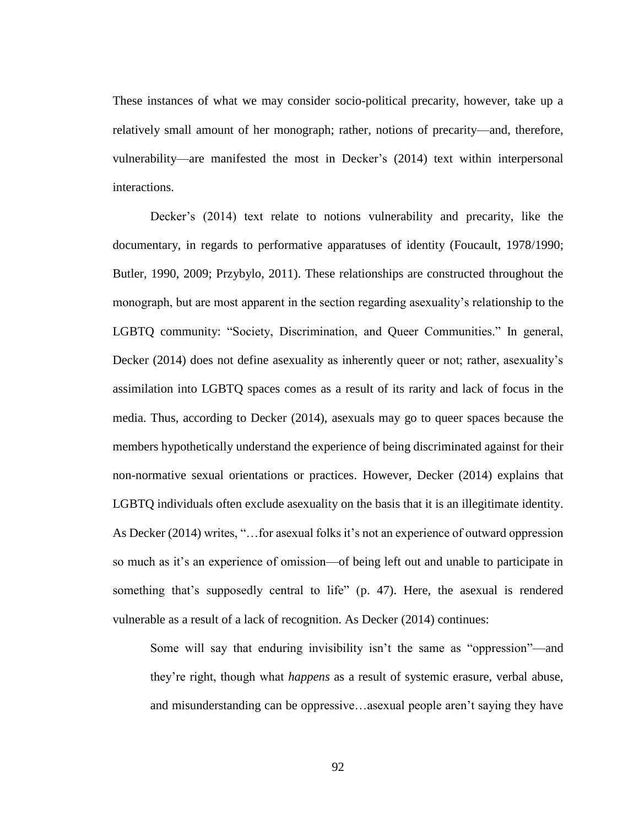These instances of what we may consider socio-political precarity, however, take up a relatively small amount of her monograph; rather, notions of precarity—and, therefore, vulnerability—are manifested the most in Decker's (2014) text within interpersonal interactions.

Decker's (2014) text relate to notions vulnerability and precarity, like the documentary, in regards to performative apparatuses of identity (Foucault, 1978/1990; Butler, 1990, 2009; Przybylo, 2011). These relationships are constructed throughout the monograph, but are most apparent in the section regarding asexuality's relationship to the LGBTQ community: "Society, Discrimination, and Queer Communities." In general, Decker (2014) does not define asexuality as inherently queer or not; rather, asexuality's assimilation into LGBTQ spaces comes as a result of its rarity and lack of focus in the media. Thus, according to Decker (2014), asexuals may go to queer spaces because the members hypothetically understand the experience of being discriminated against for their non-normative sexual orientations or practices. However, Decker (2014) explains that LGBTQ individuals often exclude asexuality on the basis that it is an illegitimate identity. As Decker (2014) writes, "…for asexual folks it's not an experience of outward oppression so much as it's an experience of omission—of being left out and unable to participate in something that's supposedly central to life" (p. 47). Here, the asexual is rendered vulnerable as a result of a lack of recognition. As Decker (2014) continues:

Some will say that enduring invisibility isn't the same as "oppression"—and they're right, though what *happens* as a result of systemic erasure, verbal abuse, and misunderstanding can be oppressive…asexual people aren't saying they have

92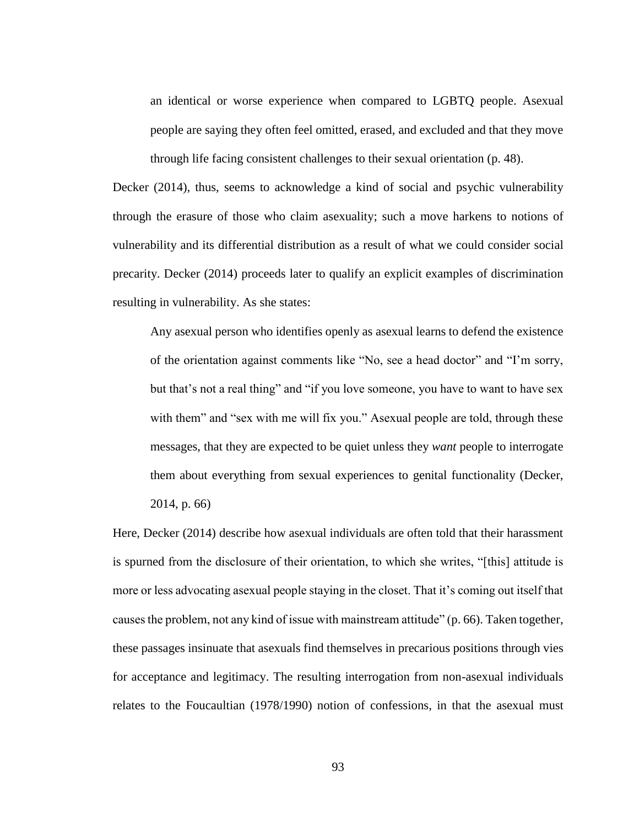an identical or worse experience when compared to LGBTQ people. Asexual people are saying they often feel omitted, erased, and excluded and that they move through life facing consistent challenges to their sexual orientation (p. 48).

Decker (2014), thus, seems to acknowledge a kind of social and psychic vulnerability through the erasure of those who claim asexuality; such a move harkens to notions of vulnerability and its differential distribution as a result of what we could consider social precarity. Decker (2014) proceeds later to qualify an explicit examples of discrimination resulting in vulnerability. As she states:

Any asexual person who identifies openly as asexual learns to defend the existence of the orientation against comments like "No, see a head doctor" and "I'm sorry, but that's not a real thing" and "if you love someone, you have to want to have sex with them" and "sex with me will fix you." Asexual people are told, through these messages, that they are expected to be quiet unless they *want* people to interrogate them about everything from sexual experiences to genital functionality (Decker, 2014, p. 66)

Here, Decker (2014) describe how asexual individuals are often told that their harassment is spurned from the disclosure of their orientation, to which she writes, "[this] attitude is more or less advocating asexual people staying in the closet. That it's coming out itself that causes the problem, not any kind of issue with mainstream attitude" (p. 66). Taken together, these passages insinuate that asexuals find themselves in precarious positions through vies for acceptance and legitimacy. The resulting interrogation from non-asexual individuals relates to the Foucaultian (1978/1990) notion of confessions, in that the asexual must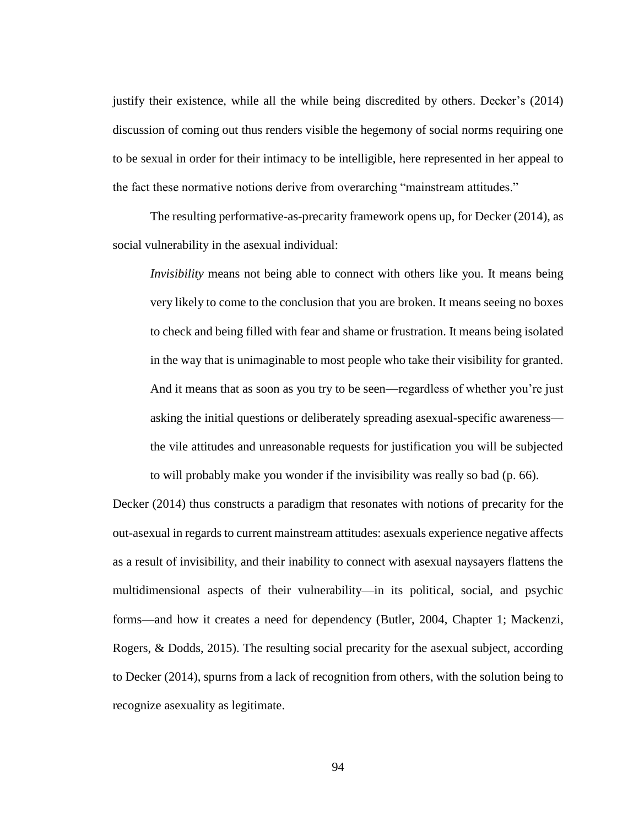justify their existence, while all the while being discredited by others. Decker's (2014) discussion of coming out thus renders visible the hegemony of social norms requiring one to be sexual in order for their intimacy to be intelligible, here represented in her appeal to the fact these normative notions derive from overarching "mainstream attitudes."

The resulting performative-as-precarity framework opens up, for Decker (2014), as social vulnerability in the asexual individual:

*Invisibility* means not being able to connect with others like you. It means being very likely to come to the conclusion that you are broken. It means seeing no boxes to check and being filled with fear and shame or frustration. It means being isolated in the way that is unimaginable to most people who take their visibility for granted. And it means that as soon as you try to be seen—regardless of whether you're just asking the initial questions or deliberately spreading asexual-specific awareness the vile attitudes and unreasonable requests for justification you will be subjected to will probably make you wonder if the invisibility was really so bad (p. 66).

Decker (2014) thus constructs a paradigm that resonates with notions of precarity for the out-asexual in regards to current mainstream attitudes: asexuals experience negative affects as a result of invisibility, and their inability to connect with asexual naysayers flattens the multidimensional aspects of their vulnerability—in its political, social, and psychic forms—and how it creates a need for dependency (Butler, 2004, Chapter 1; Mackenzi, Rogers, & Dodds, 2015). The resulting social precarity for the asexual subject, according to Decker (2014), spurns from a lack of recognition from others, with the solution being to recognize asexuality as legitimate.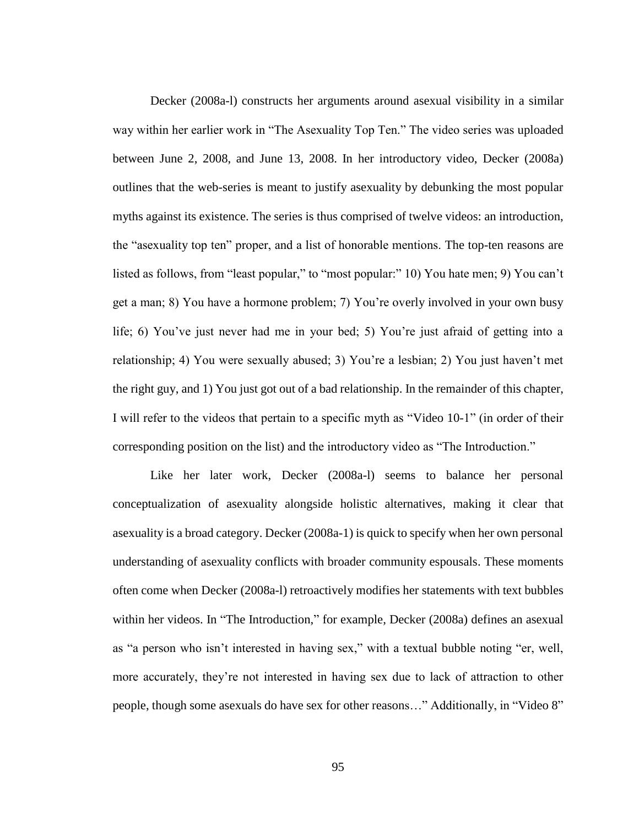Decker (2008a-l) constructs her arguments around asexual visibility in a similar way within her earlier work in "The Asexuality Top Ten." The video series was uploaded between June 2, 2008, and June 13, 2008. In her introductory video, Decker (2008a) outlines that the web-series is meant to justify asexuality by debunking the most popular myths against its existence. The series is thus comprised of twelve videos: an introduction, the "asexuality top ten" proper, and a list of honorable mentions. The top-ten reasons are listed as follows, from "least popular," to "most popular." 10) You hate men; 9) You can't get a man; 8) You have a hormone problem; 7) You're overly involved in your own busy life; 6) You've just never had me in your bed; 5) You're just afraid of getting into a relationship; 4) You were sexually abused; 3) You're a lesbian; 2) You just haven't met the right guy, and 1) You just got out of a bad relationship. In the remainder of this chapter, I will refer to the videos that pertain to a specific myth as "Video 10-1" (in order of their corresponding position on the list) and the introductory video as "The Introduction."

Like her later work, Decker (2008a-l) seems to balance her personal conceptualization of asexuality alongside holistic alternatives, making it clear that asexuality is a broad category. Decker (2008a-1) is quick to specify when her own personal understanding of asexuality conflicts with broader community espousals. These moments often come when Decker (2008a-l) retroactively modifies her statements with text bubbles within her videos. In "The Introduction," for example, Decker (2008a) defines an asexual as "a person who isn't interested in having sex," with a textual bubble noting "er, well, more accurately, they're not interested in having sex due to lack of attraction to other people, though some asexuals do have sex for other reasons…" Additionally, in "Video 8"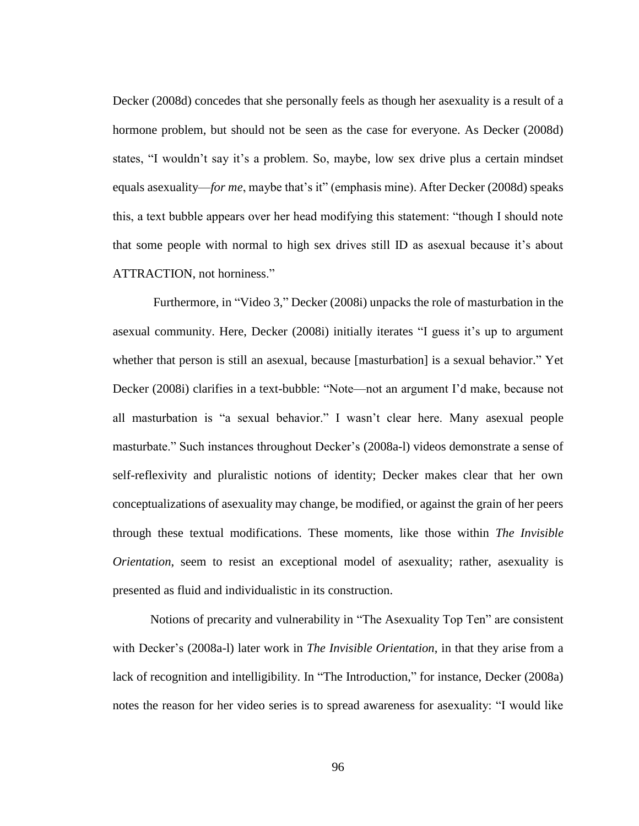Decker (2008d) concedes that she personally feels as though her asexuality is a result of a hormone problem, but should not be seen as the case for everyone. As Decker (2008d) states, "I wouldn't say it's a problem. So, maybe, low sex drive plus a certain mindset equals asexuality—*for me*, maybe that's it" (emphasis mine). After Decker (2008d) speaks this, a text bubble appears over her head modifying this statement: "though I should note that some people with normal to high sex drives still ID as asexual because it's about ATTRACTION, not horniness."

Furthermore, in "Video 3," Decker (2008i) unpacks the role of masturbation in the asexual community. Here, Decker (2008i) initially iterates "I guess it's up to argument whether that person is still an asexual, because [masturbation] is a sexual behavior." Yet Decker (2008i) clarifies in a text-bubble: "Note—not an argument I'd make, because not all masturbation is "a sexual behavior." I wasn't clear here. Many asexual people masturbate." Such instances throughout Decker's (2008a-l) videos demonstrate a sense of self-reflexivity and pluralistic notions of identity; Decker makes clear that her own conceptualizations of asexuality may change, be modified, or against the grain of her peers through these textual modifications. These moments, like those within *The Invisible Orientation*, seem to resist an exceptional model of asexuality; rather, asexuality is presented as fluid and individualistic in its construction.

Notions of precarity and vulnerability in "The Asexuality Top Ten" are consistent with Decker's (2008a-l) later work in *The Invisible Orientation*, in that they arise from a lack of recognition and intelligibility. In "The Introduction," for instance, Decker (2008a) notes the reason for her video series is to spread awareness for asexuality: "I would like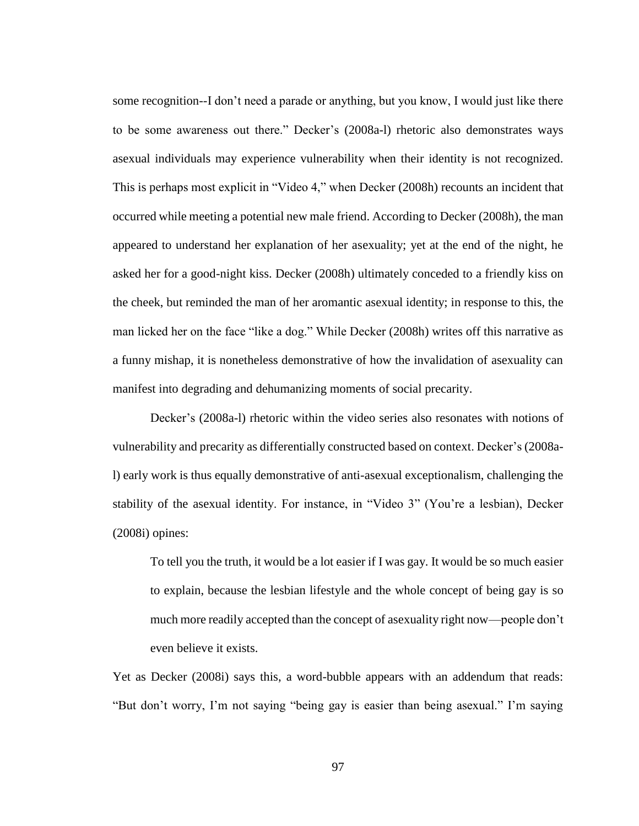some recognition--I don't need a parade or anything, but you know, I would just like there to be some awareness out there." Decker's (2008a-l) rhetoric also demonstrates ways asexual individuals may experience vulnerability when their identity is not recognized. This is perhaps most explicit in "Video 4," when Decker (2008h) recounts an incident that occurred while meeting a potential new male friend. According to Decker (2008h), the man appeared to understand her explanation of her asexuality; yet at the end of the night, he asked her for a good-night kiss. Decker (2008h) ultimately conceded to a friendly kiss on the cheek, but reminded the man of her aromantic asexual identity; in response to this, the man licked her on the face "like a dog." While Decker (2008h) writes off this narrative as a funny mishap, it is nonetheless demonstrative of how the invalidation of asexuality can manifest into degrading and dehumanizing moments of social precarity.

Decker's (2008a-l) rhetoric within the video series also resonates with notions of vulnerability and precarity as differentially constructed based on context. Decker's (2008al) early work is thus equally demonstrative of anti-asexual exceptionalism, challenging the stability of the asexual identity. For instance, in "Video 3" (You're a lesbian), Decker (2008i) opines:

To tell you the truth, it would be a lot easier if I was gay. It would be so much easier to explain, because the lesbian lifestyle and the whole concept of being gay is so much more readily accepted than the concept of asexuality right now—people don't even believe it exists.

Yet as Decker (2008i) says this, a word-bubble appears with an addendum that reads: "But don't worry, I'm not saying "being gay is easier than being asexual." I'm saying

97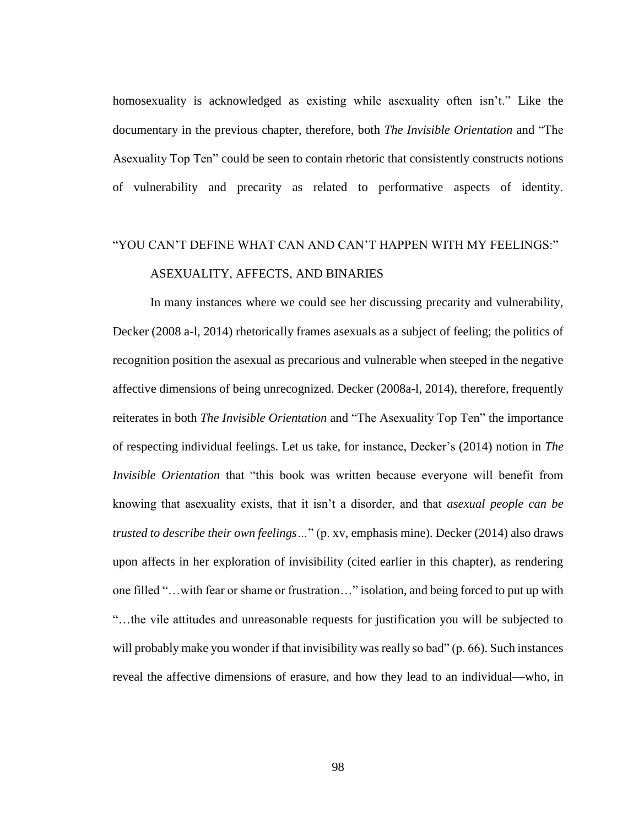homosexuality is acknowledged as existing while asexuality often isn't." Like the documentary in the previous chapter, therefore, both *The Invisible Orientation* and "The Asexuality Top Ten" could be seen to contain rhetoric that consistently constructs notions of vulnerability and precarity as related to performative aspects of identity.

# "YOU CAN'T DEFINE WHAT CAN AND CAN'T HAPPEN WITH MY FEELINGS:" ASEXUALITY, AFFECTS, AND BINARIES

In many instances where we could see her discussing precarity and vulnerability, Decker (2008 a-l, 2014) rhetorically frames asexuals as a subject of feeling; the politics of recognition position the asexual as precarious and vulnerable when steeped in the negative affective dimensions of being unrecognized. Decker (2008a-l, 2014), therefore, frequently reiterates in both *The Invisible Orientation* and "The Asexuality Top Ten" the importance of respecting individual feelings. Let us take, for instance, Decker's (2014) notion in *The Invisible Orientation* that "this book was written because everyone will benefit from knowing that asexuality exists, that it isn't a disorder, and that *asexual people can be trusted to describe their own feelings…*" (p. xv, emphasis mine). Decker (2014) also draws upon affects in her exploration of invisibility (cited earlier in this chapter), as rendering one filled "…with fear or shame or frustration…" isolation, and being forced to put up with "…the vile attitudes and unreasonable requests for justification you will be subjected to will probably make you wonder if that invisibility was really so bad" (p. 66). Such instances reveal the affective dimensions of erasure, and how they lead to an individual—who, in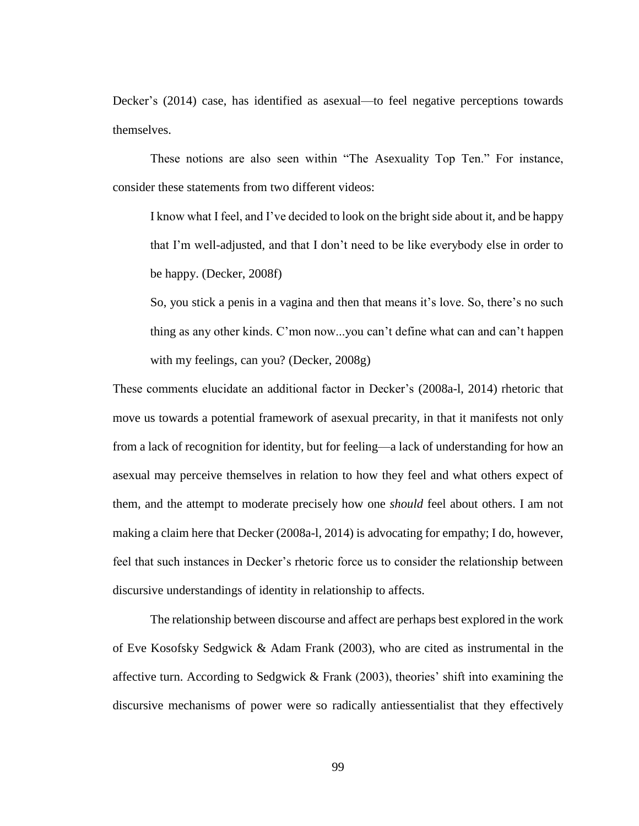Decker's (2014) case, has identified as asexual—to feel negative perceptions towards themselves.

These notions are also seen within "The Asexuality Top Ten." For instance, consider these statements from two different videos:

I know what I feel, and I've decided to look on the bright side about it, and be happy that I'm well-adjusted, and that I don't need to be like everybody else in order to be happy. (Decker, 2008f)

So, you stick a penis in a vagina and then that means it's love. So, there's no such thing as any other kinds. C'mon now...you can't define what can and can't happen with my feelings, can you? (Decker, 2008g)

These comments elucidate an additional factor in Decker's (2008a-l, 2014) rhetoric that move us towards a potential framework of asexual precarity, in that it manifests not only from a lack of recognition for identity, but for feeling—a lack of understanding for how an asexual may perceive themselves in relation to how they feel and what others expect of them, and the attempt to moderate precisely how one *should* feel about others. I am not making a claim here that Decker (2008a-l, 2014) is advocating for empathy; I do, however, feel that such instances in Decker's rhetoric force us to consider the relationship between discursive understandings of identity in relationship to affects.

The relationship between discourse and affect are perhaps best explored in the work of Eve Kosofsky Sedgwick & Adam Frank (2003), who are cited as instrumental in the affective turn. According to Sedgwick & Frank  $(2003)$ , theories' shift into examining the discursive mechanisms of power were so radically antiessentialist that they effectively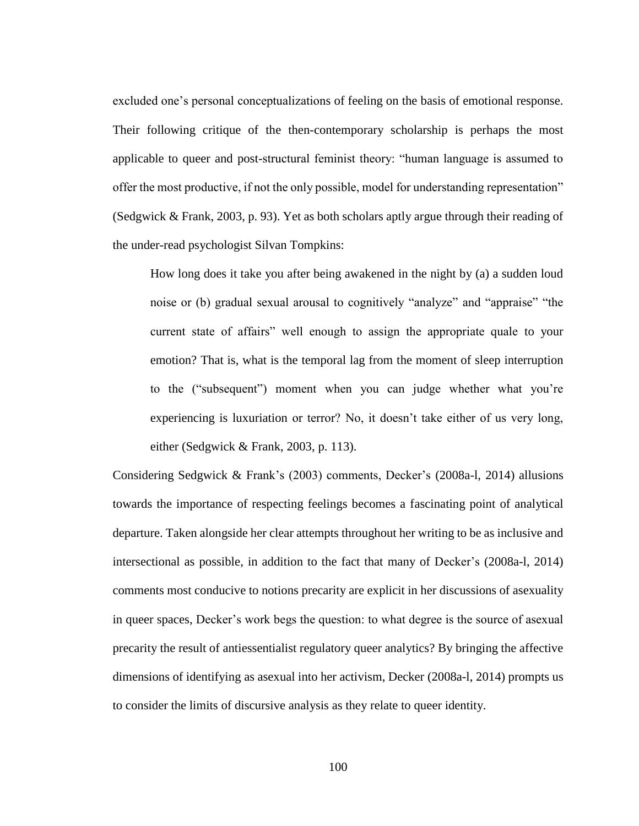excluded one's personal conceptualizations of feeling on the basis of emotional response. Their following critique of the then-contemporary scholarship is perhaps the most applicable to queer and post-structural feminist theory: "human language is assumed to offer the most productive, if not the only possible, model for understanding representation" (Sedgwick & Frank, 2003, p. 93). Yet as both scholars aptly argue through their reading of the under-read psychologist Silvan Tompkins:

How long does it take you after being awakened in the night by (a) a sudden loud noise or (b) gradual sexual arousal to cognitively "analyze" and "appraise" "the current state of affairs" well enough to assign the appropriate quale to your emotion? That is, what is the temporal lag from the moment of sleep interruption to the ("subsequent") moment when you can judge whether what you're experiencing is luxuriation or terror? No, it doesn't take either of us very long, either (Sedgwick & Frank, 2003, p. 113).

Considering Sedgwick & Frank's (2003) comments, Decker's (2008a-l, 2014) allusions towards the importance of respecting feelings becomes a fascinating point of analytical departure. Taken alongside her clear attempts throughout her writing to be as inclusive and intersectional as possible, in addition to the fact that many of Decker's (2008a-l, 2014) comments most conducive to notions precarity are explicit in her discussions of asexuality in queer spaces, Decker's work begs the question: to what degree is the source of asexual precarity the result of antiessentialist regulatory queer analytics? By bringing the affective dimensions of identifying as asexual into her activism, Decker (2008a-l, 2014) prompts us to consider the limits of discursive analysis as they relate to queer identity.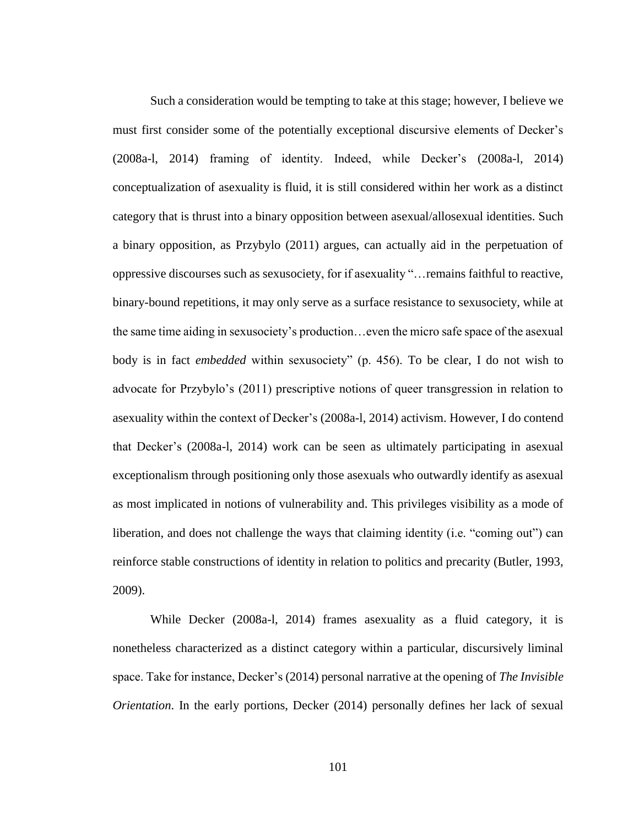Such a consideration would be tempting to take at this stage; however, I believe we must first consider some of the potentially exceptional discursive elements of Decker's (2008a-l, 2014) framing of identity. Indeed, while Decker's (2008a-l, 2014) conceptualization of asexuality is fluid, it is still considered within her work as a distinct category that is thrust into a binary opposition between asexual/allosexual identities. Such a binary opposition, as Przybylo (2011) argues, can actually aid in the perpetuation of oppressive discourses such as sexusociety, for if asexuality "…remains faithful to reactive, binary-bound repetitions, it may only serve as a surface resistance to sexusociety, while at the same time aiding in sexusociety's production…even the micro safe space of the asexual body is in fact *embedded* within sexusociety" (p. 456). To be clear, I do not wish to advocate for Przybylo's (2011) prescriptive notions of queer transgression in relation to asexuality within the context of Decker's (2008a-l, 2014) activism. However, I do contend that Decker's (2008a-l, 2014) work can be seen as ultimately participating in asexual exceptionalism through positioning only those asexuals who outwardly identify as asexual as most implicated in notions of vulnerability and. This privileges visibility as a mode of liberation, and does not challenge the ways that claiming identity (i.e. "coming out") can reinforce stable constructions of identity in relation to politics and precarity (Butler, 1993, 2009).

While Decker (2008a-l, 2014) frames asexuality as a fluid category, it is nonetheless characterized as a distinct category within a particular, discursively liminal space. Take for instance, Decker's (2014) personal narrative at the opening of *The Invisible Orientation*. In the early portions, Decker (2014) personally defines her lack of sexual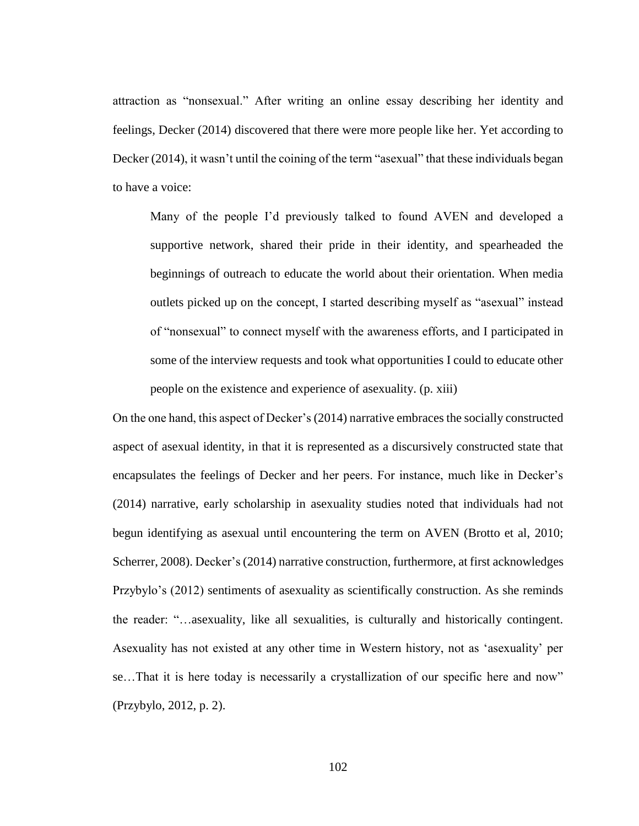attraction as "nonsexual." After writing an online essay describing her identity and feelings, Decker (2014) discovered that there were more people like her. Yet according to Decker (2014), it wasn't until the coining of the term "asexual" that these individuals began to have a voice:

Many of the people I'd previously talked to found AVEN and developed a supportive network, shared their pride in their identity, and spearheaded the beginnings of outreach to educate the world about their orientation. When media outlets picked up on the concept, I started describing myself as "asexual" instead of "nonsexual" to connect myself with the awareness efforts, and I participated in some of the interview requests and took what opportunities I could to educate other people on the existence and experience of asexuality. (p. xiii)

On the one hand, this aspect of Decker's (2014) narrative embraces the socially constructed aspect of asexual identity, in that it is represented as a discursively constructed state that encapsulates the feelings of Decker and her peers. For instance, much like in Decker's (2014) narrative, early scholarship in asexuality studies noted that individuals had not begun identifying as asexual until encountering the term on AVEN (Brotto et al, 2010; Scherrer, 2008). Decker's (2014) narrative construction, furthermore, at first acknowledges Przybylo's (2012) sentiments of asexuality as scientifically construction. As she reminds the reader: "…asexuality, like all sexualities, is culturally and historically contingent. Asexuality has not existed at any other time in Western history, not as 'asexuality' per se…That it is here today is necessarily a crystallization of our specific here and now" (Przybylo, 2012, p. 2).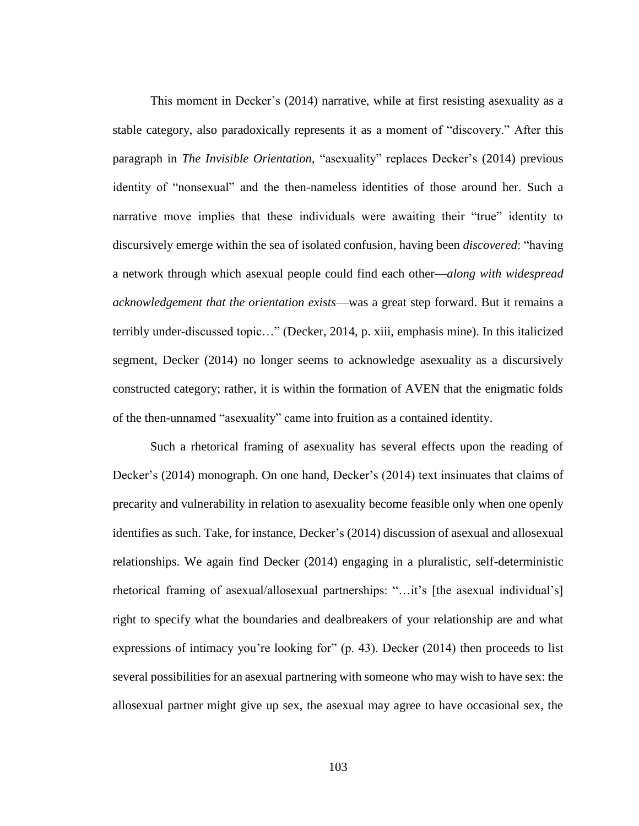This moment in Decker's (2014) narrative, while at first resisting asexuality as a stable category, also paradoxically represents it as a moment of "discovery." After this paragraph in *The Invisible Orientation,* "asexuality" replaces Decker's (2014) previous identity of "nonsexual" and the then-nameless identities of those around her. Such a narrative move implies that these individuals were awaiting their "true" identity to discursively emerge within the sea of isolated confusion, having been *discovered*: "having a network through which asexual people could find each other—*along with widespread acknowledgement that the orientation exists*—was a great step forward. But it remains a terribly under-discussed topic…" (Decker, 2014, p. xiii, emphasis mine). In this italicized segment, Decker (2014) no longer seems to acknowledge asexuality as a discursively constructed category; rather, it is within the formation of AVEN that the enigmatic folds of the then-unnamed "asexuality" came into fruition as a contained identity.

Such a rhetorical framing of asexuality has several effects upon the reading of Decker's (2014) monograph. On one hand, Decker's (2014) text insinuates that claims of precarity and vulnerability in relation to asexuality become feasible only when one openly identifies as such. Take, for instance, Decker's (2014) discussion of asexual and allosexual relationships. We again find Decker (2014) engaging in a pluralistic, self-deterministic rhetorical framing of asexual/allosexual partnerships: "…it's [the asexual individual's] right to specify what the boundaries and dealbreakers of your relationship are and what expressions of intimacy you're looking for" (p. 43). Decker (2014) then proceeds to list several possibilities for an asexual partnering with someone who may wish to have sex: the allosexual partner might give up sex, the asexual may agree to have occasional sex, the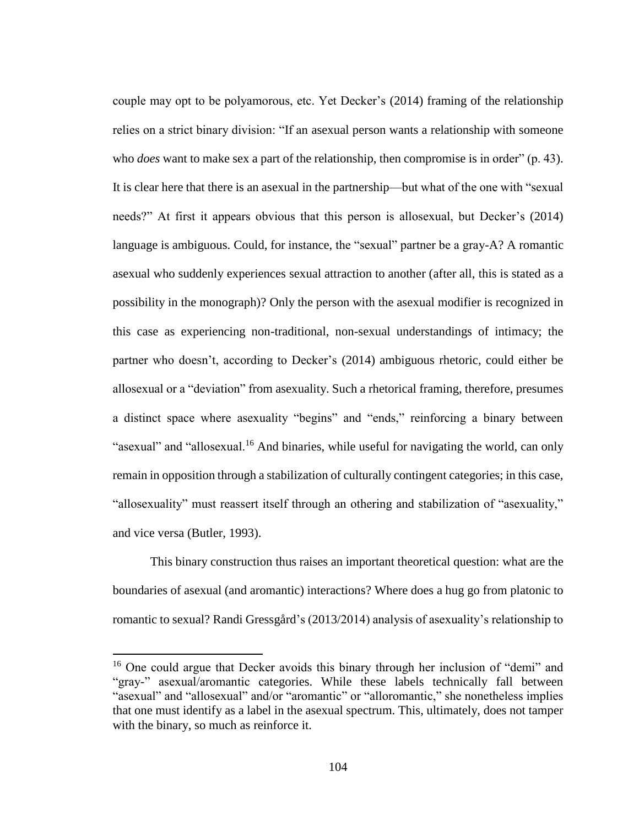couple may opt to be polyamorous, etc. Yet Decker's (2014) framing of the relationship relies on a strict binary division: "If an asexual person wants a relationship with someone who *does* want to make sex a part of the relationship, then compromise is in order" (p. 43). It is clear here that there is an asexual in the partnership—but what of the one with "sexual needs?" At first it appears obvious that this person is allosexual, but Decker's (2014) language is ambiguous. Could, for instance, the "sexual" partner be a gray-A? A romantic asexual who suddenly experiences sexual attraction to another (after all, this is stated as a possibility in the monograph)? Only the person with the asexual modifier is recognized in this case as experiencing non-traditional, non-sexual understandings of intimacy; the partner who doesn't, according to Decker's (2014) ambiguous rhetoric, could either be allosexual or a "deviation" from asexuality. Such a rhetorical framing, therefore, presumes a distinct space where asexuality "begins" and "ends," reinforcing a binary between "asexual" and "allosexual.<sup>16</sup> And binaries, while useful for navigating the world, can only remain in opposition through a stabilization of culturally contingent categories; in this case, "allosexuality" must reassert itself through an othering and stabilization of "asexuality," and vice versa (Butler, 1993).

This binary construction thus raises an important theoretical question: what are the boundaries of asexual (and aromantic) interactions? Where does a hug go from platonic to romantic to sexual? Randi Gressgård's (2013/2014) analysis of asexuality's relationship to

 $\overline{a}$ 

<sup>16</sup> One could argue that Decker avoids this binary through her inclusion of "demi" and "gray-" asexual/aromantic categories. While these labels technically fall between "asexual" and "allosexual" and/or "aromantic" or "alloromantic," she nonetheless implies that one must identify as a label in the asexual spectrum. This, ultimately, does not tamper with the binary, so much as reinforce it.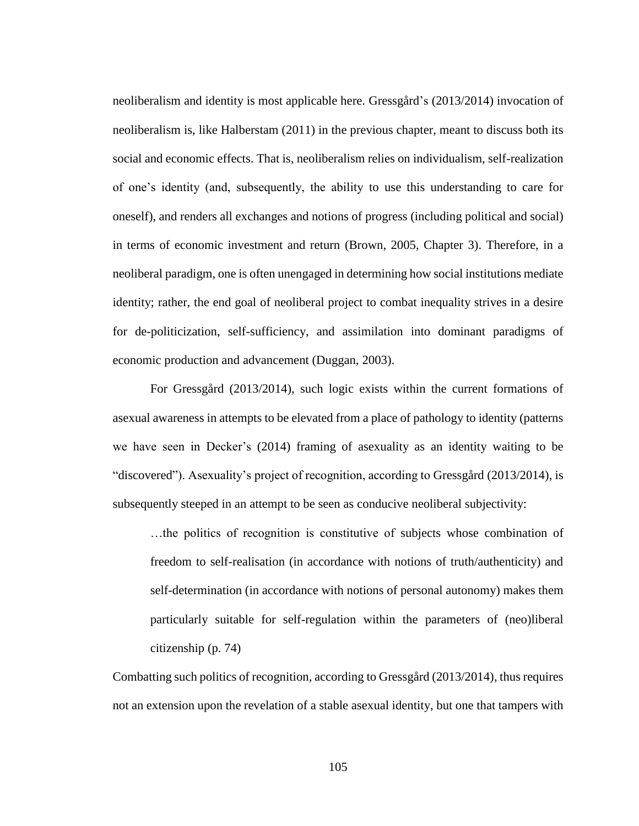neoliberalism and identity is most applicable here. Gressgård's (2013/2014) invocation of neoliberalism is, like Halberstam (2011) in the previous chapter, meant to discuss both its social and economic effects. That is, neoliberalism relies on individualism, self-realization of one's identity (and, subsequently, the ability to use this understanding to care for oneself), and renders all exchanges and notions of progress (including political and social) in terms of economic investment and return (Brown, 2005, Chapter 3). Therefore, in a neoliberal paradigm, one is often unengaged in determining how social institutions mediate identity; rather, the end goal of neoliberal project to combat inequality strives in a desire for de-politicization, self-sufficiency, and assimilation into dominant paradigms of economic production and advancement (Duggan, 2003).

For Gressgård (2013/2014), such logic exists within the current formations of asexual awareness in attempts to be elevated from a place of pathology to identity (patterns we have seen in Decker's (2014) framing of asexuality as an identity waiting to be "discovered"). Asexuality's project of recognition, according to Gressgård (2013/2014), is subsequently steeped in an attempt to be seen as conducive neoliberal subjectivity:

…the politics of recognition is constitutive of subjects whose combination of freedom to self-realisation (in accordance with notions of truth/authenticity) and self-determination (in accordance with notions of personal autonomy) makes them particularly suitable for self-regulation within the parameters of (neo)liberal citizenship (p. 74)

Combatting such politics of recognition, according to Gressgård (2013/2014), thus requires not an extension upon the revelation of a stable asexual identity, but one that tampers with

105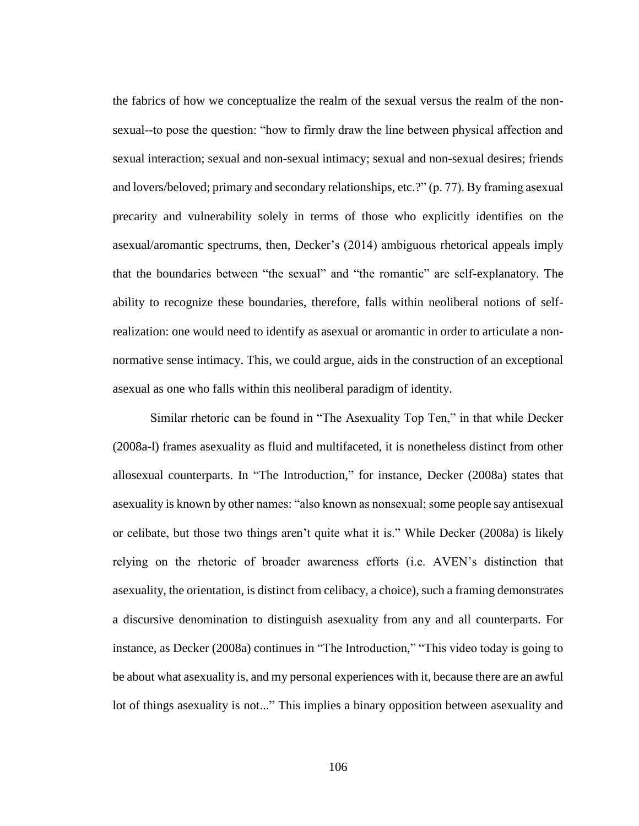the fabrics of how we conceptualize the realm of the sexual versus the realm of the nonsexual--to pose the question: "how to firmly draw the line between physical affection and sexual interaction; sexual and non-sexual intimacy; sexual and non-sexual desires; friends and lovers/beloved; primary and secondary relationships, etc.?" (p. 77). By framing asexual precarity and vulnerability solely in terms of those who explicitly identifies on the asexual/aromantic spectrums, then, Decker's (2014) ambiguous rhetorical appeals imply that the boundaries between "the sexual" and "the romantic" are self-explanatory. The ability to recognize these boundaries, therefore, falls within neoliberal notions of selfrealization: one would need to identify as asexual or aromantic in order to articulate a nonnormative sense intimacy. This, we could argue, aids in the construction of an exceptional asexual as one who falls within this neoliberal paradigm of identity.

Similar rhetoric can be found in "The Asexuality Top Ten," in that while Decker (2008a-l) frames asexuality as fluid and multifaceted, it is nonetheless distinct from other allosexual counterparts. In "The Introduction," for instance, Decker (2008a) states that asexuality is known by other names: "also known as nonsexual; some people say antisexual or celibate, but those two things aren't quite what it is." While Decker (2008a) is likely relying on the rhetoric of broader awareness efforts (i.e. AVEN's distinction that asexuality, the orientation, is distinct from celibacy, a choice), such a framing demonstrates a discursive denomination to distinguish asexuality from any and all counterparts. For instance, as Decker (2008a) continues in "The Introduction," "This video today is going to be about what asexuality is, and my personal experiences with it, because there are an awful lot of things asexuality is not..." This implies a binary opposition between asexuality and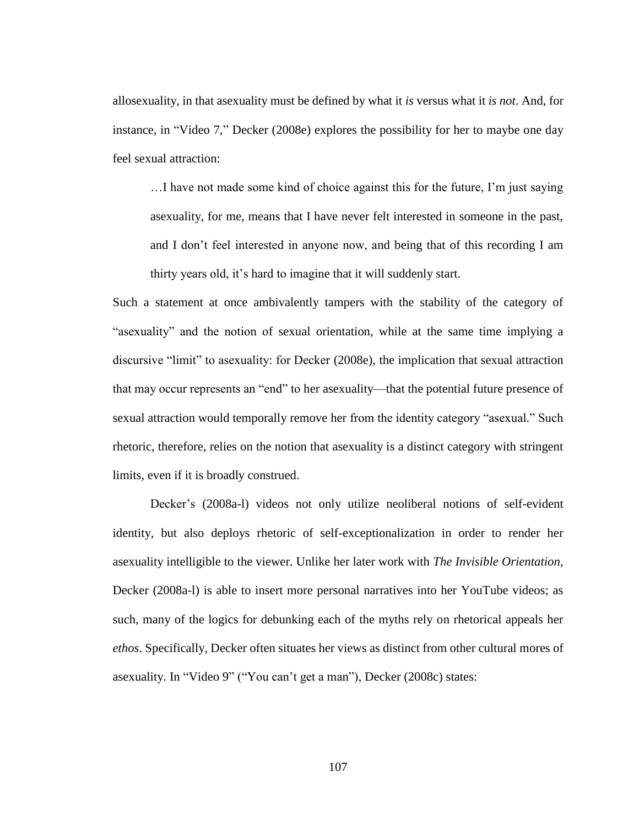allosexuality, in that asexuality must be defined by what it *is* versus what it *is not*. And, for instance, in "Video 7," Decker (2008e) explores the possibility for her to maybe one day feel sexual attraction:

…I have not made some kind of choice against this for the future, I'm just saying asexuality, for me, means that I have never felt interested in someone in the past, and I don't feel interested in anyone now, and being that of this recording I am thirty years old, it's hard to imagine that it will suddenly start.

Such a statement at once ambivalently tampers with the stability of the category of "asexuality" and the notion of sexual orientation, while at the same time implying a discursive "limit" to asexuality: for Decker (2008e), the implication that sexual attraction that may occur represents an "end" to her asexuality—that the potential future presence of sexual attraction would temporally remove her from the identity category "asexual." Such rhetoric, therefore, relies on the notion that asexuality is a distinct category with stringent limits, even if it is broadly construed.

Decker's (2008a-l) videos not only utilize neoliberal notions of self-evident identity, but also deploys rhetoric of self-exceptionalization in order to render her asexuality intelligible to the viewer. Unlike her later work with *The Invisible Orientation*, Decker (2008a-l) is able to insert more personal narratives into her YouTube videos; as such, many of the logics for debunking each of the myths rely on rhetorical appeals her *ethos*. Specifically, Decker often situates her views as distinct from other cultural mores of asexuality. In "Video 9" ("You can't get a man"), Decker (2008c) states: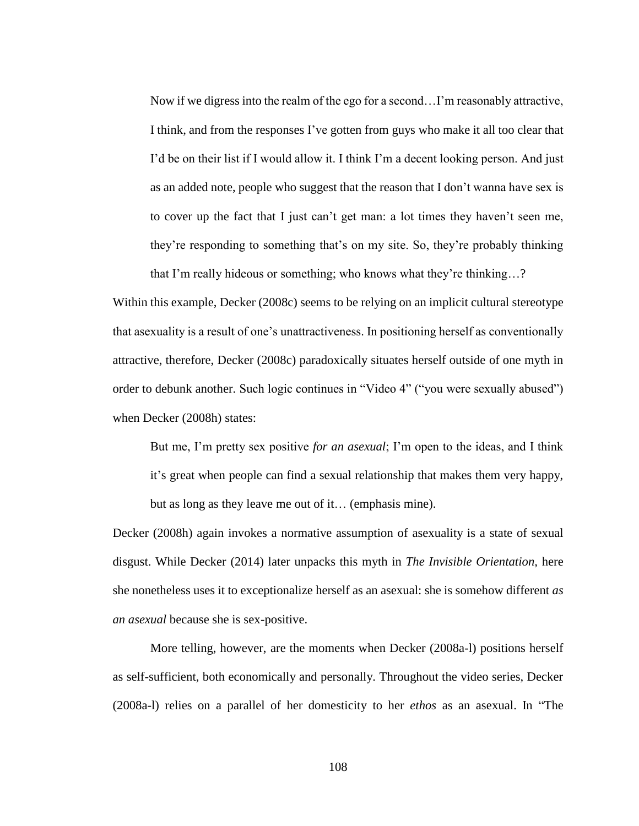Now if we digress into the realm of the ego for a second…I'm reasonably attractive, I think, and from the responses I've gotten from guys who make it all too clear that I'd be on their list if I would allow it. I think I'm a decent looking person. And just as an added note, people who suggest that the reason that I don't wanna have sex is to cover up the fact that I just can't get man: a lot times they haven't seen me, they're responding to something that's on my site. So, they're probably thinking that I'm really hideous or something; who knows what they're thinking…?

Within this example, Decker (2008c) seems to be relying on an implicit cultural stereotype that asexuality is a result of one's unattractiveness. In positioning herself as conventionally attractive, therefore, Decker (2008c) paradoxically situates herself outside of one myth in order to debunk another. Such logic continues in "Video 4" ("you were sexually abused") when Decker (2008h) states:

But me, I'm pretty sex positive *for an asexual*; I'm open to the ideas, and I think it's great when people can find a sexual relationship that makes them very happy, but as long as they leave me out of it… (emphasis mine).

Decker (2008h) again invokes a normative assumption of asexuality is a state of sexual disgust. While Decker (2014) later unpacks this myth in *The Invisible Orientation,* here she nonetheless uses it to exceptionalize herself as an asexual: she is somehow different *as an asexual* because she is sex-positive.

More telling, however, are the moments when Decker (2008a-l) positions herself as self-sufficient, both economically and personally. Throughout the video series, Decker (2008a-l) relies on a parallel of her domesticity to her *ethos* as an asexual. In "The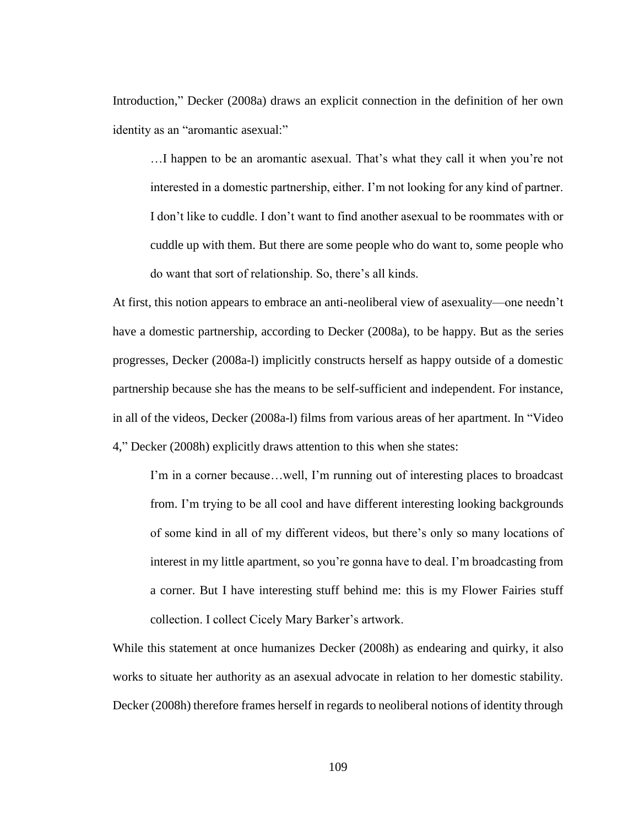Introduction," Decker (2008a) draws an explicit connection in the definition of her own identity as an "aromantic asexual:"

…I happen to be an aromantic asexual. That's what they call it when you're not interested in a domestic partnership, either. I'm not looking for any kind of partner. I don't like to cuddle. I don't want to find another asexual to be roommates with or cuddle up with them. But there are some people who do want to, some people who do want that sort of relationship. So, there's all kinds.

At first, this notion appears to embrace an anti-neoliberal view of asexuality—one needn't have a domestic partnership, according to Decker (2008a), to be happy. But as the series progresses, Decker (2008a-l) implicitly constructs herself as happy outside of a domestic partnership because she has the means to be self-sufficient and independent. For instance, in all of the videos, Decker (2008a-l) films from various areas of her apartment. In "Video 4," Decker (2008h) explicitly draws attention to this when she states:

I'm in a corner because…well, I'm running out of interesting places to broadcast from. I'm trying to be all cool and have different interesting looking backgrounds of some kind in all of my different videos, but there's only so many locations of interest in my little apartment, so you're gonna have to deal. I'm broadcasting from a corner. But I have interesting stuff behind me: this is my Flower Fairies stuff collection. I collect Cicely Mary Barker's artwork.

While this statement at once humanizes Decker (2008h) as endearing and quirky, it also works to situate her authority as an asexual advocate in relation to her domestic stability. Decker (2008h) therefore frames herself in regards to neoliberal notions of identity through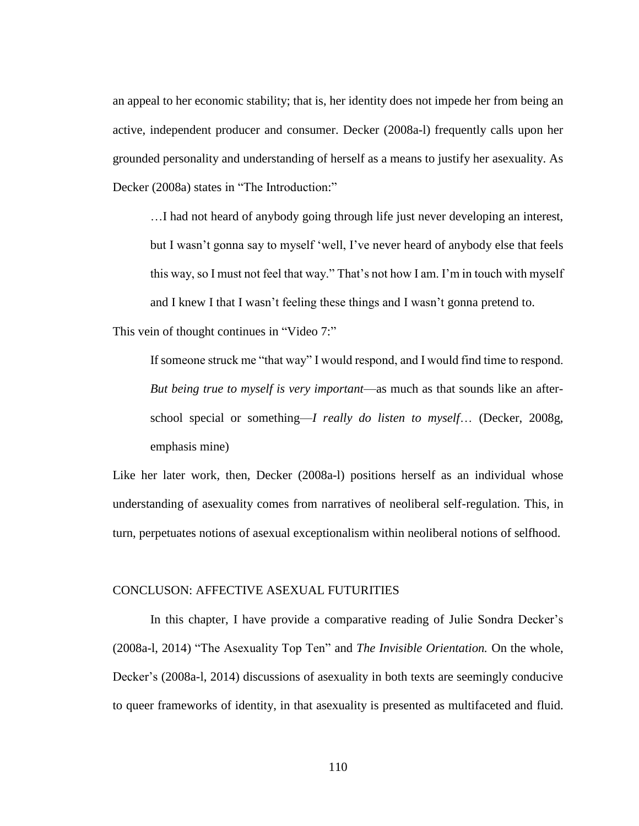an appeal to her economic stability; that is, her identity does not impede her from being an active, independent producer and consumer. Decker (2008a-l) frequently calls upon her grounded personality and understanding of herself as a means to justify her asexuality. As Decker (2008a) states in "The Introduction:"

…I had not heard of anybody going through life just never developing an interest, but I wasn't gonna say to myself 'well, I've never heard of anybody else that feels this way, so I must not feel that way." That's not how I am. I'm in touch with myself and I knew I that I wasn't feeling these things and I wasn't gonna pretend to.

This vein of thought continues in "Video 7:"

If someone struck me "that way" I would respond, and I would find time to respond. *But being true to myself is very important*—as much as that sounds like an afterschool special or something—*I really do listen to myself*… (Decker, 2008g, emphasis mine)

Like her later work, then, Decker (2008a-l) positions herself as an individual whose understanding of asexuality comes from narratives of neoliberal self-regulation. This, in turn, perpetuates notions of asexual exceptionalism within neoliberal notions of selfhood.

## CONCLUSON: AFFECTIVE ASEXUAL FUTURITIES

In this chapter, I have provide a comparative reading of Julie Sondra Decker's (2008a-l, 2014) "The Asexuality Top Ten" and *The Invisible Orientation.* On the whole, Decker's (2008a-l, 2014) discussions of asexuality in both texts are seemingly conducive to queer frameworks of identity, in that asexuality is presented as multifaceted and fluid.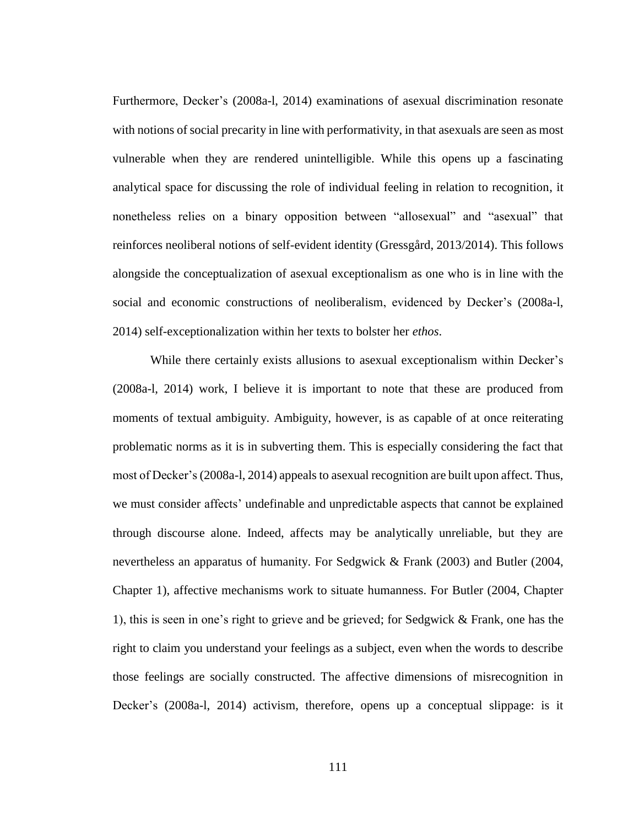Furthermore, Decker's (2008a-l, 2014) examinations of asexual discrimination resonate with notions of social precarity in line with performativity, in that asexuals are seen as most vulnerable when they are rendered unintelligible. While this opens up a fascinating analytical space for discussing the role of individual feeling in relation to recognition, it nonetheless relies on a binary opposition between "allosexual" and "asexual" that reinforces neoliberal notions of self-evident identity (Gressgård, 2013/2014). This follows alongside the conceptualization of asexual exceptionalism as one who is in line with the social and economic constructions of neoliberalism, evidenced by Decker's (2008a-l, 2014) self-exceptionalization within her texts to bolster her *ethos*.

While there certainly exists allusions to asexual exceptionalism within Decker's (2008a-l, 2014) work, I believe it is important to note that these are produced from moments of textual ambiguity. Ambiguity, however, is as capable of at once reiterating problematic norms as it is in subverting them. This is especially considering the fact that most of Decker's(2008a-l, 2014) appeals to asexual recognition are built upon affect. Thus, we must consider affects' undefinable and unpredictable aspects that cannot be explained through discourse alone. Indeed, affects may be analytically unreliable, but they are nevertheless an apparatus of humanity. For Sedgwick & Frank (2003) and Butler (2004, Chapter 1), affective mechanisms work to situate humanness. For Butler (2004, Chapter 1), this is seen in one's right to grieve and be grieved; for Sedgwick & Frank, one has the right to claim you understand your feelings as a subject, even when the words to describe those feelings are socially constructed. The affective dimensions of misrecognition in Decker's (2008a-l, 2014) activism, therefore, opens up a conceptual slippage: is it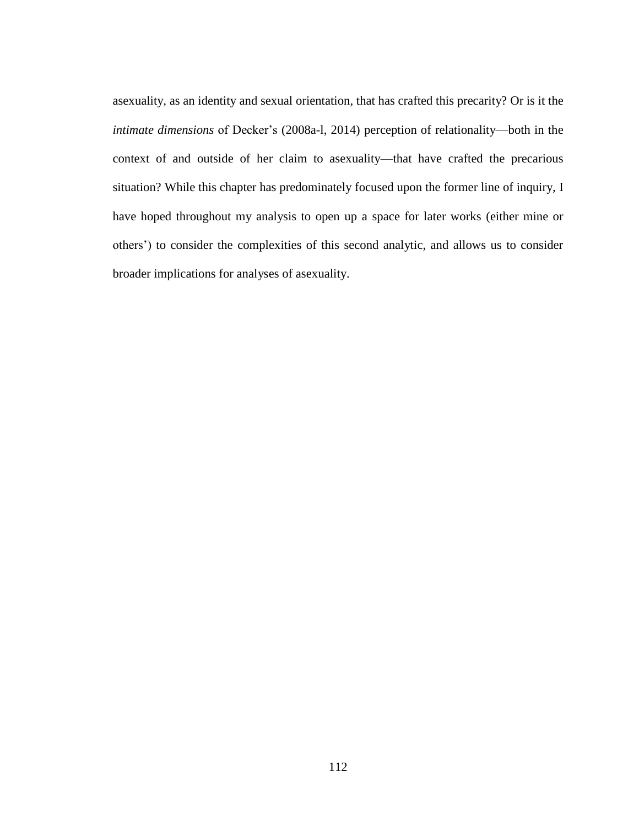asexuality, as an identity and sexual orientation, that has crafted this precarity? Or is it the *intimate dimensions* of Decker's (2008a-l, 2014) perception of relationality—both in the context of and outside of her claim to asexuality—that have crafted the precarious situation? While this chapter has predominately focused upon the former line of inquiry, I have hoped throughout my analysis to open up a space for later works (either mine or others') to consider the complexities of this second analytic, and allows us to consider broader implications for analyses of asexuality.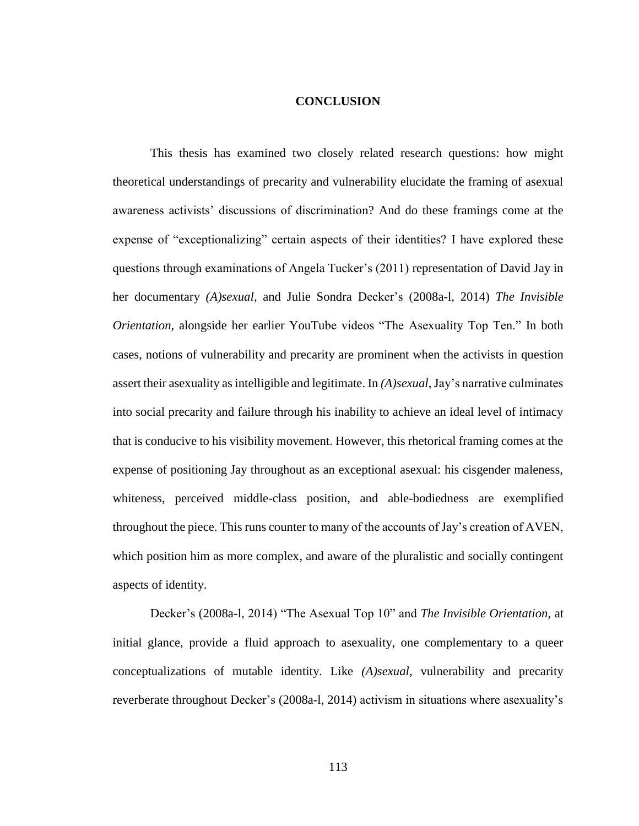## **CONCLUSION**

This thesis has examined two closely related research questions: how might theoretical understandings of precarity and vulnerability elucidate the framing of asexual awareness activists' discussions of discrimination? And do these framings come at the expense of "exceptionalizing" certain aspects of their identities? I have explored these questions through examinations of Angela Tucker's (2011) representation of David Jay in her documentary *(A)sexual*, and Julie Sondra Decker's (2008a-l, 2014) *The Invisible Orientation,* alongside her earlier YouTube videos "The Asexuality Top Ten." In both cases, notions of vulnerability and precarity are prominent when the activists in question assert their asexuality as intelligible and legitimate. In *(A)sexual*, Jay's narrative culminates into social precarity and failure through his inability to achieve an ideal level of intimacy that is conducive to his visibility movement. However, this rhetorical framing comes at the expense of positioning Jay throughout as an exceptional asexual: his cisgender maleness, whiteness, perceived middle-class position, and able-bodiedness are exemplified throughout the piece. This runs counter to many of the accounts of Jay's creation of AVEN, which position him as more complex, and aware of the pluralistic and socially contingent aspects of identity.

Decker's (2008a-l, 2014) "The Asexual Top 10" and *The Invisible Orientation,* at initial glance, provide a fluid approach to asexuality, one complementary to a queer conceptualizations of mutable identity. Like *(A)sexual*, vulnerability and precarity reverberate throughout Decker's (2008a-l, 2014) activism in situations where asexuality's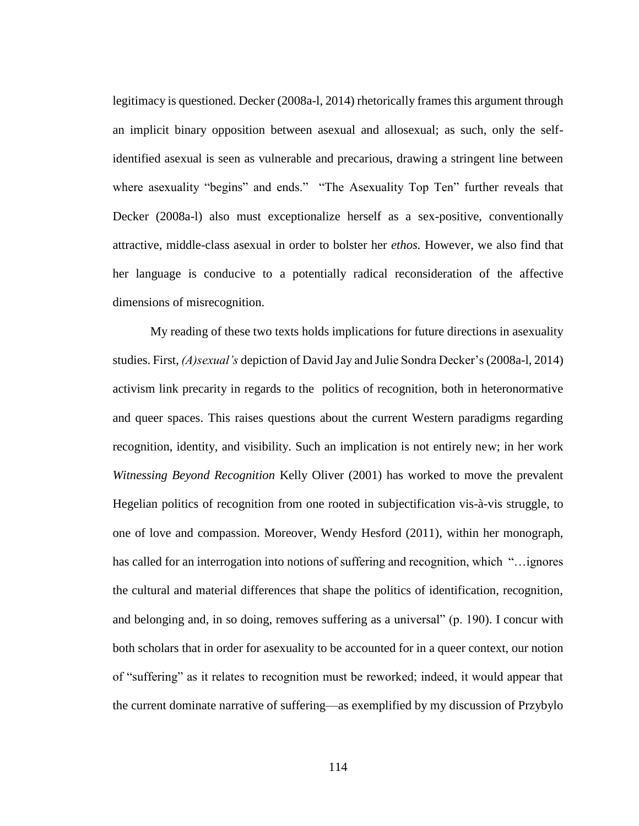legitimacy is questioned. Decker (2008a-l, 2014) rhetorically frames this argument through an implicit binary opposition between asexual and allosexual; as such, only the selfidentified asexual is seen as vulnerable and precarious, drawing a stringent line between where asexuality "begins" and ends." "The Asexuality Top Ten" further reveals that Decker (2008a-l) also must exceptionalize herself as a sex-positive, conventionally attractive, middle-class asexual in order to bolster her *ethos.* However, we also find that her language is conducive to a potentially radical reconsideration of the affective dimensions of misrecognition.

My reading of these two texts holds implications for future directions in asexuality studies. First, *(A)sexual's* depiction of David Jay and Julie Sondra Decker's (2008a-l, 2014) activism link precarity in regards to the politics of recognition, both in heteronormative and queer spaces. This raises questions about the current Western paradigms regarding recognition, identity, and visibility. Such an implication is not entirely new; in her work *Witnessing Beyond Recognition* Kelly Oliver (2001) has worked to move the prevalent Hegelian politics of recognition from one rooted in subjectification vis-à-vis struggle, to one of love and compassion. Moreover, Wendy Hesford (2011), within her monograph, has called for an interrogation into notions of suffering and recognition, which "…ignores the cultural and material differences that shape the politics of identification, recognition, and belonging and, in so doing, removes suffering as a universal" (p. 190). I concur with both scholars that in order for asexuality to be accounted for in a queer context, our notion of "suffering" as it relates to recognition must be reworked; indeed, it would appear that the current dominate narrative of suffering—as exemplified by my discussion of Przybylo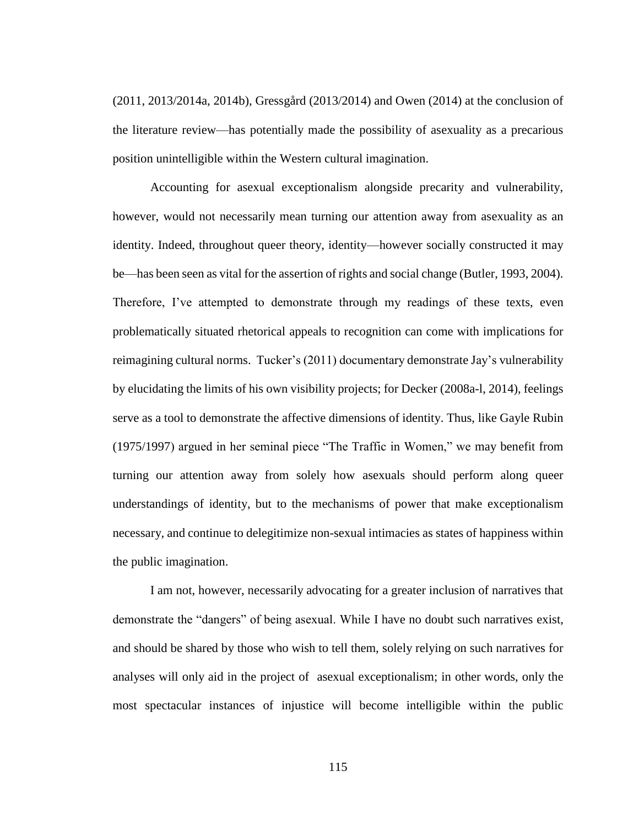(2011, 2013/2014a, 2014b), Gressgård (2013/2014) and Owen (2014) at the conclusion of the literature review—has potentially made the possibility of asexuality as a precarious position unintelligible within the Western cultural imagination.

Accounting for asexual exceptionalism alongside precarity and vulnerability, however, would not necessarily mean turning our attention away from asexuality as an identity. Indeed, throughout queer theory, identity—however socially constructed it may be—has been seen as vital for the assertion of rights and social change (Butler, 1993, 2004). Therefore, I've attempted to demonstrate through my readings of these texts, even problematically situated rhetorical appeals to recognition can come with implications for reimagining cultural norms. Tucker's (2011) documentary demonstrate Jay's vulnerability by elucidating the limits of his own visibility projects; for Decker (2008a-l, 2014), feelings serve as a tool to demonstrate the affective dimensions of identity. Thus, like Gayle Rubin (1975/1997) argued in her seminal piece "The Traffic in Women," we may benefit from turning our attention away from solely how asexuals should perform along queer understandings of identity, but to the mechanisms of power that make exceptionalism necessary, and continue to delegitimize non-sexual intimacies as states of happiness within the public imagination.

I am not, however, necessarily advocating for a greater inclusion of narratives that demonstrate the "dangers" of being asexual. While I have no doubt such narratives exist, and should be shared by those who wish to tell them, solely relying on such narratives for analyses will only aid in the project of asexual exceptionalism; in other words, only the most spectacular instances of injustice will become intelligible within the public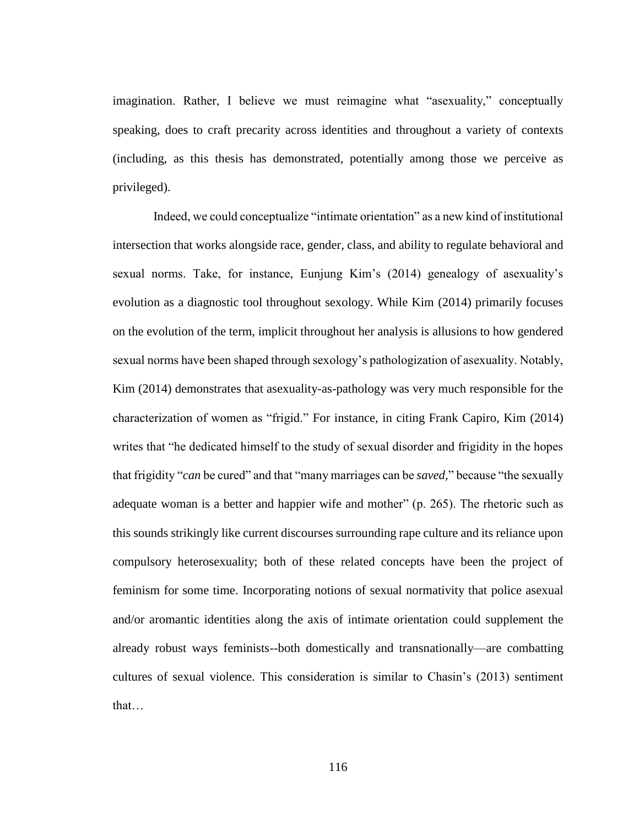imagination. Rather, I believe we must reimagine what "asexuality," conceptually speaking, does to craft precarity across identities and throughout a variety of contexts (including, as this thesis has demonstrated, potentially among those we perceive as privileged).

Indeed, we could conceptualize "intimate orientation" as a new kind of institutional intersection that works alongside race, gender, class, and ability to regulate behavioral and sexual norms. Take, for instance, Eunjung Kim's (2014) genealogy of asexuality's evolution as a diagnostic tool throughout sexology. While Kim (2014) primarily focuses on the evolution of the term, implicit throughout her analysis is allusions to how gendered sexual norms have been shaped through sexology's pathologization of asexuality. Notably, Kim (2014) demonstrates that asexuality-as-pathology was very much responsible for the characterization of women as "frigid." For instance, in citing Frank Capiro, Kim (2014) writes that "he dedicated himself to the study of sexual disorder and frigidity in the hopes that frigidity "*can* be cured" and that "many marriages can be *saved,*" because "the sexually adequate woman is a better and happier wife and mother" (p. 265). The rhetoric such as this sounds strikingly like current discourses surrounding rape culture and its reliance upon compulsory heterosexuality; both of these related concepts have been the project of feminism for some time. Incorporating notions of sexual normativity that police asexual and/or aromantic identities along the axis of intimate orientation could supplement the already robust ways feminists--both domestically and transnationally—are combatting cultures of sexual violence. This consideration is similar to Chasin's (2013) sentiment that…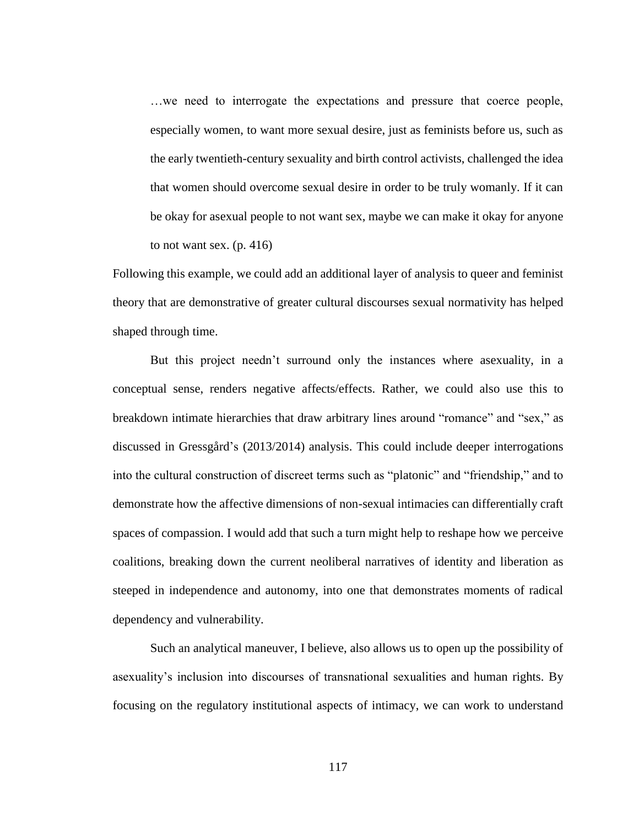…we need to interrogate the expectations and pressure that coerce people, especially women, to want more sexual desire, just as feminists before us, such as the early twentieth-century sexuality and birth control activists, challenged the idea that women should overcome sexual desire in order to be truly womanly. If it can be okay for asexual people to not want sex, maybe we can make it okay for anyone to not want sex.  $(p. 416)$ 

Following this example, we could add an additional layer of analysis to queer and feminist theory that are demonstrative of greater cultural discourses sexual normativity has helped shaped through time.

But this project needn't surround only the instances where asexuality, in a conceptual sense, renders negative affects/effects. Rather, we could also use this to breakdown intimate hierarchies that draw arbitrary lines around "romance" and "sex," as discussed in Gressgård's (2013/2014) analysis. This could include deeper interrogations into the cultural construction of discreet terms such as "platonic" and "friendship," and to demonstrate how the affective dimensions of non-sexual intimacies can differentially craft spaces of compassion. I would add that such a turn might help to reshape how we perceive coalitions, breaking down the current neoliberal narratives of identity and liberation as steeped in independence and autonomy, into one that demonstrates moments of radical dependency and vulnerability.

Such an analytical maneuver, I believe, also allows us to open up the possibility of asexuality's inclusion into discourses of transnational sexualities and human rights. By focusing on the regulatory institutional aspects of intimacy, we can work to understand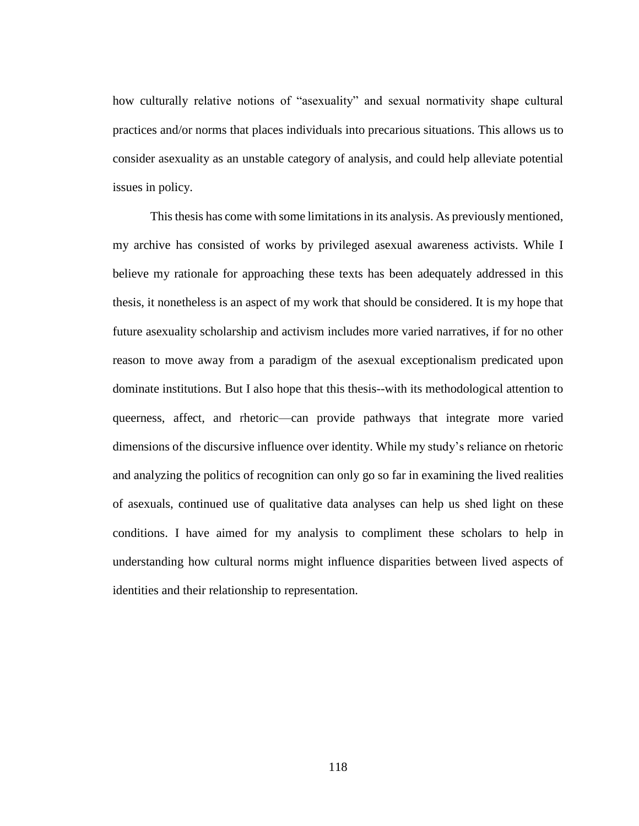how culturally relative notions of "asexuality" and sexual normativity shape cultural practices and/or norms that places individuals into precarious situations. This allows us to consider asexuality as an unstable category of analysis, and could help alleviate potential issues in policy.

This thesis has come with some limitations in its analysis. As previously mentioned, my archive has consisted of works by privileged asexual awareness activists. While I believe my rationale for approaching these texts has been adequately addressed in this thesis, it nonetheless is an aspect of my work that should be considered. It is my hope that future asexuality scholarship and activism includes more varied narratives, if for no other reason to move away from a paradigm of the asexual exceptionalism predicated upon dominate institutions. But I also hope that this thesis--with its methodological attention to queerness, affect, and rhetoric—can provide pathways that integrate more varied dimensions of the discursive influence over identity. While my study's reliance on rhetoric and analyzing the politics of recognition can only go so far in examining the lived realities of asexuals, continued use of qualitative data analyses can help us shed light on these conditions. I have aimed for my analysis to compliment these scholars to help in understanding how cultural norms might influence disparities between lived aspects of identities and their relationship to representation.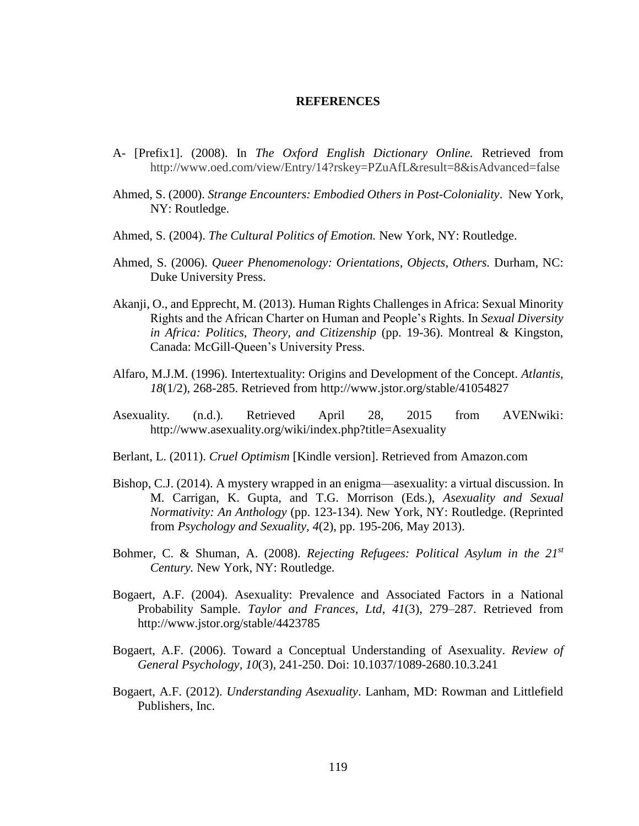## **REFERENCES**

- A- [Prefix1]. (2008). In *The Oxford English Dictionary Online.* Retrieved from http://www.oed.com/view/Entry/14?rskey=PZuAfL&result=8&isAdvanced=false
- Ahmed, S. (2000). *Strange Encounters: Embodied Others in Post-Coloniality*. New York, NY: Routledge.
- Ahmed, S. (2004). *The Cultural Politics of Emotion.* New York, NY: Routledge.
- Ahmed, S. (2006). *Queer Phenomenology: Orientations, Objects, Others.* Durham, NC: Duke University Press.
- Akanji, O., and Epprecht, M. (2013). Human Rights Challenges in Africa: Sexual Minority Rights and the African Charter on Human and People's Rights. In *Sexual Diversity in Africa: Politics, Theory, and Citizenship* (pp. 19-36). Montreal & Kingston, Canada: McGill-Queen's University Press.
- Alfaro, M.J.M. (1996). Intertextuality: Origins and Development of the Concept. *Atlantis, 18*(1/2), 268-285. Retrieved from http://www.jstor.org/stable/41054827
- Asexuality. (n.d.). Retrieved April 28, 2015 from AVENwiki: http://www.asexuality.org/wiki/index.php?title=Asexuality
- Berlant, L. (2011). *Cruel Optimism* [Kindle version]. Retrieved from Amazon.com
- Bishop, C.J. (2014). A mystery wrapped in an enigma—asexuality: a virtual discussion. In M. Carrigan, K. Gupta, and T.G. Morrison (Eds.), *Asexuality and Sexual Normativity: An Anthology* (pp. 123-134). New York, NY: Routledge. (Reprinted from *Psychology and Sexuality, 4*(2), pp. 195-206, May 2013).
- Bohmer, C. & Shuman, A. (2008). *Rejecting Refugees: Political Asylum in the 21st Century.* New York, NY: Routledge.
- Bogaert, A.F. (2004). Asexuality: Prevalence and Associated Factors in a National Probability Sample. *Taylor and Frances, Ltd*, *41*(3), 279–287. Retrieved from http://www.jstor.org/stable/4423785
- Bogaert, A.F. (2006). Toward a Conceptual Understanding of Asexuality. *Review of General Psychology, 10*(3)*,* 241-250. Doi: 10.1037/1089-2680.10.3.241
- Bogaert, A.F. (2012). *Understanding Asexuality*. Lanham, MD: Rowman and Littlefield Publishers, Inc.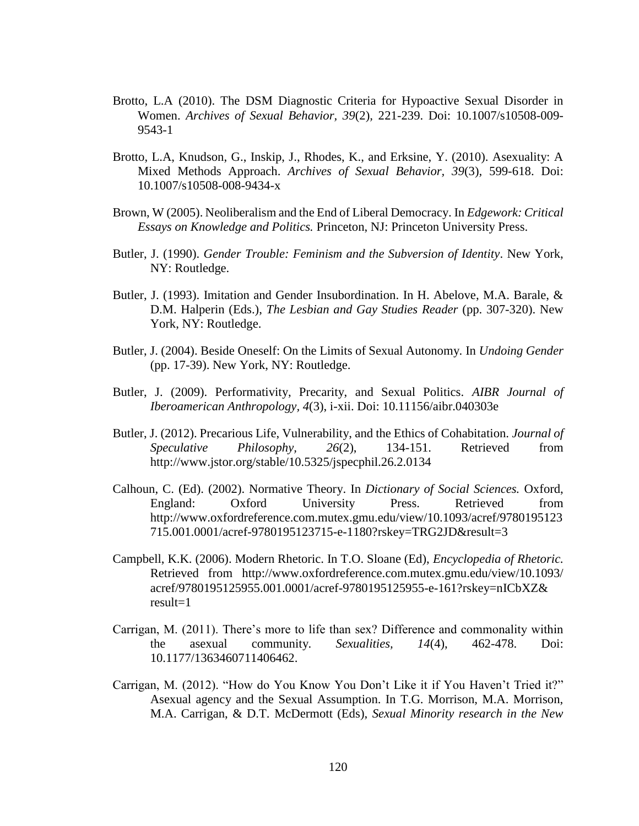- Brotto, L.A (2010). The DSM Diagnostic Criteria for Hypoactive Sexual Disorder in Women. *Archives of Sexual Behavior, 39*(2)*,* 221-239. Doi: 10.1007/s10508-009- 9543-1
- Brotto, L.A, Knudson, G., Inskip, J., Rhodes, K., and Erksine, Y. (2010). Asexuality: A Mixed Methods Approach. *Archives of Sexual Behavior, 39*(3)*,* 599-618. Doi: 10.1007/s10508-008-9434-x
- Brown, W (2005). Neoliberalism and the End of Liberal Democracy. In *Edgework: Critical Essays on Knowledge and Politics.* Princeton, NJ: Princeton University Press.
- Butler, J. (1990). *Gender Trouble: Feminism and the Subversion of Identity*. New York, NY: Routledge.
- Butler, J. (1993). Imitation and Gender Insubordination. In H. Abelove, M.A. Barale, & D.M. Halperin (Eds.), *The Lesbian and Gay Studies Reader* (pp. 307-320). New York, NY: Routledge.
- Butler, J. (2004). Beside Oneself: On the Limits of Sexual Autonomy. In *Undoing Gender*  (pp. 17-39). New York, NY: Routledge.
- Butler, J. (2009). Performativity, Precarity, and Sexual Politics. *AIBR Journal of Iberoamerican Anthropology, 4*(3), i-xii. Doi: 10.11156/aibr.040303e
- Butler, J. (2012). Precarious Life, Vulnerability, and the Ethics of Cohabitation. *Journal of Speculative Philosophy, 26*(2), 134-151. Retrieved from http://www.jstor.org/stable/10.5325/jspecphil.26.2.0134
- Calhoun, C. (Ed). (2002). Normative Theory. In *Dictionary of Social Sciences.* Oxford, England: Oxford University Press. Retrieved from http://www.oxfordreference.com.mutex.gmu.edu/view/10.1093/acref/9780195123 715.001.0001/acref-9780195123715-e-1180?rskey=TRG2JD&result=3
- Campbell, K.K. (2006). Modern Rhetoric. In T.O. Sloane (Ed), *Encyclopedia of Rhetoric.*  Retrieved from http://www.oxfordreference.com.mutex.gmu.edu/view/10.1093/ acref/9780195125955.001.0001/acref-9780195125955-e-161?rskey=nICbXZ& result=1
- Carrigan, M. (2011). There's more to life than sex? Difference and commonality within the asexual community. *Sexualities, 14*(4), 462-478. Doi: 10.1177/1363460711406462.
- Carrigan, M. (2012). "How do You Know You Don't Like it if You Haven't Tried it?" Asexual agency and the Sexual Assumption. In T.G. Morrison, M.A. Morrison, M.A. Carrigan, & D.T. McDermott (Eds), *Sexual Minority research in the New*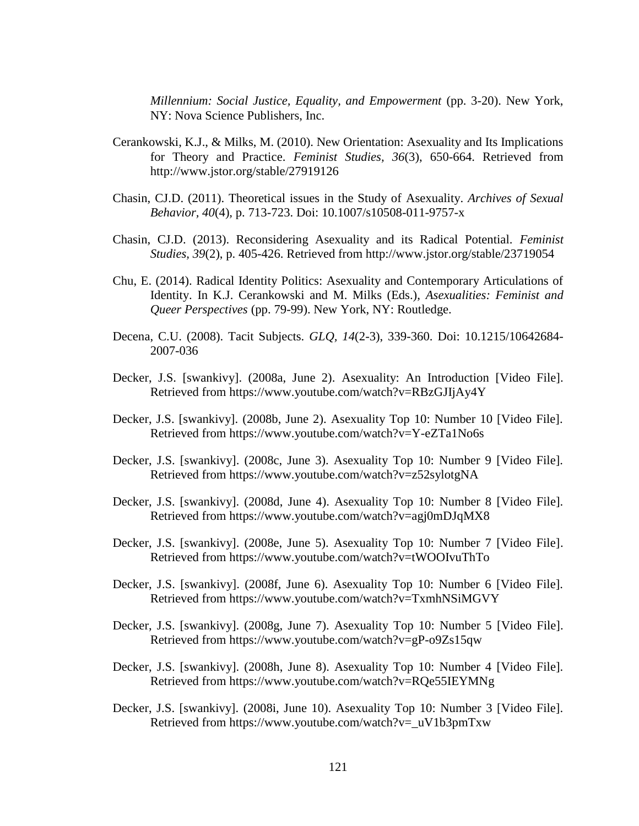*Millennium: Social Justice, Equality, and Empowerment* (pp. 3-20). New York, NY: Nova Science Publishers, Inc.

- Cerankowski, K.J., & Milks, M. (2010). New Orientation: Asexuality and Its Implications for Theory and Practice. *Feminist Studies, 36*(3), 650-664. Retrieved from http://www.jstor.org/stable/27919126
- Chasin, CJ.D. (2011). Theoretical issues in the Study of Asexuality. *Archives of Sexual Behavior, 40*(4)*,* p. 713-723. Doi: 10.1007/s10508-011-9757-x
- Chasin, CJ.D. (2013). Reconsidering Asexuality and its Radical Potential. *Feminist Studies, 39*(2), p. 405-426. Retrieved from<http://www.jstor.org/stable/23719054>
- Chu, E. (2014). Radical Identity Politics: Asexuality and Contemporary Articulations of Identity. In K.J. Cerankowski and M. Milks (Eds.), *Asexualities: Feminist and Queer Perspectives* (pp. 79-99). New York, NY: Routledge.
- Decena, C.U. (2008). Tacit Subjects. *GLQ, 14*(2-3), 339-360. Doi: 10.1215/10642684- 2007-036
- Decker, J.S. [swankivy]. (2008a, June 2). Asexuality: An Introduction [Video File]. Retrieved from https://www.youtube.com/watch?v=RBzGJIjAy4Y
- Decker, J.S. [swankivy]. (2008b, June 2). Asexuality Top 10: Number 10 [Video File]. Retrieved from https://www.youtube.com/watch?v=Y-eZTa1No6s
- Decker, J.S. [swankivy]. (2008c, June 3). Asexuality Top 10: Number 9 [Video File]. Retrieved from https://www.youtube.com/watch?v=z52sylotgNA
- Decker, J.S. [swankivy]. (2008d, June 4). Asexuality Top 10: Number 8 [Video File]. Retrieved from https://www.youtube.com/watch?v=agj0mDJqMX8
- Decker, J.S. [swankivy]. (2008e, June 5). Asexuality Top 10: Number 7 [Video File]. Retrieved from https://www.youtube.com/watch?v=tWOOIvuThTo
- Decker, J.S. [swankivy]. (2008f, June 6). Asexuality Top 10: Number 6 [Video File]. Retrieved from https://www.youtube.com/watch?v=TxmhNSiMGVY
- Decker, J.S. [swankivy]. (2008g, June 7). Asexuality Top 10: Number 5 [Video File]. Retrieved from https://www.youtube.com/watch?v=gP-o9Zs15qw
- Decker, J.S. [swankivy]. (2008h, June 8). Asexuality Top 10: Number 4 [Video File]. Retrieved from<https://www.youtube.com/watch?v=RQe55IEYMNg>
- Decker, J.S. [swankivy]. (2008i, June 10). Asexuality Top 10: Number 3 [Video File]. Retrieved from https://www.youtube.com/watch?v=\_uV1b3pmTxw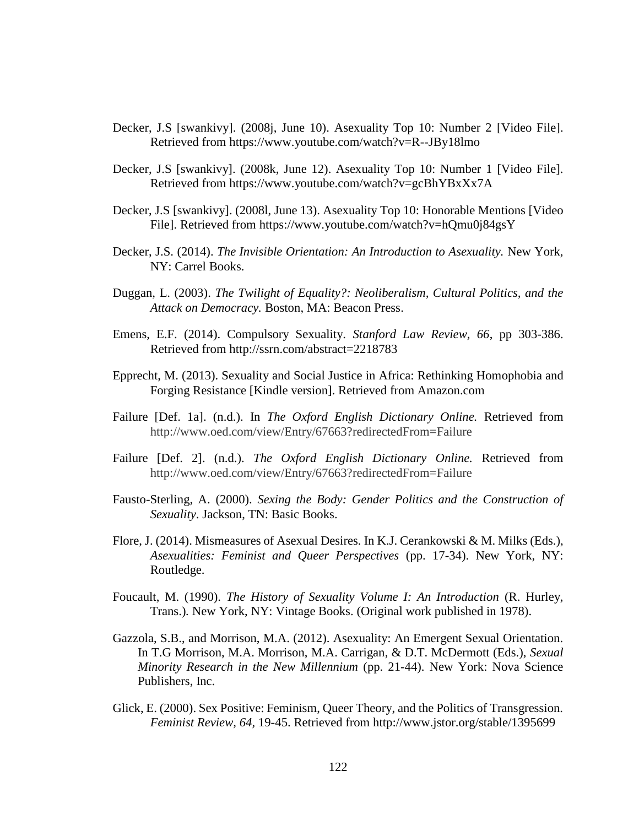- Decker, J.S [swankivy]. (2008j, June 10). Asexuality Top 10: Number 2 [Video File]. Retrieved from <https://www.youtube.com/watch?v=R--JBy18lmo>
- Decker, J.S [swankivy]. (2008k, June 12). Asexuality Top 10: Number 1 [Video File]. Retrieved from https://www.youtube.com/watch?v=gcBhYBxXx7A
- Decker, J.S [swankivy]. (2008l, June 13). Asexuality Top 10: Honorable Mentions [Video File]. Retrieved from https://www.youtube.com/watch?v=hQmu0j84gsY
- Decker, J.S. (2014). *The Invisible Orientation: An Introduction to Asexuality*. New York, NY: Carrel Books.
- Duggan, L. (2003). *The Twilight of Equality?: Neoliberalism, Cultural Politics, and the Attack on Democracy.* Boston, MA: Beacon Press.
- Emens, E.F. (2014). Compulsory Sexuality. *Stanford Law Review, 66*, pp 303-386. Retrieved from http://ssrn.com/abstract=2218783
- Epprecht, M. (2013). Sexuality and Social Justice in Africa: Rethinking Homophobia and Forging Resistance [Kindle version]. Retrieved from Amazon.com
- Failure [Def. 1a]. (n.d.). In *The Oxford English Dictionary Online.* Retrieved from http://www.oed.com/view/Entry/67663?redirectedFrom=Failure
- Failure [Def. 2]. (n.d.). *The Oxford English Dictionary Online.* Retrieved from http://www.oed.com/view/Entry/67663?redirectedFrom=Failure
- Fausto-Sterling, A. (2000). *Sexing the Body: Gender Politics and the Construction of Sexuality*. Jackson, TN: Basic Books.
- Flore, J. (2014). Mismeasures of Asexual Desires. In K.J. Cerankowski & M. Milks (Eds.), *Asexualities: Feminist and Queer Perspectives* (pp. 17-34). New York, NY: Routledge.
- Foucault, M. (1990). *The History of Sexuality Volume I: An Introduction* (R. Hurley, Trans.)*.* New York, NY: Vintage Books. (Original work published in 1978).
- Gazzola, S.B., and Morrison, M.A. (2012). Asexuality: An Emergent Sexual Orientation. In T.G Morrison, M.A. Morrison, M.A. Carrigan, & D.T. McDermott (Eds.), *Sexual Minority Research in the New Millennium* (pp. 21-44). New York: Nova Science Publishers, Inc.
- Glick, E. (2000). Sex Positive: Feminism, Queer Theory, and the Politics of Transgression. *Feminist Review, 64,* 19-45. Retrieved from http://www.jstor.org/stable/1395699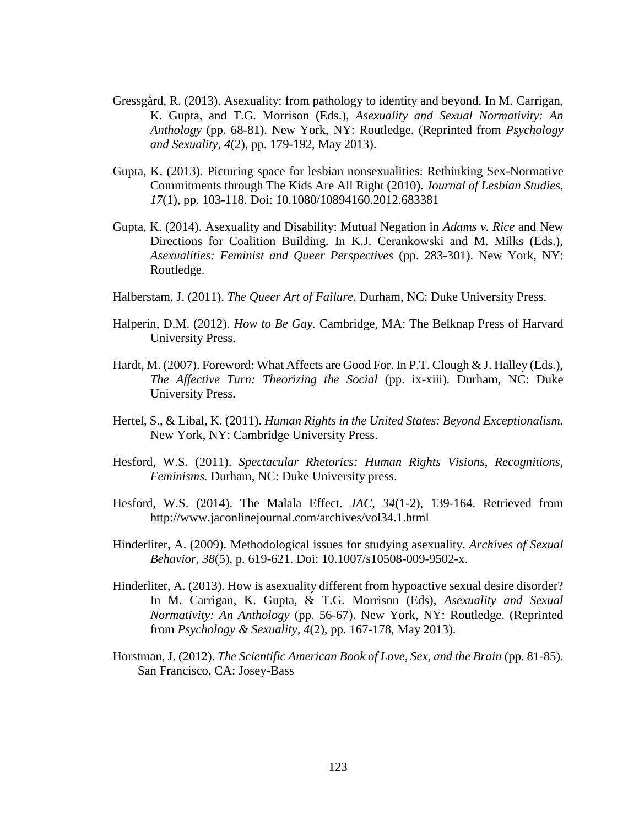- Gressgård, R. (2013). Asexuality: from pathology to identity and beyond. In M. Carrigan, K. Gupta, and T.G. Morrison (Eds.), *Asexuality and Sexual Normativity: An Anthology* (pp. 68-81). New York, NY: Routledge. (Reprinted from *Psychology and Sexuality, 4*(2), pp. 179-192, May 2013).
- Gupta, K. (2013). Picturing space for lesbian nonsexualities: Rethinking Sex-Normative Commitments through The Kids Are All Right (2010). *Journal of Lesbian Studies, 17*(1), pp. 103-118. Doi: 10.1080/10894160.2012.683381
- Gupta, K. (2014). Asexuality and Disability: Mutual Negation in *Adams v. Rice* and New Directions for Coalition Building. In K.J. Cerankowski and M. Milks (Eds.), *Asexualities: Feminist and Queer Perspectives* (pp. 283-301). New York, NY: Routledge.
- Halberstam, J. (2011). *The Queer Art of Failure.* Durham, NC: Duke University Press.
- Halperin, D.M. (2012). *How to Be Gay.* Cambridge, MA: The Belknap Press of Harvard University Press.
- Hardt, M. (2007). Foreword: What Affects are Good For. In P.T. Clough & J. Halley (Eds.), *The Affective Turn: Theorizing the Social* (pp. ix-xiii)*.* Durham, NC: Duke University Press.
- Hertel, S., & Libal, K. (2011). *Human Rights in the United States: Beyond Exceptionalism.*  New York, NY: Cambridge University Press.
- Hesford, W.S. (2011). *Spectacular Rhetorics: Human Rights Visions, Recognitions, Feminisms.* Durham, NC: Duke University press.
- Hesford, W.S. (2014). The Malala Effect. *JAC, 34*(1-2), 139-164. Retrieved from http://www.jaconlinejournal.com/archives/vol34.1.html
- Hinderliter, A. (2009). Methodological issues for studying asexuality. *Archives of Sexual Behavior, 38*(5)*,* p. 619-621. Doi: 10.1007/s10508-009-9502-x.
- Hinderliter, A. (2013). How is asexuality different from hypoactive sexual desire disorder? In M. Carrigan, K. Gupta, & T.G. Morrison (Eds), *Asexuality and Sexual Normativity: An Anthology* (pp. 56-67). New York, NY: Routledge. (Reprinted from *Psychology & Sexuality, 4*(2), pp. 167-178, May 2013).
- Horstman, J. (2012). *The Scientific American Book of Love, Sex, and the Brain* (pp. 81-85). San Francisco, CA: Josey-Bass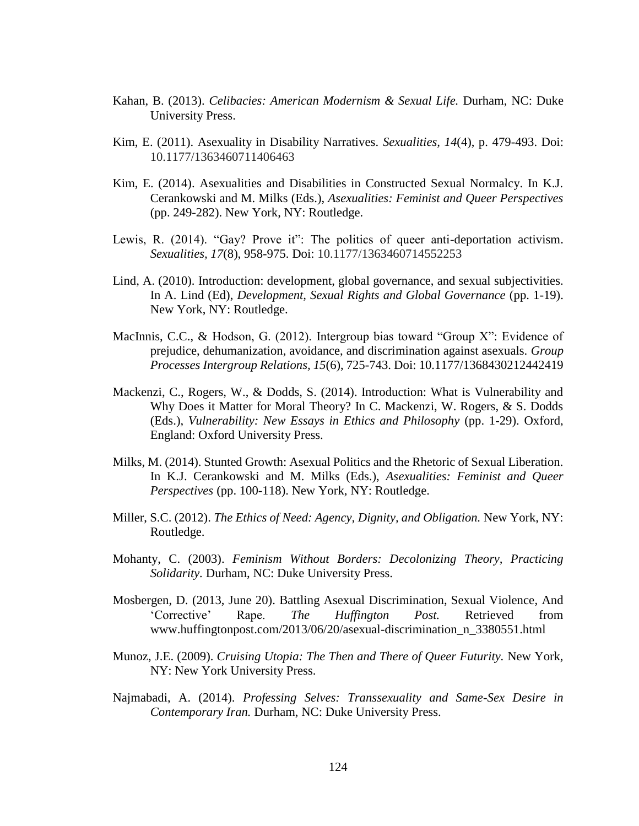- Kahan, B. (2013). *Celibacies: American Modernism & Sexual Life.* Durham, NC: Duke University Press.
- Kim, E. (2011). Asexuality in Disability Narratives. *Sexualities, 14*(4), p. 479-493. Doi: 10.1177/1363460711406463
- Kim, E. (2014). Asexualities and Disabilities in Constructed Sexual Normalcy. In K.J. Cerankowski and M. Milks (Eds.), *Asexualities: Feminist and Queer Perspectives*  (pp. 249-282). New York, NY: Routledge.
- Lewis, R. (2014). "Gay? Prove it": The politics of queer anti-deportation activism. *Sexualities, 17*(8), 958-975. Doi: 10.1177/1363460714552253
- Lind, A. (2010). Introduction: development, global governance, and sexual subjectivities. In A. Lind (Ed), *Development, Sexual Rights and Global Governance* (pp. 1-19). New York, NY: Routledge.
- MacInnis, C.C., & Hodson, G. (2012). Intergroup bias toward "Group X": Evidence of prejudice, dehumanization, avoidance, and discrimination against asexuals. *Group Processes Intergroup Relations, 15*(6), 725-743. Doi: 10.1177/1368430212442419
- Mackenzi, C., Rogers, W., & Dodds, S. (2014). Introduction: What is Vulnerability and Why Does it Matter for Moral Theory? In C. Mackenzi, W. Rogers, & S. Dodds (Eds.), *Vulnerability: New Essays in Ethics and Philosophy* (pp. 1-29). Oxford, England: Oxford University Press.
- Milks, M. (2014). Stunted Growth: Asexual Politics and the Rhetoric of Sexual Liberation. In K.J. Cerankowski and M. Milks (Eds.), *Asexualities: Feminist and Queer Perspectives* (pp. 100-118). New York, NY: Routledge.
- Miller, S.C. (2012). *The Ethics of Need: Agency, Dignity, and Obligation.* New York, NY: Routledge.
- Mohanty, C. (2003). *Feminism Without Borders: Decolonizing Theory, Practicing Solidarity.* Durham, NC: Duke University Press.
- Mosbergen, D. (2013, June 20). Battling Asexual Discrimination, Sexual Violence, And 'Corrective' Rape. *The Huffington Post.* Retrieved from www.huffingtonpost.com/2013/06/20/asexual-discrimination\_n\_3380551.html
- Munoz, J.E. (2009). *Cruising Utopia: The Then and There of Queer Futurity.* New York, NY: New York University Press.
- Najmabadi, A. (2014). *Professing Selves: Transsexuality and Same-Sex Desire in Contemporary Iran.* Durham, NC: Duke University Press.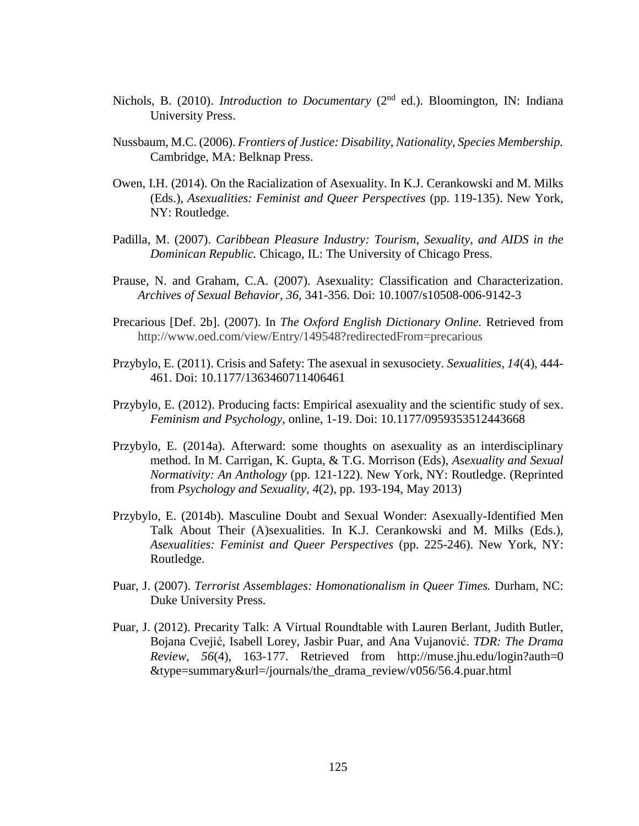- Nichols, B. (2010). *Introduction to Documentary* (2<sup>nd</sup> ed.). Bloomington, IN: Indiana University Press.
- Nussbaum, M.C. (2006). *Frontiers of Justice: Disability, Nationality, Species Membership.*  Cambridge, MA: Belknap Press.
- Owen, I.H. (2014). On the Racialization of Asexuality. In K.J. Cerankowski and M. Milks (Eds.), *Asexualities: Feminist and Queer Perspectives* (pp. 119-135). New York, NY: Routledge.
- Padilla, M. (2007). *Caribbean Pleasure Industry: Tourism, Sexuality, and AIDS in the Dominican Republic.* Chicago, IL: The University of Chicago Press.
- Prause, N. and Graham, C.A. (2007). Asexuality: Classification and Characterization. *Archives of Sexual Behavior, 36,* 341-356. Doi: 10.1007/s10508-006-9142-3
- Precarious [Def. 2b]. (2007). In *The Oxford English Dictionary Online.* Retrieved from http://www.oed.com/view/Entry/149548?redirectedFrom=precarious
- Przybylo, E. (2011). Crisis and Safety: The asexual in sexusociety. *Sexualities, 14*(4), 444- 461. Doi: 10.1177/1363460711406461
- Przybylo, E. (2012). Producing facts: Empirical asexuality and the scientific study of sex. *Feminism and Psychology,* online, 1-19. Doi: 10.1177/0959353512443668
- Przybylo, E. (2014a). Afterward: some thoughts on asexuality as an interdisciplinary method. In M. Carrigan, K. Gupta, & T.G. Morrison (Eds), *Asexuality and Sexual Normativity: An Anthology* (pp. 121-122). New York, NY: Routledge. (Reprinted from *Psychology and Sexuality, 4*(2), pp. 193-194, May 2013)
- Przybylo, E. (2014b). Masculine Doubt and Sexual Wonder: Asexually-Identified Men Talk About Their (A)sexualities. In K.J. Cerankowski and M. Milks (Eds.), *Asexualities: Feminist and Queer Perspectives* (pp. 225-246). New York, NY: Routledge.
- Puar, J. (2007). *Terrorist Assemblages: Homonationalism in Queer Times.* Durham, NC: Duke University Press.
- Puar, J. (2012). Precarity Talk: A Virtual Roundtable with Lauren Berlant, Judith Butler, Bojana Cvejić, Isabell Lorey, Jasbir Puar, and Ana Vujanović. *TDR: The Drama Review, 56*(4), 163-177. Retrieved from http://muse.jhu.edu/login?auth=0 &type=summary&url=/journals/the\_drama\_review/v056/56.4.puar.html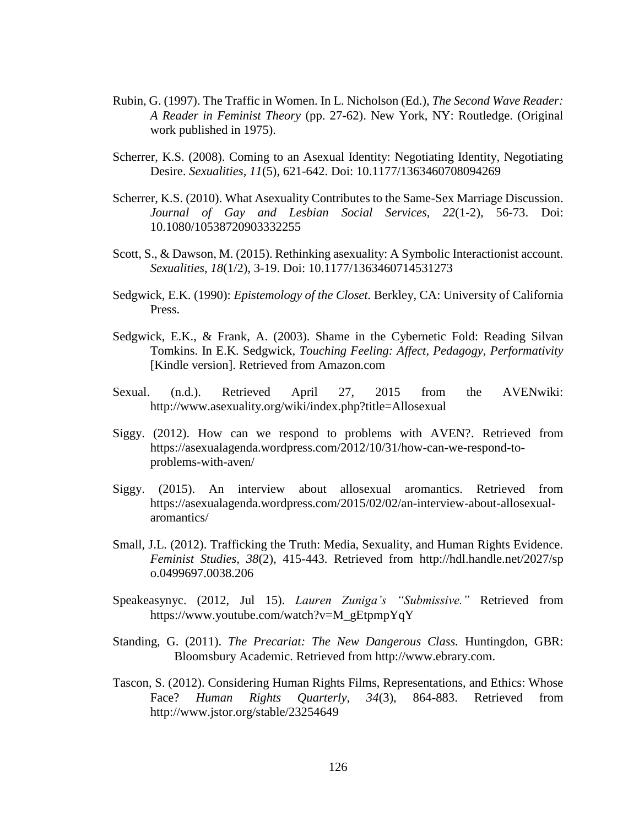- Rubin, G. (1997). The Traffic in Women. In L. Nicholson (Ed.), *The Second Wave Reader: A Reader in Feminist Theory* (pp. 27-62). New York, NY: Routledge. (Original work published in 1975).
- Scherrer, K.S. (2008). Coming to an Asexual Identity: Negotiating Identity, Negotiating Desire. *Sexualities, 11*(5), 621-642. Doi: 10.1177/1363460708094269
- Scherrer, K.S. (2010). What Asexuality Contributes to the Same-Sex Marriage Discussion. *Journal of Gay and Lesbian Social Services, 22*(1-2)*,* 56-73. Doi: 10.1080/10538720903332255
- Scott, S., & Dawson, M. (2015). Rethinking asexuality: A Symbolic Interactionist account. *Sexualities, 18*(1/2), 3-19. Doi: 10.1177/1363460714531273
- Sedgwick, E.K. (1990): *Epistemology of the Closet.* Berkley, CA: University of California Press.
- Sedgwick, E.K., & Frank, A. (2003). Shame in the Cybernetic Fold: Reading Silvan Tomkins. In E.K. Sedgwick, *Touching Feeling: Affect, Pedagogy, Performativity*  [Kindle version]. Retrieved from Amazon.com
- Sexual. (n.d.). Retrieved April 27, 2015 from the AVENwiki: http://www.asexuality.org/wiki/index.php?title=Allosexual
- Siggy. (2012). How can we respond to problems with AVEN?. Retrieved from [https://asexualagenda.wordpress.com/2012/10/31/how-can-we-respond-to](https://asexualagenda.wordpress.com/2012/10/31/how-can-we-respond-to-problems-with-aven/)[problems-with-aven/](https://asexualagenda.wordpress.com/2012/10/31/how-can-we-respond-to-problems-with-aven/)
- Siggy. (2015). An interview about allosexual aromantics. Retrieved from https://asexualagenda.wordpress.com/2015/02/02/an-interview-about-allosexualaromantics/
- Small, J.L. (2012). Trafficking the Truth: Media, Sexuality, and Human Rights Evidence. *Feminist Studies, 38*(2), 415-443. Retrieved from http://hdl.handle.net/2027/sp o.0499697.0038.206
- Speakeasynyc. (2012, Jul 15). *Lauren Zuniga's "Submissive."* Retrieved from https://www.youtube.com/watch?v=M\_gEtpmpYqY
- Standing, G. (2011). *The Precariat: The New Dangerous Class.* Huntingdon, GBR: Bloomsbury Academic. Retrieved from http://www.ebrary.com.
- Tascon, S. (2012). Considering Human Rights Films, Representations, and Ethics: Whose Face? *Human Rights Quarterly, 34*(3), 864-883. Retrieved from http://www.jstor.org/stable/23254649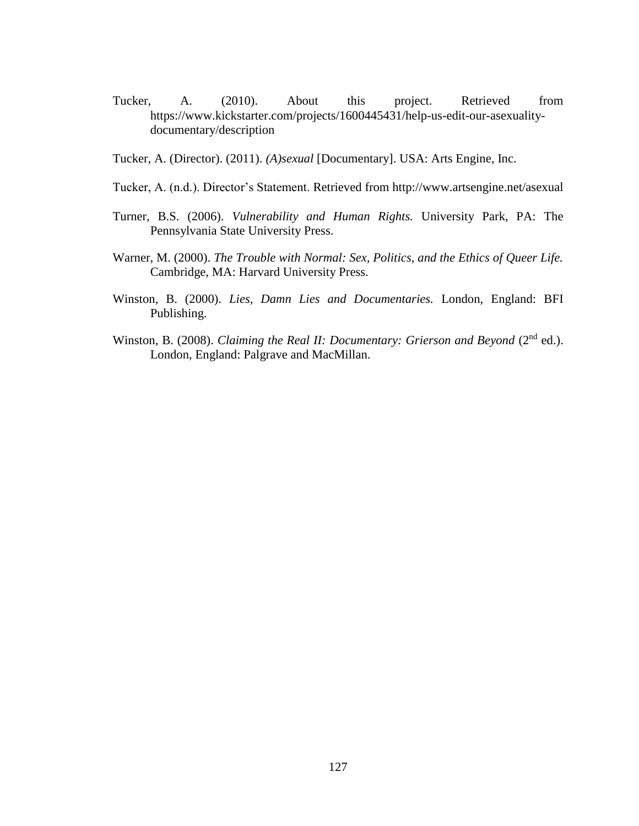- Tucker, A. (2010). About this project. Retrieved from https://www.kickstarter.com/projects/1600445431/help-us-edit-our-asexualitydocumentary/description
- Tucker, A. (Director). (2011). *(A)sexual* [Documentary]. USA: Arts Engine, Inc.
- Tucker, A. (n.d.). Director's Statement. Retrieved from http://www.artsengine.net/asexual
- Turner, B.S. (2006). *Vulnerability and Human Rights.* University Park, PA: The Pennsylvania State University Press.
- Warner, M. (2000). *The Trouble with Normal: Sex, Politics, and the Ethics of Queer Life.*  Cambridge, MA: Harvard University Press.
- Winston, B. (2000). *Lies, Damn Lies and Documentaries.* London, England: BFI Publishing.
- Winston, B. (2008). *Claiming the Real II: Documentary: Grierson and Beyond* (2<sup>nd</sup> ed.). London, England: Palgrave and MacMillan.